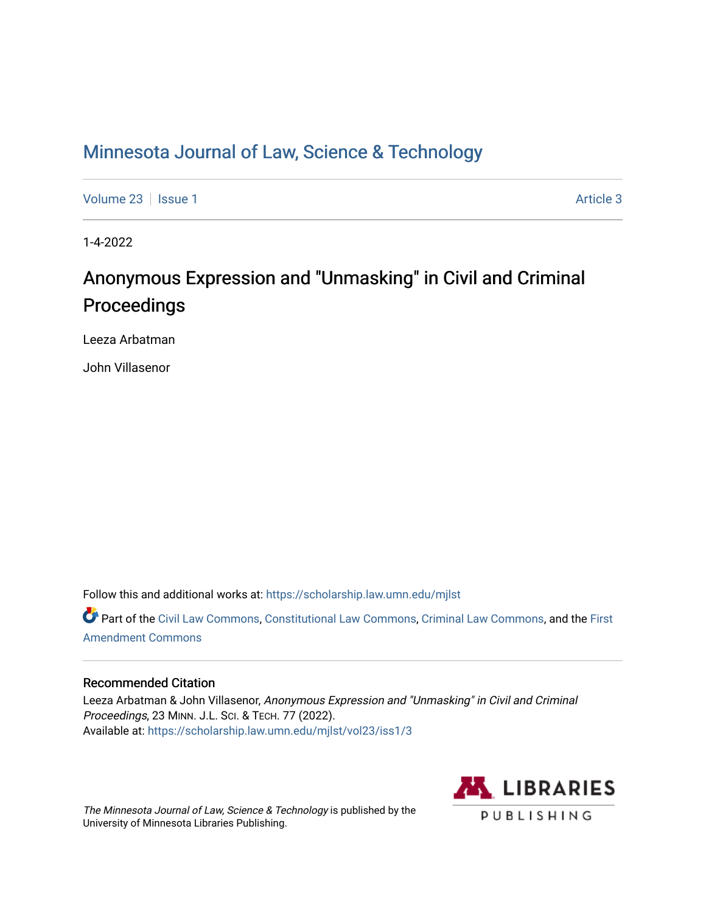# [Minnesota Journal of Law, Science & Technology](https://scholarship.law.umn.edu/mjlst?utm_source=scholarship.law.umn.edu%2Fmjlst%2Fvol23%2Fiss1%2F3&utm_medium=PDF&utm_campaign=PDFCoverPages)

[Volume 23](https://scholarship.law.umn.edu/mjlst/vol23?utm_source=scholarship.law.umn.edu%2Fmjlst%2Fvol23%2Fiss1%2F3&utm_medium=PDF&utm_campaign=PDFCoverPages) | [Issue 1](https://scholarship.law.umn.edu/mjlst/vol23/iss1?utm_source=scholarship.law.umn.edu%2Fmjlst%2Fvol23%2Fiss1%2F3&utm_medium=PDF&utm_campaign=PDFCoverPages) [Article 3](https://scholarship.law.umn.edu/mjlst/vol23/iss1/3?utm_source=scholarship.law.umn.edu%2Fmjlst%2Fvol23%2Fiss1%2F3&utm_medium=PDF&utm_campaign=PDFCoverPages) | Article 3 | Article 3 | Article 3 | Article 3 | Article 3 | Article 3 | Article 3 | Article 3 | Article 3 | Article 3 | Article 3 | Article 3 | Article 3 | Article 3 | Article 3 | Article 3

1-4-2022

# Anonymous Expression and "Unmasking" in Civil and Criminal Proceedings

Leeza Arbatman

John Villasenor

Follow this and additional works at: [https://scholarship.law.umn.edu/mjlst](https://scholarship.law.umn.edu/mjlst?utm_source=scholarship.law.umn.edu%2Fmjlst%2Fvol23%2Fiss1%2F3&utm_medium=PDF&utm_campaign=PDFCoverPages) 

Part of the [Civil Law Commons](http://network.bepress.com/hgg/discipline/835?utm_source=scholarship.law.umn.edu%2Fmjlst%2Fvol23%2Fiss1%2F3&utm_medium=PDF&utm_campaign=PDFCoverPages), [Constitutional Law Commons](http://network.bepress.com/hgg/discipline/589?utm_source=scholarship.law.umn.edu%2Fmjlst%2Fvol23%2Fiss1%2F3&utm_medium=PDF&utm_campaign=PDFCoverPages), [Criminal Law Commons,](http://network.bepress.com/hgg/discipline/912?utm_source=scholarship.law.umn.edu%2Fmjlst%2Fvol23%2Fiss1%2F3&utm_medium=PDF&utm_campaign=PDFCoverPages) and the First [Amendment Commons](http://network.bepress.com/hgg/discipline/1115?utm_source=scholarship.law.umn.edu%2Fmjlst%2Fvol23%2Fiss1%2F3&utm_medium=PDF&utm_campaign=PDFCoverPages)

# Recommended Citation

Leeza Arbatman & John Villasenor, Anonymous Expression and "Unmasking" in Civil and Criminal Proceedings, 23 MINN. J.L. SCI. & TECH. 77 (2022). Available at: [https://scholarship.law.umn.edu/mjlst/vol23/iss1/3](https://scholarship.law.umn.edu/mjlst/vol23/iss1/3?utm_source=scholarship.law.umn.edu%2Fmjlst%2Fvol23%2Fiss1%2F3&utm_medium=PDF&utm_campaign=PDFCoverPages) 

The Minnesota Journal of Law, Science & Technology is published by the University of Minnesota Libraries Publishing.

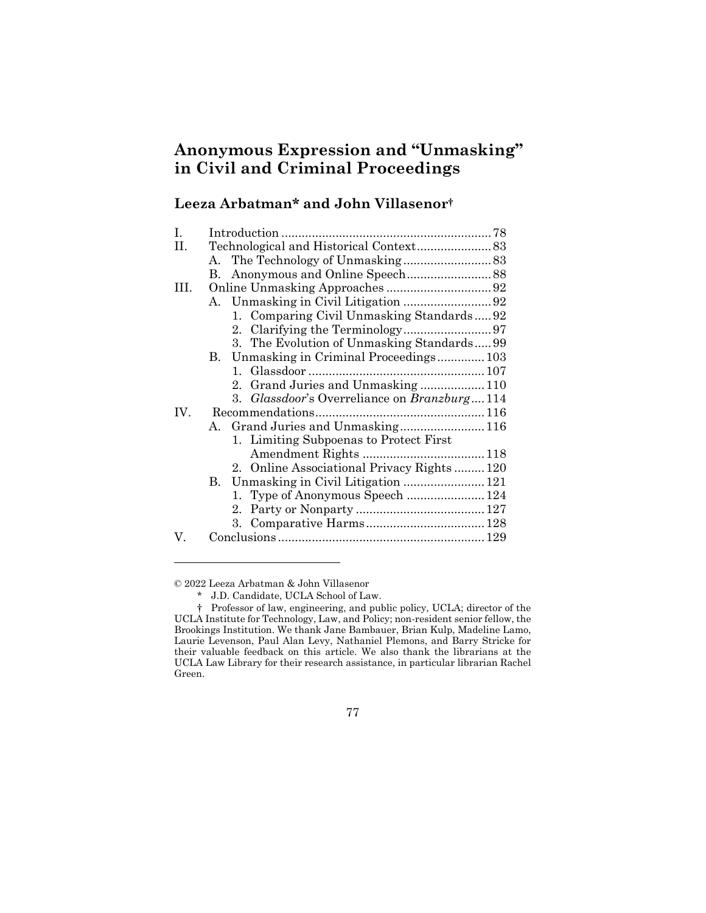# **Anonymous Expression and "Unmasking" in Civil and Criminal Proceedings**

# **Leeza Arbatman\* and John Villasenor†**

| I.  |    |                                             |  |
|-----|----|---------------------------------------------|--|
| П.  |    |                                             |  |
|     |    |                                             |  |
|     | B. |                                             |  |
| Ш.  |    |                                             |  |
|     |    |                                             |  |
|     |    | 1. Comparing Civil Unmasking Standards 92   |  |
|     |    |                                             |  |
|     |    | 3. The Evolution of Unmasking Standards99   |  |
|     |    | B. Unmasking in Criminal Proceedings 103    |  |
|     |    |                                             |  |
|     |    | 2. Grand Juries and Unmasking110            |  |
|     |    | 3. Glassdoor's Overreliance on Branzburg114 |  |
| IV. |    |                                             |  |
|     |    |                                             |  |
|     |    | 1. Limiting Subpoenas to Protect First      |  |
|     |    |                                             |  |
|     |    | 2. Online Associational Privacy Rights120   |  |
|     |    | B. Unmasking in Civil Litigation  121       |  |
|     |    | 1. Type of Anonymous Speech  124            |  |
|     |    |                                             |  |
|     |    |                                             |  |
| V.  |    |                                             |  |

© 2022 Leeza Arbatman & John Villasenor

<sup>\*</sup> J.D. Candidate, UCLA School of Law.

<sup>†</sup> Professor of law, engineering, and public policy, UCLA; director of the UCLA Institute for Technology, Law, and Policy; non-resident senior fellow, the Brookings Institution. We thank Jane Bambauer, Brian Kulp, Madeline Lamo, Laurie Levenson, Paul Alan Levy, Nathaniel Plemons, and Barry Stricke for their valuable feedback on this article. We also thank the librarians at the UCLA Law Library for their research assistance, in particular librarian Rachel Green.

<sup>77</sup>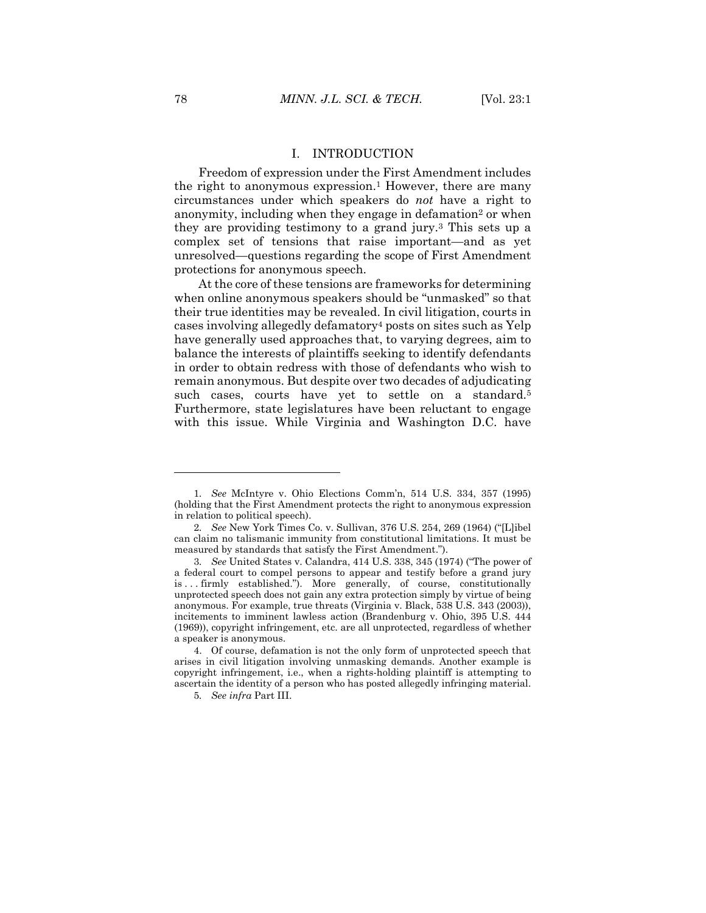#### I. INTRODUCTION

Freedom of expression under the First Amendment includes the right to anonymous expression.<sup>1</sup> However, there are many circumstances under which speakers do *not* have a right to anonymity, including when they engage in defamation<sup>2</sup> or when they are providing testimony to a grand jury.<sup>3</sup> This sets up a complex set of tensions that raise important—and as yet unresolved—questions regarding the scope of First Amendment protections for anonymous speech.

At the core of these tensions are frameworks for determining when online anonymous speakers should be "unmasked" so that their true identities may be revealed. In civil litigation, courts in cases involving allegedly defamatory<sup>4</sup> posts on sites such as Yelp have generally used approaches that, to varying degrees, aim to balance the interests of plaintiffs seeking to identify defendants in order to obtain redress with those of defendants who wish to remain anonymous. But despite over two decades of adjudicating such cases, courts have yet to settle on a standard.<sup>5</sup> Furthermore, state legislatures have been reluctant to engage with this issue. While Virginia and Washington D.C. have

<sup>1</sup>*. See* McIntyre v. Ohio Elections Comm'n, 514 U.S. 334, 357 (1995) (holding that the First Amendment protects the right to anonymous expression in relation to political speech).

<sup>2</sup>*. See* New York Times Co. v. Sullivan, 376 U.S. 254, 269 (1964) ("[L]ibel can claim no talismanic immunity from constitutional limitations. It must be measured by standards that satisfy the First Amendment.").

<sup>3</sup>*. See* United States v. Calandra, 414 U.S. 338, 345 (1974) ("The power of a federal court to compel persons to appear and testify before a grand jury is . . . firmly established."). More generally, of course, constitutionally unprotected speech does not gain any extra protection simply by virtue of being anonymous. For example, true threats (Virginia v. Black, 538 U.S. 343 (2003)), incitements to imminent lawless action (Brandenburg v. Ohio, 395 U.S. 444 (1969)), copyright infringement, etc. are all unprotected, regardless of whether a speaker is anonymous.

<sup>4.</sup> Of course, defamation is not the only form of unprotected speech that arises in civil litigation involving unmasking demands. Another example is copyright infringement, i.e., when a rights-holding plaintiff is attempting to ascertain the identity of a person who has posted allegedly infringing material.

<sup>5</sup>*. See infra* Part III.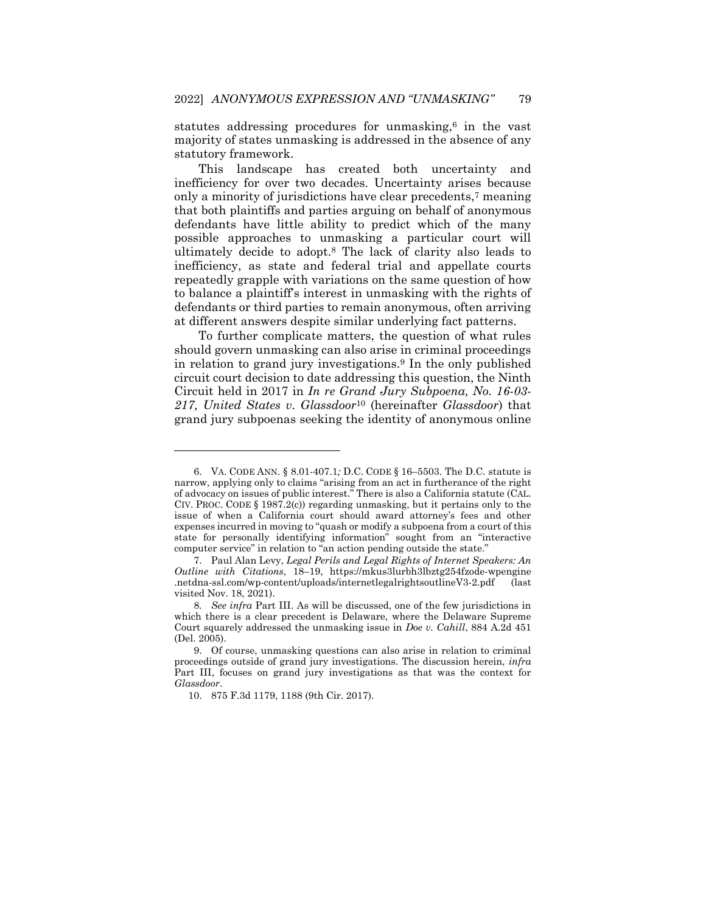statutes addressing procedures for unmasking,<sup>6</sup> in the vast majority of states unmasking is addressed in the absence of any statutory framework.

This landscape has created both uncertainty and inefficiency for over two decades. Uncertainty arises because only a minority of jurisdictions have clear precedents,<sup>7</sup> meaning that both plaintiffs and parties arguing on behalf of anonymous defendants have little ability to predict which of the many possible approaches to unmasking a particular court will ultimately decide to adopt.<sup>8</sup> The lack of clarity also leads to inefficiency, as state and federal trial and appellate courts repeatedly grapple with variations on the same question of how to balance a plaintiff's interest in unmasking with the rights of defendants or third parties to remain anonymous, often arriving at different answers despite similar underlying fact patterns.

To further complicate matters, the question of what rules should govern unmasking can also arise in criminal proceedings in relation to grand jury investigations.<sup>9</sup> In the only published circuit court decision to date addressing this question, the Ninth Circuit held in 2017 in *In re Grand Jury Subpoena, No. 16-03- 217, United States v. Glassdoor*<sup>10</sup> (hereinafter *Glassdoor*) that grand jury subpoenas seeking the identity of anonymous online

<sup>6.</sup> VA. CODE ANN. § 8.01-407.1*;* D.C. CODE § 16–5503. The D.C. statute is narrow, applying only to claims "arising from an act in furtherance of the right of advocacy on issues of public interest." There is also a California statute (CAL. CIV. PROC. CODE  $\S$  1987.2(c)) regarding unmasking, but it pertains only to the issue of when a California court should award attorney's fees and other expenses incurred in moving to "quash or modify a subpoena from a court of this state for personally identifying information" sought from an "interactive computer service" in relation to "an action pending outside the state."

<sup>7.</sup> Paul Alan Levy, *Legal Perils and Legal Rights of Internet Speakers: An Outline with Citations*, 18–19, https://mkus3lurbh3lbztg254fzode-wpengine .netdna-ssl.com/wp-content/uploads/internetlegalrightsoutlineV3-2.pdf (last visited Nov. 18, 2021).

<sup>8</sup>*. See infra* Part III. As will be discussed, one of the few jurisdictions in which there is a clear precedent is Delaware, where the Delaware Supreme Court squarely addressed the unmasking issue in *Doe v. Cahill*, 884 A.2d 451 (Del. 2005).

<sup>9.</sup> Of course, unmasking questions can also arise in relation to criminal proceedings outside of grand jury investigations. The discussion herein, *infra* Part III, focuses on grand jury investigations as that was the context for *Glassdoor*.

<sup>10.</sup> 875 F.3d 1179, 1188 (9th Cir. 2017).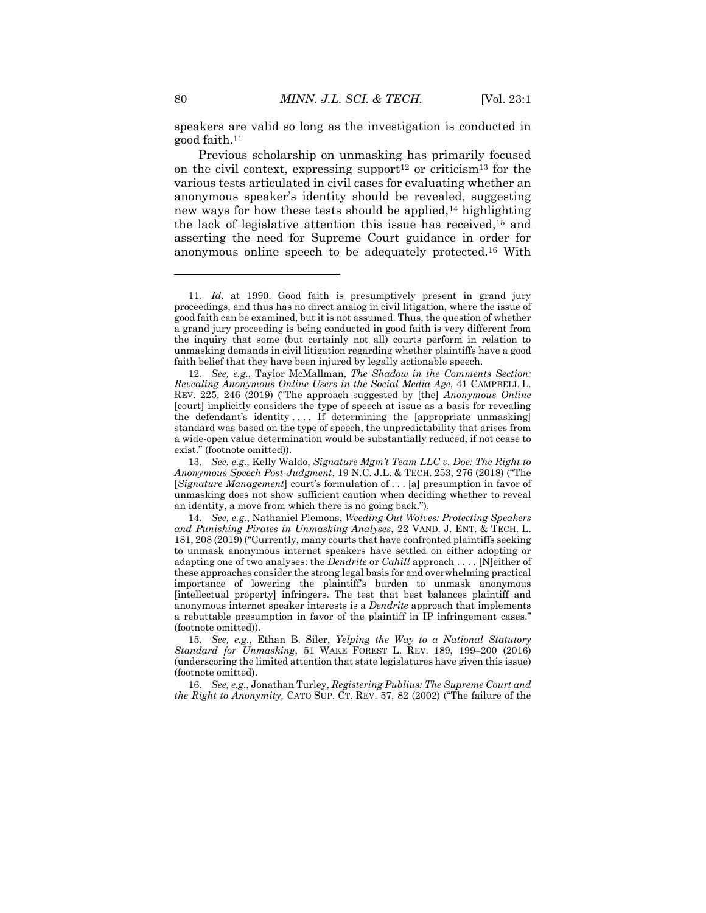speakers are valid so long as the investigation is conducted in good faith.<sup>11</sup>

Previous scholarship on unmasking has primarily focused on the civil context, expressing support<sup>12</sup> or criticism<sup>13</sup> for the various tests articulated in civil cases for evaluating whether an anonymous speaker's identity should be revealed, suggesting new ways for how these tests should be applied,<sup>14</sup> highlighting the lack of legislative attention this issue has received,<sup>15</sup> and asserting the need for Supreme Court guidance in order for anonymous online speech to be adequately protected.<sup>16</sup> With

<sup>11</sup>*. Id.* at 1990. Good faith is presumptively present in grand jury proceedings, and thus has no direct analog in civil litigation, where the issue of good faith can be examined, but it is not assumed. Thus, the question of whether a grand jury proceeding is being conducted in good faith is very different from the inquiry that some (but certainly not all) courts perform in relation to unmasking demands in civil litigation regarding whether plaintiffs have a good faith belief that they have been injured by legally actionable speech.

<sup>12</sup>*. See, e.g.*, Taylor McMallman, *The Shadow in the Comments Section: Revealing Anonymous Online Users in the Social Media Age*, 41 CAMPBELL L. REV. 225, 246 (2019) ("The approach suggested by [the] *Anonymous Online* [court] implicitly considers the type of speech at issue as a basis for revealing the defendant's identity  $\dots$ . If determining the [appropriate unmasking] standard was based on the type of speech, the unpredictability that arises from a wide-open value determination would be substantially reduced, if not cease to exist." (footnote omitted)).

<sup>13</sup>*. See, e.g.*, Kelly Waldo, *Signature Mgm't Team LLC v. Doe: The Right to Anonymous Speech Post-Judgment*, 19 N.C. J.L. & TECH. 253, 276 (2018) ("The [*Signature Management*] court's formulation of . . . [a] presumption in favor of unmasking does not show sufficient caution when deciding whether to reveal an identity, a move from which there is no going back.").

<sup>14</sup>*. See, e.g.*, Nathaniel Plemons, *Weeding Out Wolves: Protecting Speakers and Punishing Pirates in Unmasking Analyses*, 22 VAND. J. ENT. & TECH. L. 181, 208 (2019) ("Currently, many courts that have confronted plaintiffs seeking to unmask anonymous internet speakers have settled on either adopting or adapting one of two analyses: the *Dendrite* or *Cahill* approach . . . . [N]either of these approaches consider the strong legal basis for and overwhelming practical importance of lowering the plaintiff's burden to unmask anonymous [intellectual property] infringers. The test that best balances plaintiff and anonymous internet speaker interests is a *Dendrite* approach that implements a rebuttable presumption in favor of the plaintiff in IP infringement cases." (footnote omitted)).

<sup>15</sup>*. See, e.g.*, Ethan B. Siler, *Yelping the Way to a National Statutory Standard for Unmasking*, 51 WAKE FOREST L. REV. 189, 199–200 (2016) (underscoring the limited attention that state legislatures have given this issue) (footnote omitted).

<sup>16</sup>*. See, e.g.*, Jonathan Turley, *Registering Publius: The Supreme Court and the Right to Anonymity*, CATO SUP. CT. REV. 57, 82 (2002) ("The failure of the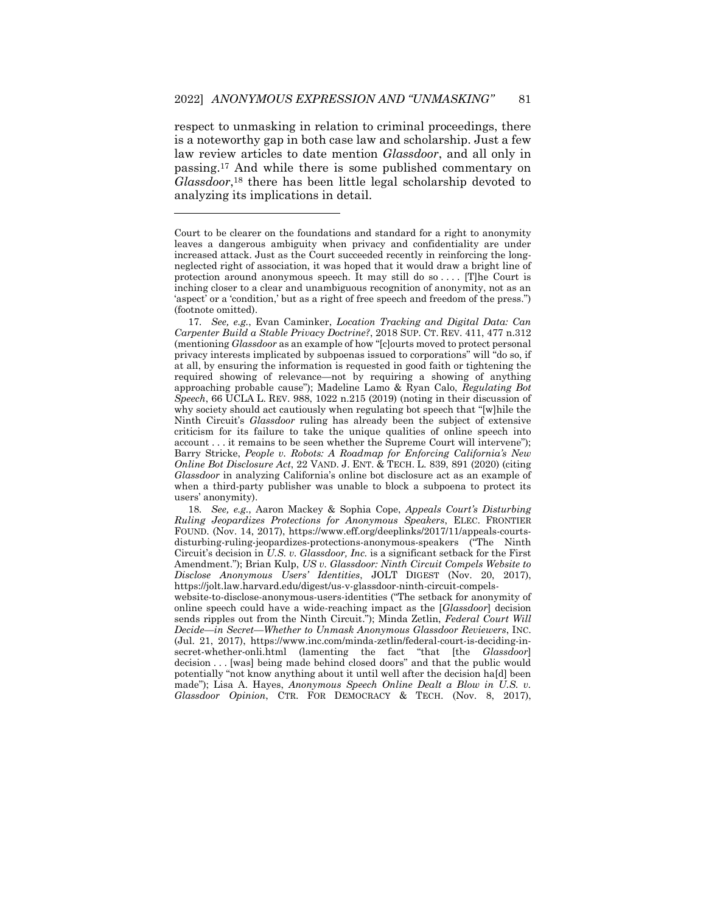respect to unmasking in relation to criminal proceedings, there is a noteworthy gap in both case law and scholarship. Just a few law review articles to date mention *Glassdoor*, and all only in passing.<sup>17</sup> And while there is some published commentary on *Glassdoor*, <sup>18</sup> there has been little legal scholarship devoted to analyzing its implications in detail.

 $\overline{a}$ 

website-to-disclose-anonymous-users-identities ("The setback for anonymity of online speech could have a wide-reaching impact as the [*Glassdoor*] decision sends ripples out from the Ninth Circuit."); Minda Zetlin, *Federal Court Will Decide—in Secret—Whether to Unmask Anonymous Glassdoor Reviewers*, INC. (Jul. 21, 2017), https://www.inc.com/minda-zetlin/federal-court-is-deciding-insecret-whether-onli.html (lamenting the fact "that [the *Glassdoor*] decision . . . [was] being made behind closed doors" and that the public would potentially "not know anything about it until well after the decision ha[d] been made"); Lisa A. Hayes, *Anonymous Speech Online Dealt a Blow in U.S. v. Glassdoor Opinion*, CTR. FOR DEMOCRACY & TECH. (Nov. 8, 2017),

Court to be clearer on the foundations and standard for a right to anonymity leaves a dangerous ambiguity when privacy and confidentiality are under increased attack. Just as the Court succeeded recently in reinforcing the longneglected right of association, it was hoped that it would draw a bright line of protection around anonymous speech. It may still do so . . . . [T]he Court is inching closer to a clear and unambiguous recognition of anonymity, not as an 'aspect' or a 'condition,' but as a right of free speech and freedom of the press.") (footnote omitted).

<sup>17</sup>*. See, e.g.*, Evan Caminker, *Location Tracking and Digital Data: Can Carpenter Build a Stable Privacy Doctrine?*, 2018 SUP. CT. REV. 411, 477 n.312 (mentioning *Glassdoor* as an example of how "[c]ourts moved to protect personal privacy interests implicated by subpoenas issued to corporations" will "do so, if at all, by ensuring the information is requested in good faith or tightening the required showing of relevance—not by requiring a showing of anything approaching probable cause"); Madeline Lamo & Ryan Calo, *Regulating Bot Speech*, 66 UCLA L. REV. 988, 1022 n.215 (2019) (noting in their discussion of why society should act cautiously when regulating bot speech that "[w]hile the Ninth Circuit's *Glassdoor* ruling has already been the subject of extensive criticism for its failure to take the unique qualities of online speech into account . . . it remains to be seen whether the Supreme Court will intervene"); Barry Stricke, *People v. Robots: A Roadmap for Enforcing California's New Online Bot Disclosure Act*, 22 VAND. J. ENT. & TECH. L. 839, 891 (2020) (citing *Glassdoor* in analyzing California's online bot disclosure act as an example of when a third-party publisher was unable to block a subpoena to protect its users' anonymity).

<sup>18</sup>*. See, e.g.*, Aaron Mackey & Sophia Cope, *Appeals Court's Disturbing Ruling Jeopardizes Protections for Anonymous Speakers*, ELEC. FRONTIER FOUND. (Nov. 14, 2017), https://www.eff.org/deeplinks/2017/11/appeals-courtsdisturbing-ruling-jeopardizes-protections-anonymous-speakers ("The Ninth Circuit's decision in *U.S. v. Glassdoor, Inc.* is a significant setback for the First Amendment."); Brian Kulp, *US v. Glassdoor: Ninth Circuit Compels Website to Disclose Anonymous Users' Identities*, JOLT DIGEST (Nov. 20, 2017), https://jolt.law.harvard.edu/digest/us-v-glassdoor-ninth-circuit-compels-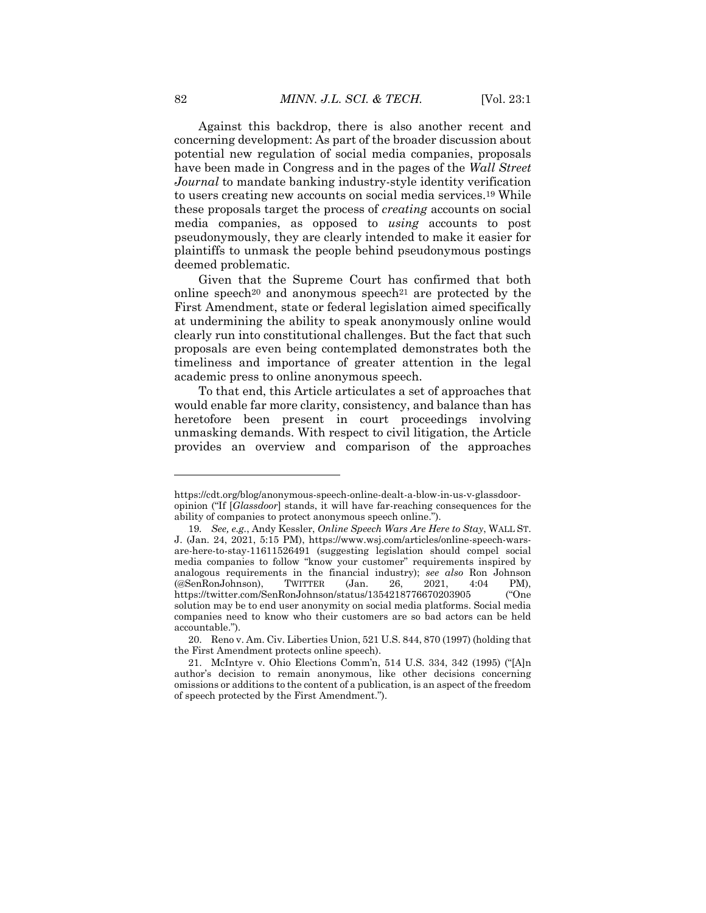Against this backdrop, there is also another recent and concerning development: As part of the broader discussion about potential new regulation of social media companies, proposals have been made in Congress and in the pages of the *Wall Street Journal* to mandate banking industry-style identity verification to users creating new accounts on social media services.<sup>19</sup> While these proposals target the process of *creating* accounts on social media companies, as opposed to *using* accounts to post pseudonymously, they are clearly intended to make it easier for plaintiffs to unmask the people behind pseudonymous postings deemed problematic.

Given that the Supreme Court has confirmed that both online speech<sup>20</sup> and anonymous speech<sup>21</sup> are protected by the First Amendment, state or federal legislation aimed specifically at undermining the ability to speak anonymously online would clearly run into constitutional challenges. But the fact that such proposals are even being contemplated demonstrates both the timeliness and importance of greater attention in the legal academic press to online anonymous speech.

To that end, this Article articulates a set of approaches that would enable far more clarity, consistency, and balance than has heretofore been present in court proceedings involving unmasking demands. With respect to civil litigation, the Article provides an overview and comparison of the approaches

https://cdt.org/blog/anonymous-speech-online-dealt-a-blow-in-us-v-glassdooropinion ("If [*Glassdoor*] stands, it will have far-reaching consequences for the ability of companies to protect anonymous speech online.").

<sup>19</sup>*. See, e.g.*, Andy Kessler, *Online Speech Wars Are Here to Stay*, WALL ST. J. (Jan. 24, 2021, 5:15 PM), https://www.wsj.com/articles/online-speech-warsare-here-to-stay-11611526491 (suggesting legislation should compel social media companies to follow "know your customer" requirements inspired by analogous requirements in the financial industry); *see also* Ron Johnson (@SenRonJohnson), TWITTER (Jan. 26, 2021, 4:04 PM), https://twitter.com/SenRonJohnson/status/1354218776670203905 ("One solution may be to end user anonymity on social media platforms. Social media companies need to know who their customers are so bad actors can be held accountable.").

<sup>20.</sup> Reno v. Am. Civ. Liberties Union, 521 U.S. 844, 870 (1997) (holding that the First Amendment protects online speech).

<sup>21.</sup> McIntyre v. Ohio Elections Comm'n, 514 U.S. 334, 342 (1995) ("[A]n author's decision to remain anonymous, like other decisions concerning omissions or additions to the content of a publication, is an aspect of the freedom of speech protected by the First Amendment.").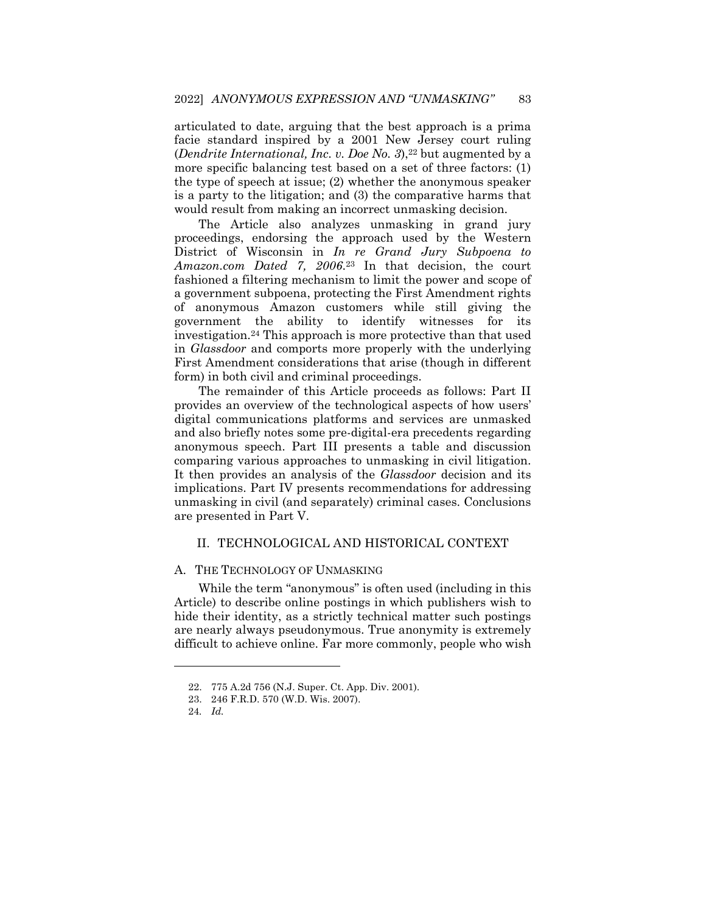articulated to date, arguing that the best approach is a prima facie standard inspired by a 2001 New Jersey court ruling (*Dendrite International, Inc. v. Doe No. 3*),<sup>22</sup> but augmented by a more specific balancing test based on a set of three factors: (1) the type of speech at issue; (2) whether the anonymous speaker is a party to the litigation; and (3) the comparative harms that would result from making an incorrect unmasking decision.

The Article also analyzes unmasking in grand jury proceedings, endorsing the approach used by the Western District of Wisconsin in *In re Grand Jury Subpoena to Amazon.com Dated 7, 2006*. <sup>23</sup> In that decision, the court fashioned a filtering mechanism to limit the power and scope of a government subpoena, protecting the First Amendment rights of anonymous Amazon customers while still giving the government the ability to identify witnesses for its investigation.<sup>24</sup> This approach is more protective than that used in *Glassdoor* and comports more properly with the underlying First Amendment considerations that arise (though in different form) in both civil and criminal proceedings.

The remainder of this Article proceeds as follows: Part II provides an overview of the technological aspects of how users' digital communications platforms and services are unmasked and also briefly notes some pre-digital-era precedents regarding anonymous speech. Part III presents a table and discussion comparing various approaches to unmasking in civil litigation. It then provides an analysis of the *Glassdoor* decision and its implications. Part IV presents recommendations for addressing unmasking in civil (and separately) criminal cases. Conclusions are presented in Part V.

# II. TECHNOLOGICAL AND HISTORICAL CONTEXT

# A. THE TECHNOLOGY OF UNMASKING

While the term "anonymous" is often used (including in this Article) to describe online postings in which publishers wish to hide their identity, as a strictly technical matter such postings are nearly always pseudonymous. True anonymity is extremely difficult to achieve online. Far more commonly, people who wish

<sup>22.</sup> 775 A.2d 756 (N.J. Super. Ct. App. Div. 2001).

<sup>23.</sup> 246 F.R.D. 570 (W.D. Wis. 2007).

<sup>24</sup>*. Id.*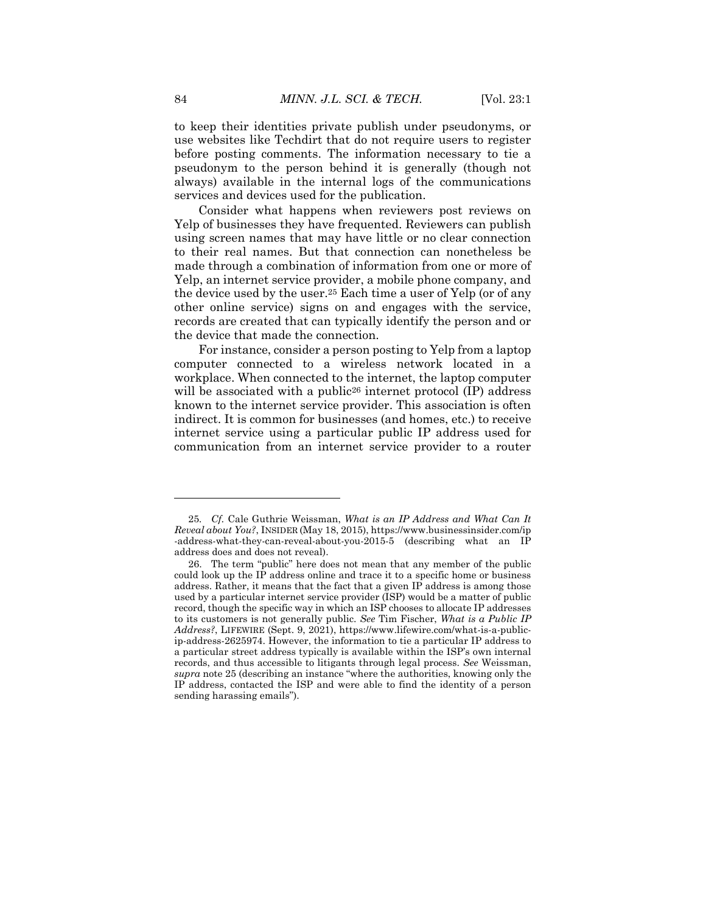to keep their identities private publish under pseudonyms, or use websites like Techdirt that do not require users to register before posting comments. The information necessary to tie a pseudonym to the person behind it is generally (though not always) available in the internal logs of the communications services and devices used for the publication.

Consider what happens when reviewers post reviews on Yelp of businesses they have frequented. Reviewers can publish using screen names that may have little or no clear connection to their real names. But that connection can nonetheless be made through a combination of information from one or more of Yelp, an internet service provider, a mobile phone company, and the device used by the user.<sup>25</sup> Each time a user of Yelp (or of any other online service) signs on and engages with the service, records are created that can typically identify the person and or the device that made the connection.

For instance, consider a person posting to Yelp from a laptop computer connected to a wireless network located in a workplace. When connected to the internet, the laptop computer will be associated with a public<sup>26</sup> internet protocol (IP) address known to the internet service provider. This association is often indirect. It is common for businesses (and homes, etc.) to receive internet service using a particular public IP address used for communication from an internet service provider to a router

<sup>25</sup>*. Cf.* Cale Guthrie Weissman, *What is an IP Address and What Can It Reveal about You?*, INSIDER (May 18, 2015), https://www.businessinsider.com/ip -address-what-they-can-reveal-about-you-2015-5 (describing what an IP address does and does not reveal).

<sup>26.</sup> The term "public" here does not mean that any member of the public could look up the IP address online and trace it to a specific home or business address. Rather, it means that the fact that a given IP address is among those used by a particular internet service provider (ISP) would be a matter of public record, though the specific way in which an ISP chooses to allocate IP addresses to its customers is not generally public. *See* Tim Fischer, *What is a Public IP Address?*, LIFEWIRE (Sept. 9, 2021), https://www.lifewire.com/what-is-a-publicip-address-2625974. However, the information to tie a particular IP address to a particular street address typically is available within the ISP's own internal records, and thus accessible to litigants through legal process. *See* Weissman, *supra* note 25 (describing an instance "where the authorities, knowing only the IP address, contacted the ISP and were able to find the identity of a person sending harassing emails").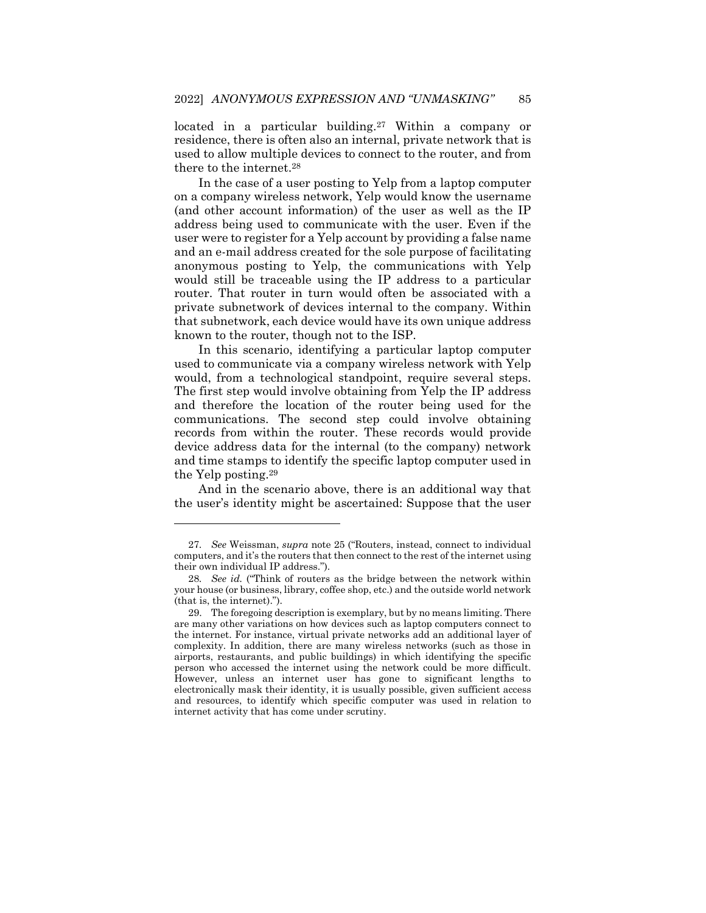located in a particular building.<sup>27</sup> Within a company or residence, there is often also an internal, private network that is used to allow multiple devices to connect to the router, and from there to the internet.<sup>28</sup>

In the case of a user posting to Yelp from a laptop computer on a company wireless network, Yelp would know the username (and other account information) of the user as well as the IP address being used to communicate with the user. Even if the user were to register for a Yelp account by providing a false name and an e-mail address created for the sole purpose of facilitating anonymous posting to Yelp, the communications with Yelp would still be traceable using the IP address to a particular router. That router in turn would often be associated with a private subnetwork of devices internal to the company. Within that subnetwork, each device would have its own unique address known to the router, though not to the ISP.

In this scenario, identifying a particular laptop computer used to communicate via a company wireless network with Yelp would, from a technological standpoint, require several steps. The first step would involve obtaining from Yelp the IP address and therefore the location of the router being used for the communications. The second step could involve obtaining records from within the router. These records would provide device address data for the internal (to the company) network and time stamps to identify the specific laptop computer used in the Yelp posting.<sup>29</sup>

And in the scenario above, there is an additional way that the user's identity might be ascertained: Suppose that the user

<sup>27</sup>*. See* Weissman, *supra* note 25 ("Routers, instead, connect to individual computers, and it's the routers that then connect to the rest of the internet using their own individual IP address.").

<sup>28</sup>*. See id.* ("Think of routers as the bridge between the network within your house (or business, library, coffee shop, etc.) and the outside world network (that is, the internet).").

<sup>29.</sup> The foregoing description is exemplary, but by no means limiting. There are many other variations on how devices such as laptop computers connect to the internet. For instance, virtual private networks add an additional layer of complexity. In addition, there are many wireless networks (such as those in airports, restaurants, and public buildings) in which identifying the specific person who accessed the internet using the network could be more difficult. However, unless an internet user has gone to significant lengths to electronically mask their identity, it is usually possible, given sufficient access and resources, to identify which specific computer was used in relation to internet activity that has come under scrutiny.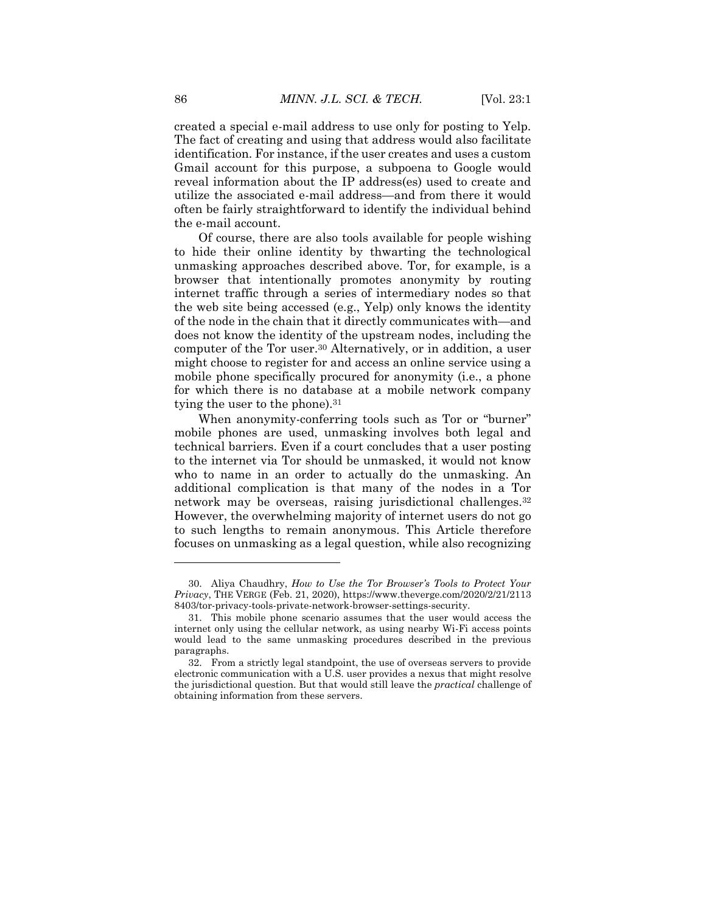created a special e-mail address to use only for posting to Yelp. The fact of creating and using that address would also facilitate identification. For instance, if the user creates and uses a custom Gmail account for this purpose, a subpoena to Google would reveal information about the IP address(es) used to create and utilize the associated e-mail address—and from there it would often be fairly straightforward to identify the individual behind the e-mail account.

Of course, there are also tools available for people wishing to hide their online identity by thwarting the technological unmasking approaches described above. Tor, for example, is a browser that intentionally promotes anonymity by routing internet traffic through a series of intermediary nodes so that the web site being accessed (e.g., Yelp) only knows the identity of the node in the chain that it directly communicates with—and does not know the identity of the upstream nodes, including the computer of the Tor user.<sup>30</sup> Alternatively, or in addition, a user might choose to register for and access an online service using a mobile phone specifically procured for anonymity (i.e., a phone for which there is no database at a mobile network company tying the user to the phone).<sup>31</sup>

When anonymity-conferring tools such as Tor or "burner" mobile phones are used, unmasking involves both legal and technical barriers. Even if a court concludes that a user posting to the internet via Tor should be unmasked, it would not know who to name in an order to actually do the unmasking. An additional complication is that many of the nodes in a Tor network may be overseas, raising jurisdictional challenges.<sup>32</sup> However, the overwhelming majority of internet users do not go to such lengths to remain anonymous. This Article therefore focuses on unmasking as a legal question, while also recognizing

<sup>30.</sup> Aliya Chaudhry, *How to Use the Tor Browser's Tools to Protect Your Privacy*, THE VERGE (Feb. 21, 2020), https://www.theverge.com/2020/2/21/2113 8403/tor-privacy-tools-private-network-browser-settings-security.

<sup>31.</sup> This mobile phone scenario assumes that the user would access the internet only using the cellular network, as using nearby Wi-Fi access points would lead to the same unmasking procedures described in the previous paragraphs.

<sup>32.</sup> From a strictly legal standpoint, the use of overseas servers to provide electronic communication with a U.S. user provides a nexus that might resolve the jurisdictional question. But that would still leave the *practical* challenge of obtaining information from these servers.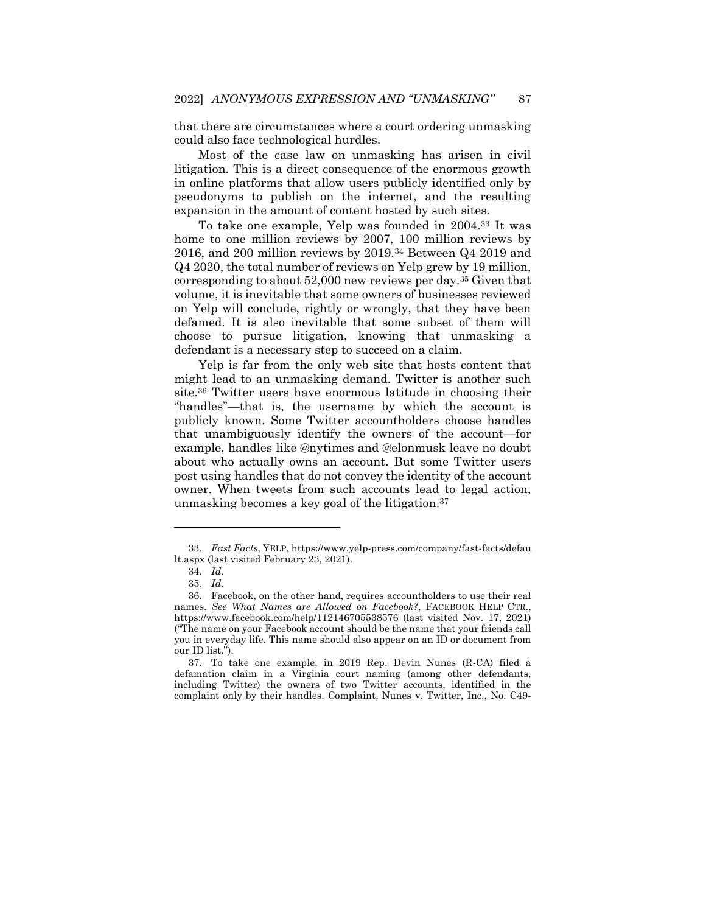that there are circumstances where a court ordering unmasking could also face technological hurdles.

Most of the case law on unmasking has arisen in civil litigation. This is a direct consequence of the enormous growth in online platforms that allow users publicly identified only by pseudonyms to publish on the internet, and the resulting expansion in the amount of content hosted by such sites.

To take one example, Yelp was founded in 2004.<sup>33</sup> It was home to one million reviews by 2007, 100 million reviews by 2016, and 200 million reviews by 2019.<sup>34</sup> Between Q4 2019 and Q4 2020, the total number of reviews on Yelp grew by 19 million, corresponding to about 52,000 new reviews per day.<sup>35</sup> Given that volume, it is inevitable that some owners of businesses reviewed on Yelp will conclude, rightly or wrongly, that they have been defamed. It is also inevitable that some subset of them will choose to pursue litigation, knowing that unmasking a defendant is a necessary step to succeed on a claim.

Yelp is far from the only web site that hosts content that might lead to an unmasking demand. Twitter is another such site.<sup>36</sup> Twitter users have enormous latitude in choosing their "handles"—that is, the username by which the account is publicly known. Some Twitter accountholders choose handles that unambiguously identify the owners of the account—for example, handles like @nytimes and @elonmusk leave no doubt about who actually owns an account. But some Twitter users post using handles that do not convey the identity of the account owner. When tweets from such accounts lead to legal action, unmasking becomes a key goal of the litigation.<sup>37</sup>

<sup>33</sup>*. Fast Facts*, YELP, https://www.yelp-press.com/company/fast-facts/defau lt.aspx (last visited February 23, 2021).

<sup>34</sup>*. Id*.

<sup>35</sup>*. Id*.

<sup>36.</sup> Facebook, on the other hand, requires accountholders to use their real names. *See What Names are Allowed on Facebook?*, FACEBOOK HELP CTR., https://www.facebook.com/help/112146705538576 (last visited Nov. 17, 2021) ("The name on your Facebook account should be the name that your friends call you in everyday life. This name should also appear on an ID or document from our ID list.").

<sup>37.</sup> To take one example, in 2019 Rep. Devin Nunes (R-CA) filed a defamation claim in a Virginia court naming (among other defendants, including Twitter) the owners of two Twitter accounts, identified in the complaint only by their handles. Complaint, Nunes v. Twitter, Inc., No. C49-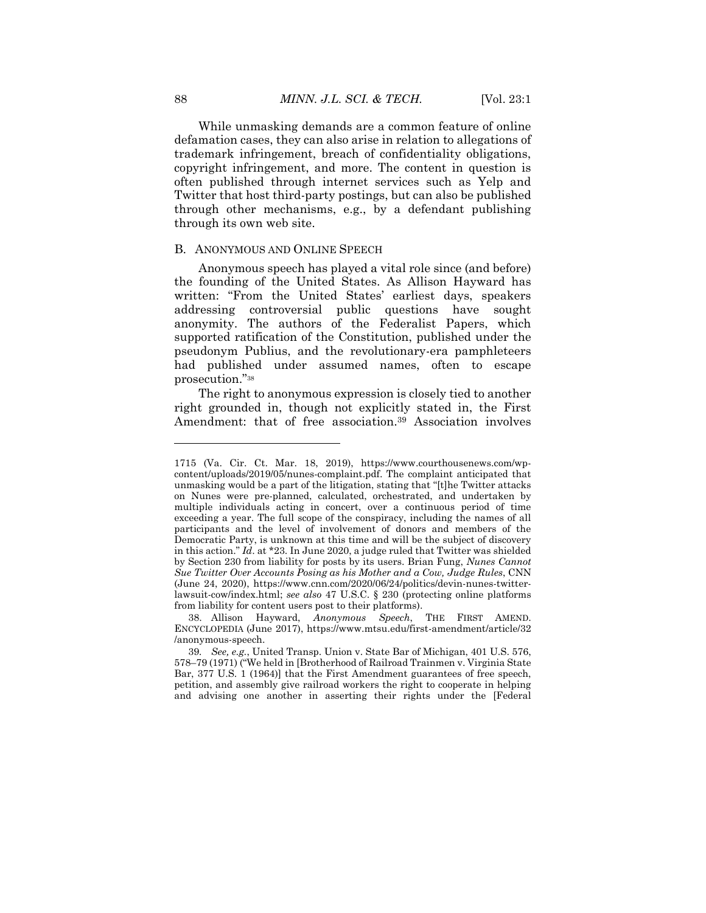While unmasking demands are a common feature of online defamation cases, they can also arise in relation to allegations of trademark infringement, breach of confidentiality obligations, copyright infringement, and more. The content in question is often published through internet services such as Yelp and Twitter that host third-party postings, but can also be published through other mechanisms, e.g., by a defendant publishing through its own web site.

#### B. ANONYMOUS AND ONLINE SPEECH

Anonymous speech has played a vital role since (and before) the founding of the United States. As Allison Hayward has written: "From the United States' earliest days, speakers addressing controversial public questions have sought anonymity. The authors of the Federalist Papers, which supported ratification of the Constitution, published under the pseudonym Publius, and the revolutionary-era pamphleteers had published under assumed names, often to escape prosecution."<sup>38</sup>

The right to anonymous expression is closely tied to another right grounded in, though not explicitly stated in, the First Amendment: that of free association.<sup>39</sup> Association involves

<sup>1715 (</sup>Va. Cir. Ct. Mar. 18, 2019), https://www.courthousenews.com/wpcontent/uploads/2019/05/nunes-complaint.pdf. The complaint anticipated that unmasking would be a part of the litigation, stating that "[t]he Twitter attacks on Nunes were pre-planned, calculated, orchestrated, and undertaken by multiple individuals acting in concert, over a continuous period of time exceeding a year. The full scope of the conspiracy, including the names of all participants and the level of involvement of donors and members of the Democratic Party, is unknown at this time and will be the subject of discovery in this action." *Id*. at \*23. In June 2020, a judge ruled that Twitter was shielded by Section 230 from liability for posts by its users. Brian Fung, *Nunes Cannot Sue Twitter Over Accounts Posing as his Mother and a Cow, Judge Rules*, CNN (June 24, 2020), https://www.cnn.com/2020/06/24/politics/devin-nunes-twitterlawsuit-cow/index.html; *see also* 47 U.S.C. § 230 (protecting online platforms from liability for content users post to their platforms).

<sup>38.</sup> Allison Hayward, *Anonymous Speech*, THE FIRST AMEND. ENCYCLOPEDIA (June 2017), https://www.mtsu.edu/first-amendment/article/32 /anonymous-speech.

<sup>39</sup>*. See, e.g.*, United Transp. Union v. State Bar of Michigan, 401 U.S. 576, 578–79 (1971) ("We held in [Brotherhood of Railroad Trainmen v. Virginia State Bar, 377 U.S. 1 (1964)] that the First Amendment guarantees of free speech, petition, and assembly give railroad workers the right to cooperate in helping and advising one another in asserting their rights under the [Federal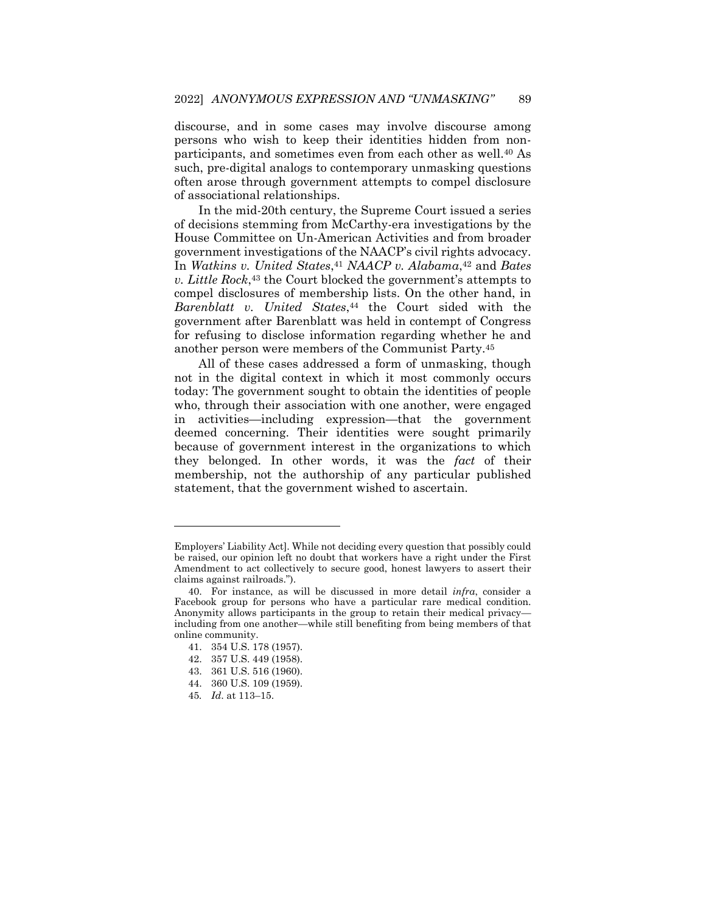discourse, and in some cases may involve discourse among persons who wish to keep their identities hidden from nonparticipants, and sometimes even from each other as well.<sup>40</sup> As such, pre-digital analogs to contemporary unmasking questions often arose through government attempts to compel disclosure of associational relationships.

In the mid-20th century, the Supreme Court issued a series of decisions stemming from McCarthy-era investigations by the House Committee on Un-American Activities and from broader government investigations of the NAACP's civil rights advocacy. In *Watkins v. United States*, <sup>41</sup> *NAACP v. Alabama*, <sup>42</sup> and *Bates v. Little Rock*, <sup>43</sup> the Court blocked the government's attempts to compel disclosures of membership lists. On the other hand, in *Barenblatt v. United States*, <sup>44</sup> the Court sided with the government after Barenblatt was held in contempt of Congress for refusing to disclose information regarding whether he and another person were members of the Communist Party.<sup>45</sup>

All of these cases addressed a form of unmasking, though not in the digital context in which it most commonly occurs today: The government sought to obtain the identities of people who, through their association with one another, were engaged in activities—including expression—that the government deemed concerning. Their identities were sought primarily because of government interest in the organizations to which they belonged. In other words, it was the *fact* of their membership, not the authorship of any particular published statement, that the government wished to ascertain.

Employers' Liability Act]. While not deciding every question that possibly could be raised, our opinion left no doubt that workers have a right under the First Amendment to act collectively to secure good, honest lawyers to assert their claims against railroads.").

<sup>40.</sup> For instance, as will be discussed in more detail *infra*, consider a Facebook group for persons who have a particular rare medical condition. Anonymity allows participants in the group to retain their medical privacy including from one another—while still benefiting from being members of that online community.

<sup>41.</sup> 354 U.S. 178 (1957).

<sup>42.</sup> 357 U.S. 449 (1958).

<sup>43.</sup> 361 U.S. 516 (1960).

<sup>44.</sup> 360 U.S. 109 (1959).

<sup>45</sup>*. Id*. at 113–15.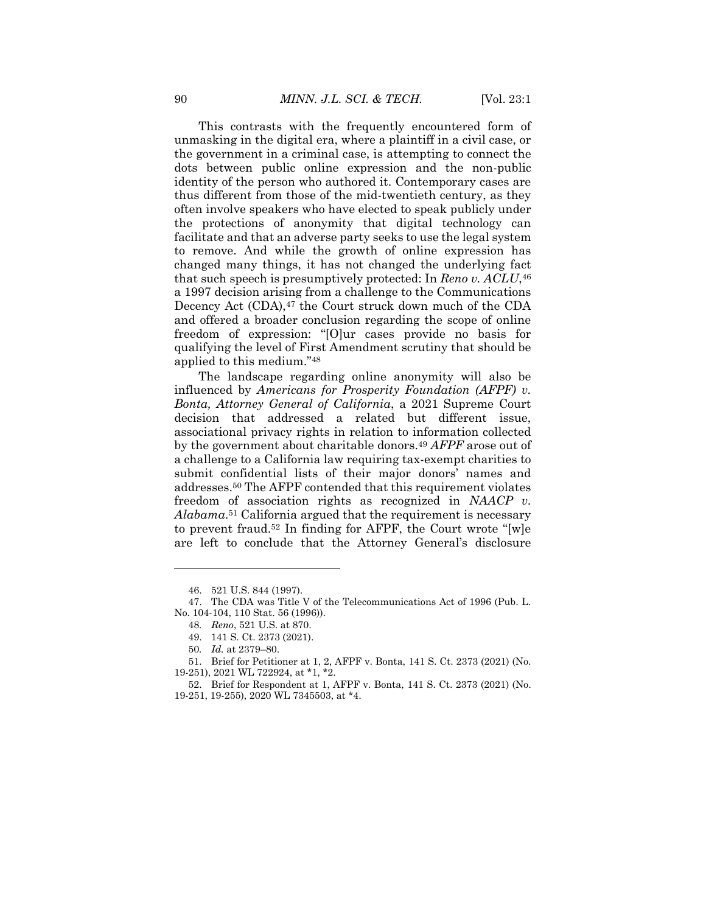This contrasts with the frequently encountered form of unmasking in the digital era, where a plaintiff in a civil case, or the government in a criminal case, is attempting to connect the dots between public online expression and the non-public identity of the person who authored it. Contemporary cases are thus different from those of the mid-twentieth century, as they often involve speakers who have elected to speak publicly under the protections of anonymity that digital technology can facilitate and that an adverse party seeks to use the legal system to remove. And while the growth of online expression has changed many things, it has not changed the underlying fact that such speech is presumptively protected: In *Reno v. ACLU*, 46 a 1997 decision arising from a challenge to the Communications Decency Act (CDA),<sup>47</sup> the Court struck down much of the CDA and offered a broader conclusion regarding the scope of online freedom of expression: "[O]ur cases provide no basis for qualifying the level of First Amendment scrutiny that should be applied to this medium."<sup>48</sup>

The landscape regarding online anonymity will also be influenced by *Americans for Prosperity Foundation (AFPF) v. Bonta, Attorney General of California*, a 2021 Supreme Court decision that addressed a related but different issue, associational privacy rights in relation to information collected by the government about charitable donors.<sup>49</sup> *AFPF* arose out of a challenge to a California law requiring tax-exempt charities to submit confidential lists of their major donors' names and addresses.<sup>50</sup> The AFPF contended that this requirement violates freedom of association rights as recognized in *NAACP v. Alabama*. <sup>51</sup> California argued that the requirement is necessary to prevent fraud.<sup>52</sup> In finding for AFPF, the Court wrote "[w]e are left to conclude that the Attorney General's disclosure

<sup>46.</sup> 521 U.S. 844 (1997).

<sup>47.</sup> The CDA was Title V of the Telecommunications Act of 1996 (Pub. L. No. 104-104, 110 Stat. 56 (1996)).

<sup>48</sup>*. Reno*, 521 U.S. at 870.

<sup>49.</sup> 141 S. Ct. 2373 (2021).

<sup>50</sup>*. Id.* at 2379–80.

<sup>51.</sup> Brief for Petitioner at 1, 2, AFPF v. Bonta, 141 S. Ct. 2373 (2021) (No. 19-251), 2021 WL 722924, at \*1, \*2.

<sup>52.</sup> Brief for Respondent at 1, AFPF v. Bonta, 141 S. Ct. 2373 (2021) (No. 19-251, 19-255), 2020 WL 7345503, at \*4.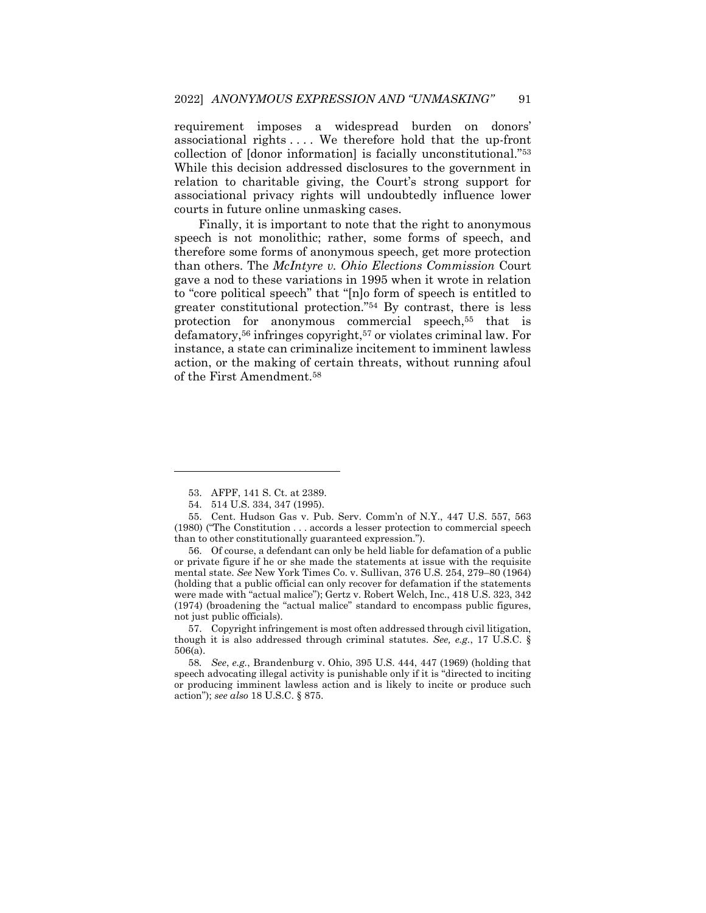requirement imposes a widespread burden on donors' associational rights . . . . We therefore hold that the up-front collection of [donor information] is facially unconstitutional."<sup>53</sup> While this decision addressed disclosures to the government in relation to charitable giving, the Court's strong support for associational privacy rights will undoubtedly influence lower courts in future online unmasking cases.

Finally, it is important to note that the right to anonymous speech is not monolithic; rather, some forms of speech, and therefore some forms of anonymous speech, get more protection than others. The *McIntyre v. Ohio Elections Commission* Court gave a nod to these variations in 1995 when it wrote in relation to "core political speech" that "[n]o form of speech is entitled to greater constitutional protection."<sup>54</sup> By contrast, there is less protection for anonymous commercial speech,<sup>55</sup> that is defamatory,<sup>56</sup> infringes copyright,<sup>57</sup> or violates criminal law. For instance, a state can criminalize incitement to imminent lawless action, or the making of certain threats, without running afoul of the First Amendment.<sup>58</sup>

<sup>53.</sup> AFPF, 141 S. Ct. at 2389.

<sup>54.</sup> 514 U.S. 334, 347 (1995).

<sup>55.</sup> Cent. Hudson Gas v. Pub. Serv. Comm'n of N.Y., 447 U.S. 557, 563 (1980) ("The Constitution . . . accords a lesser protection to commercial speech than to other constitutionally guaranteed expression.").

<sup>56.</sup> Of course, a defendant can only be held liable for defamation of a public or private figure if he or she made the statements at issue with the requisite mental state. *See* New York Times Co. v. Sullivan, 376 U.S. 254, 279–80 (1964) (holding that a public official can only recover for defamation if the statements were made with "actual malice"); Gertz v. Robert Welch, Inc., 418 U.S. 323, 342 (1974) (broadening the "actual malice" standard to encompass public figures, not just public officials).

<sup>57.</sup> Copyright infringement is most often addressed through civil litigation, though it is also addressed through criminal statutes. *See, e.g.*, 17 U.S.C. § 506(a).

<sup>58</sup>*. See*, *e.g.*, Brandenburg v. Ohio, 395 U.S. 444, 447 (1969) (holding that speech advocating illegal activity is punishable only if it is "directed to inciting or producing imminent lawless action and is likely to incite or produce such action"); *see also* 18 U.S.C. § 875.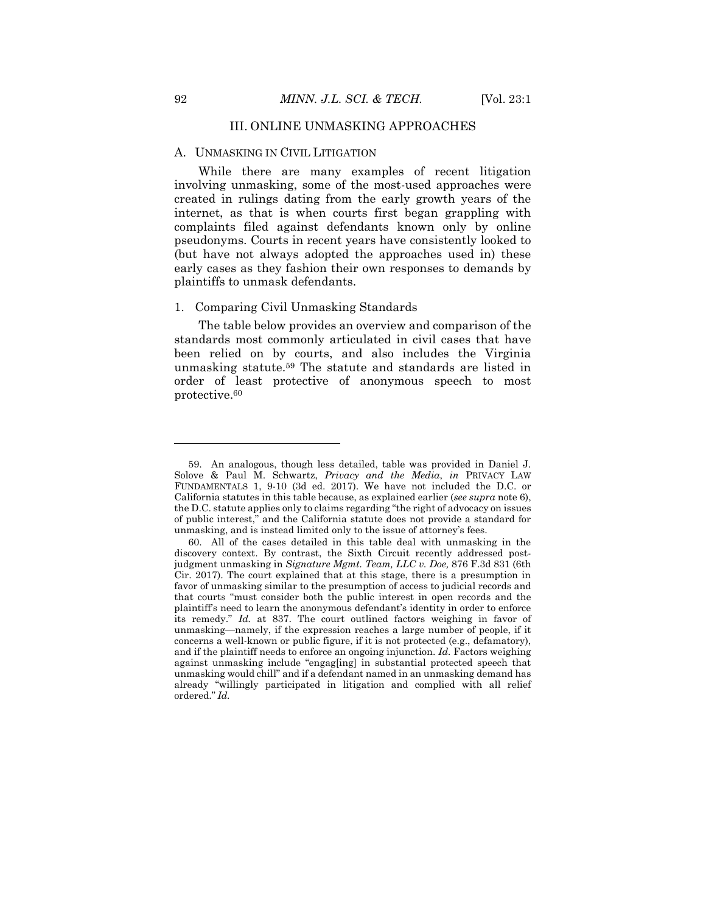# III. ONLINE UNMASKING APPROACHES

### A. UNMASKING IN CIVIL LITIGATION

While there are many examples of recent litigation involving unmasking, some of the most-used approaches were created in rulings dating from the early growth years of the internet, as that is when courts first began grappling with complaints filed against defendants known only by online pseudonyms. Courts in recent years have consistently looked to (but have not always adopted the approaches used in) these early cases as they fashion their own responses to demands by plaintiffs to unmask defendants.

#### 1. Comparing Civil Unmasking Standards

The table below provides an overview and comparison of the standards most commonly articulated in civil cases that have been relied on by courts, and also includes the Virginia unmasking statute.<sup>59</sup> The statute and standards are listed in order of least protective of anonymous speech to most protective.<sup>60</sup>

<sup>59.</sup> An analogous, though less detailed, table was provided in Daniel J. Solove & Paul M. Schwartz, *Privacy and the Media*, *in* PRIVACY LAW FUNDAMENTALS 1, 9-10 (3d ed. 2017). We have not included the D.C. or California statutes in this table because, as explained earlier (*see supra* note 6), the D.C. statute applies only to claims regarding "the right of advocacy on issues of public interest," and the California statute does not provide a standard for unmasking, and is instead limited only to the issue of attorney's fees.

<sup>60.</sup> All of the cases detailed in this table deal with unmasking in the discovery context. By contrast, the Sixth Circuit recently addressed postjudgment unmasking in *Signature Mgmt. Team, LLC v. Doe,* 876 F.3d 831 (6th Cir. 2017). The court explained that at this stage, there is a presumption in favor of unmasking similar to the presumption of access to judicial records and that courts "must consider both the public interest in open records and the plaintiff's need to learn the anonymous defendant's identity in order to enforce its remedy." *Id.* at 837. The court outlined factors weighing in favor of unmasking—namely, if the expression reaches a large number of people, if it concerns a well-known or public figure, if it is not protected (e.g., defamatory), and if the plaintiff needs to enforce an ongoing injunction. *Id.* Factors weighing against unmasking include "engag[ing] in substantial protected speech that unmasking would chill" and if a defendant named in an unmasking demand has already "willingly participated in litigation and complied with all relief ordered." *Id.*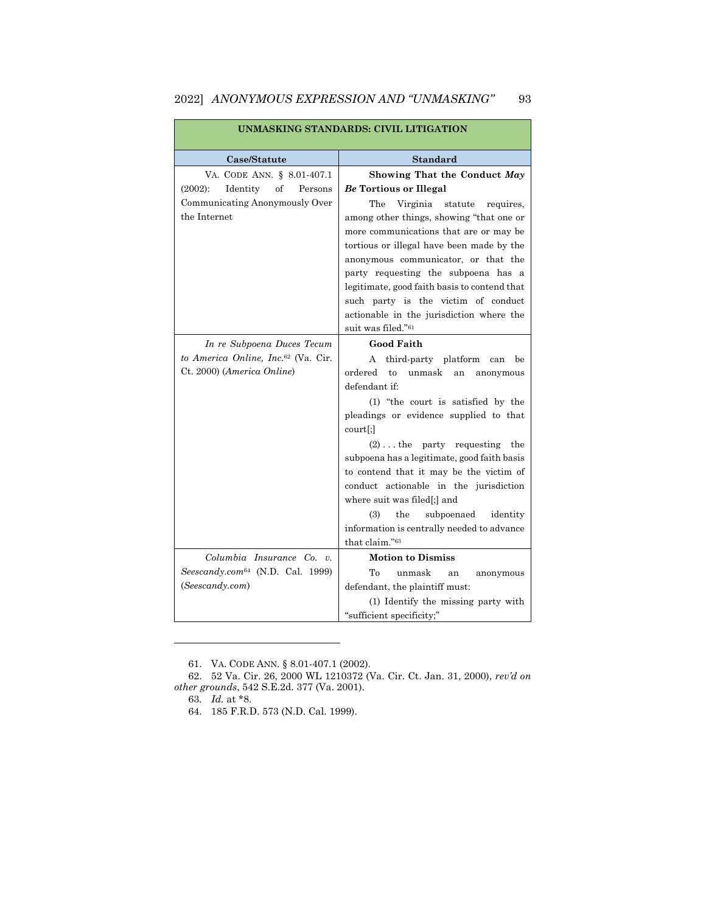| UNMASKING STANDARDS: CIVIL LITIGATION              |                                                                                                                                                                                                                                                                                                                                                                                                                               |  |  |
|----------------------------------------------------|-------------------------------------------------------------------------------------------------------------------------------------------------------------------------------------------------------------------------------------------------------------------------------------------------------------------------------------------------------------------------------------------------------------------------------|--|--|
| Case/Statute                                       | <b>Standard</b>                                                                                                                                                                                                                                                                                                                                                                                                               |  |  |
| VA. CODE ANN. § 8.01-407.1                         | Showing That the Conduct May                                                                                                                                                                                                                                                                                                                                                                                                  |  |  |
| $(2002)$ :<br>Identity<br><sub>of</sub><br>Persons | Be Tortious or Illegal                                                                                                                                                                                                                                                                                                                                                                                                        |  |  |
| Communicating Anonymously Over<br>the Internet     | The<br>Virginia<br>statute<br>requires,<br>among other things, showing "that one or<br>more communications that are or may be<br>tortious or illegal have been made by the<br>anonymous communicator, or that the<br>party requesting the subpoena has a<br>legitimate, good faith basis to contend that<br>such party is the victim of conduct<br>actionable in the jurisdiction where the<br>suit was filed." <sup>61</sup> |  |  |
| In re Subpoena Duces Tecum                         | <b>Good Faith</b>                                                                                                                                                                                                                                                                                                                                                                                                             |  |  |
| to America Online, Inc. <sup>62</sup> (Va. Cir.    | third-party platform<br>A<br>be<br>can                                                                                                                                                                                                                                                                                                                                                                                        |  |  |
| Ct. 2000) (America Online)                         | ordered<br>to<br>unmask<br>an<br>anonymous<br>defendant if:<br>(1) "the court is satisfied by the<br>pleadings or evidence supplied to that<br>$court$ ;]<br>$(2) \ldots$ the party requesting the<br>subpoena has a legitimate, good faith basis<br>to contend that it may be the victim of<br>conduct actionable in the jurisdiction<br>where suit was filed[;] and                                                         |  |  |
|                                                    | (3)<br>subpoenaed<br>the<br>identity<br>information is centrally needed to advance<br>that claim."63                                                                                                                                                                                                                                                                                                                          |  |  |
| Columbia Insurance Co. v.                          | <b>Motion to Dismiss</b>                                                                                                                                                                                                                                                                                                                                                                                                      |  |  |
| $See scandy.com64$ (N.D. Cal. 1999)                | Tо<br>unmask<br>an<br>anonymous                                                                                                                                                                                                                                                                                                                                                                                               |  |  |

# 2022] *ANONYMOUS EXPRESSION AND "UNMASKING"* 93

defendant, the plaintiff must:

"sufficient specificity;"

(1) Identify the missing party with

(*Seescandy.com*)

<sup>61.</sup> VA. CODE ANN. § 8.01-407.1 (2002).

<sup>62.</sup> 52 Va. Cir. 26, 2000 WL 1210372 (Va. Cir. Ct. Jan. 31, 2000), *rev'd on other grounds*, 542 S.E.2d. 377 (Va. 2001).

<sup>63</sup>*. Id.* at \*8.

<sup>64.</sup> 185 F.R.D. 573 (N.D. Cal. 1999).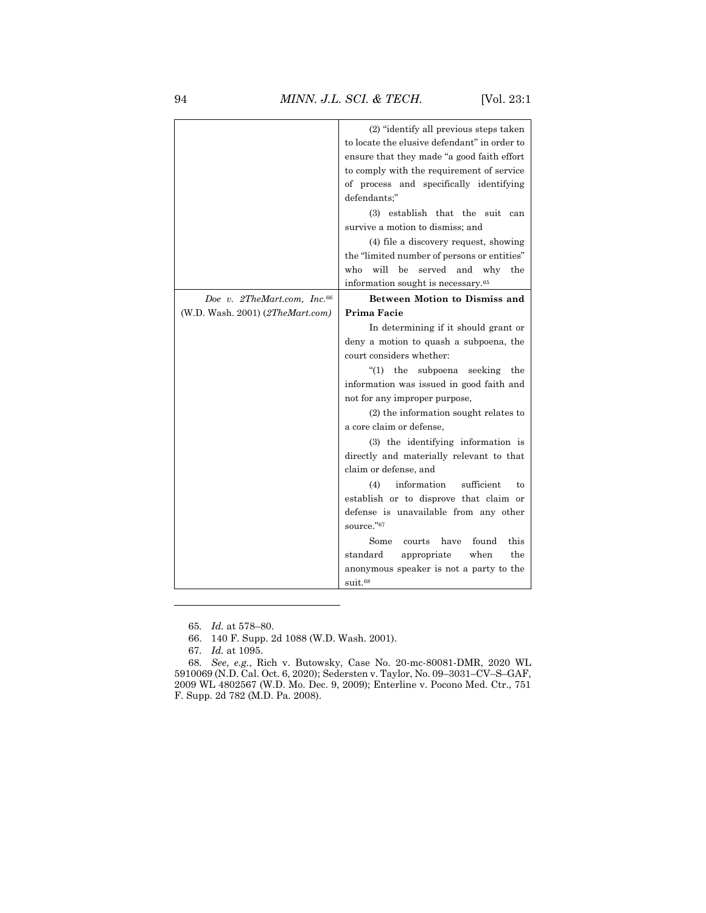|                                         | (2) "identify all previous steps taken         |
|-----------------------------------------|------------------------------------------------|
|                                         | to locate the elusive defendant" in order to   |
|                                         | ensure that they made "a good faith effort     |
|                                         | to comply with the requirement of service      |
|                                         | of process and specifically identifying        |
|                                         | defendants;"                                   |
|                                         | (3) establish that the suit<br>can             |
|                                         | survive a motion to dismiss; and               |
|                                         | (4) file a discovery request, showing          |
|                                         | the "limited number of persons or entities"    |
|                                         | will<br>who<br>be<br>served<br>and why<br>the  |
|                                         | information sought is necessary. <sup>65</sup> |
| Doe v. 2TheMart.com, Inc. <sup>66</sup> | <b>Between Motion to Dismiss and</b>           |
| (W.D. Wash. 2001) $(2The Mart.com)$     | Prima Facie                                    |
|                                         | In determining if it should grant or           |
|                                         | deny a motion to quash a subpoena, the         |
|                                         | court considers whether:                       |
|                                         | (1)<br>the<br>subpoena<br>seeking<br>the       |
|                                         | information was issued in good faith and       |
|                                         | not for any improper purpose,                  |
|                                         | (2) the information sought relates to          |
|                                         | a core claim or defense,                       |
|                                         | (3) the identifying information is             |
|                                         | directly and materially relevant to that       |
|                                         | claim or defense, and                          |
|                                         | (4)<br>information<br>sufficient<br>to         |
|                                         | establish or to disprove that claim or         |
|                                         | defense is unavailable from any other          |
|                                         | source."67                                     |
|                                         | Some<br>have<br>found<br>this<br>courts        |
|                                         | standard<br>when<br>the<br>appropriate         |
|                                         | anonymous speaker is not a party to the        |
|                                         |                                                |
|                                         | $s$ uit. $68$                                  |

<sup>65</sup>*. Id.* at 578–80.

<sup>66.</sup> 140 F. Supp. 2d 1088 (W.D. Wash. 2001).

<sup>67</sup>*. Id.* at 1095.

<sup>68</sup>*. See*, *e.g.*, Rich v. Butowsky, Case No. 20-mc-80081-DMR, 2020 WL 5910069 (N.D. Cal. Oct. 6, 2020); Sedersten v. Taylor, No. 09–3031–CV–S–GAF, 2009 WL 4802567 (W.D. Mo. Dec. 9, 2009); Enterline v. Pocono Med. Ctr., 751 F. Supp. 2d 782 (M.D. Pa. 2008).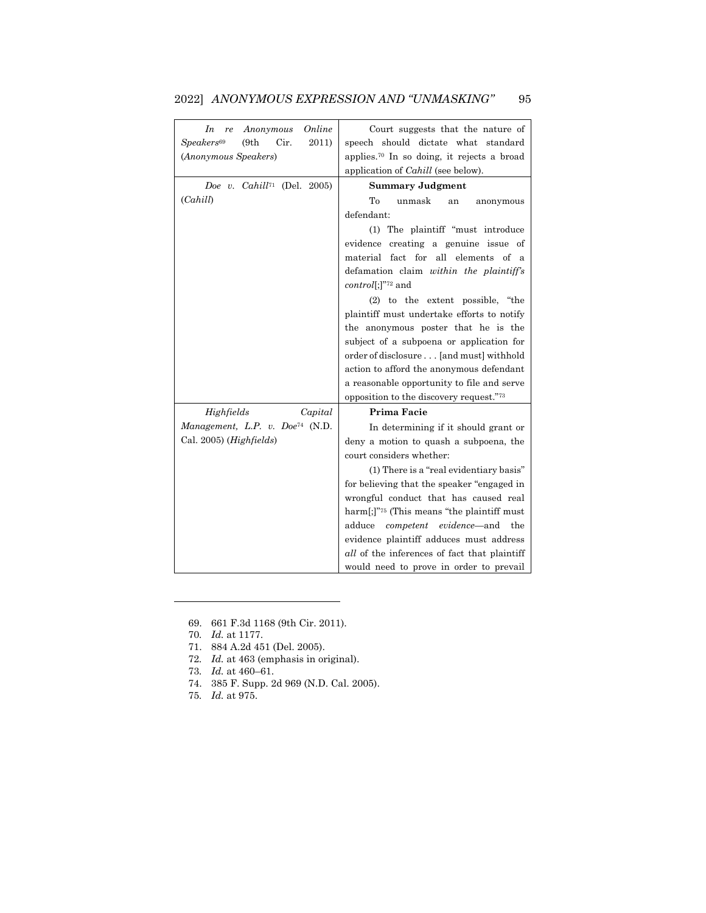| Online<br>In<br>Anonymous<br>re                  | Court suggests that the nature of                      |
|--------------------------------------------------|--------------------------------------------------------|
| Speakers <sup>69</sup><br>(9th)<br>Cir.<br>2011) | speech should dictate what standard                    |
| (Anonymous Speakers)                             | applies. <sup>70</sup> In so doing, it rejects a broad |
|                                                  | application of <i>Cahill</i> (see below).              |
| Doe v. Cahill <sup>71</sup> (Del. 2005)          | <b>Summary Judgment</b>                                |
| (Cahill)                                         | To<br>unmask<br>anonymous<br>an                        |
|                                                  | defendant:                                             |
|                                                  | (1) The plaintiff "must introduce                      |
|                                                  | evidence creating a genuine issue of                   |
|                                                  | material fact for all elements of a                    |
|                                                  | defamation claim within the plaintiff's                |
|                                                  | $control[:]^{272}$ and                                 |
|                                                  | (2) to the extent possible, "the                       |
|                                                  | plaintiff must undertake efforts to notify             |
|                                                  | the anonymous poster that he is the                    |
|                                                  | subject of a subpoena or application for               |
|                                                  | order of disclosure [and must] withhold                |
|                                                  | action to afford the anonymous defendant               |
|                                                  | a reasonable opportunity to file and serve             |
|                                                  | opposition to the discovery request."73                |
| Highfields<br>Capital                            | Prima Facie                                            |
| Management, L.P. v. Doe <sup>74</sup> (N.D.      | In determining if it should grant or                   |
| Cal. $2005$ ) (Highfields)                       | deny a motion to quash a subpoena, the                 |
|                                                  | court considers whether:                               |
|                                                  | (1) There is a "real evidentiary basis"                |
|                                                  | for believing that the speaker "engaged in             |
|                                                  | wrongful conduct that has caused real                  |
|                                                  | harm[;]" $75$ (This means "the plaintiff must"         |
|                                                  | adduce <i>competent</i> evidence—and the               |
|                                                  | evidence plaintiff adduces must address                |
|                                                  | <i>all</i> of the inferences of fact that plaintiff    |
|                                                  | would need to prove in order to prevail                |

# 2022] *ANONYMOUS EXPRESSION AND "UNMASKING"* 95

69. 661 F.3d 1168 (9th Cir. 2011).

70*. Id.* at 1177.

 $\overline{a}$ 

71. 884 A.2d 451 (Del. 2005).

72*. Id.* at 463 (emphasis in original).

73*. Id.* at 460–61.

- 74. 385 F. Supp. 2d 969 (N.D. Cal. 2005).
- 75*. Id.* at 975.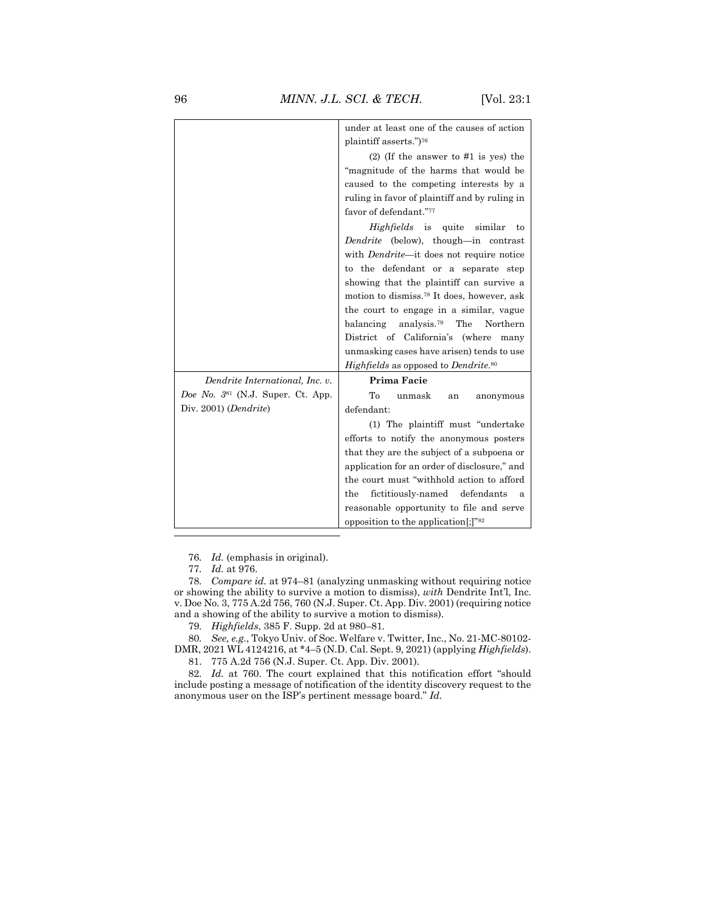|                                   | under at least one of the causes of action              |
|-----------------------------------|---------------------------------------------------------|
|                                   | plaintiff asserts.")76                                  |
|                                   | $(2)$ (If the answer to #1 is yes) the                  |
|                                   | "magnitude of the harms that would be                   |
|                                   | caused to the competing interests by a                  |
|                                   | ruling in favor of plaintiff and by ruling in           |
|                                   | favor of defendant."77                                  |
|                                   | <i>Highfields</i> is quite similar<br>to                |
|                                   | Dendrite (below), though—in contrast                    |
|                                   | with <i>Dendrite</i> -it does not require notice        |
|                                   | to the defendant or a separate step                     |
|                                   | showing that the plaintiff can survive a                |
|                                   | motion to dismiss. <sup>78</sup> It does, however, ask  |
|                                   | the court to engage in a similar, vague                 |
|                                   | The<br>balancing<br>analysis. <sup>79</sup><br>Northern |
|                                   | District of California's (where many                    |
|                                   | unmasking cases have arisen) tends to use               |
|                                   | Highfields as opposed to Dendrite. <sup>80</sup>        |
| Dendrite International, Inc. v.   | Prima Facie                                             |
| Doe No. 381 (N.J. Super. Ct. App. | To<br>unmask<br>anonymous<br>an                         |
| Div. $2001$ ( <i>Dendrite</i> )   | defendant:                                              |
|                                   | (1) The plaintiff must "undertake"                      |
|                                   | efforts to notify the anonymous posters                 |
|                                   | that they are the subject of a subpoena or              |
|                                   | application for an order of disclosure," and            |
|                                   | the court must "withhold action to afford               |
|                                   | defendants<br>fictitiously-named<br>the<br>a            |
|                                   | reasonable opportunity to file and serve                |
|                                   | opposition to the application $[$ ; $]$ <sup>"82</sup>  |
|                                   |                                                         |

76*. Id.* (emphasis in original).

78*. Compare id.* at 974–81 (analyzing unmasking without requiring notice or showing the ability to survive a motion to dismiss), *with* Dendrite Int'l, Inc. v. Doe No. 3, 775 A.2d 756, 760 (N.J. Super. Ct. App. Div. 2001) (requiring notice and a showing of the ability to survive a motion to dismiss).

79*. Highfields*, 385 F. Supp. 2d at 980–81.

80*. See, e.g.*, Tokyo Univ. of Soc. Welfare v. Twitter, Inc., No. 21-MC-80102- DMR, 2021 WL 4124216, at \*4–5 (N.D. Cal. Sept. 9, 2021) (applying *Highfields*).

81. 775 A.2d 756 (N.J. Super. Ct. App. Div. 2001).

82*. Id.* at 760. The court explained that this notification effort "should include posting a message of notification of the identity discovery request to the anonymous user on the ISP's pertinent message board." *Id.*

<sup>77</sup>*. Id.* at 976.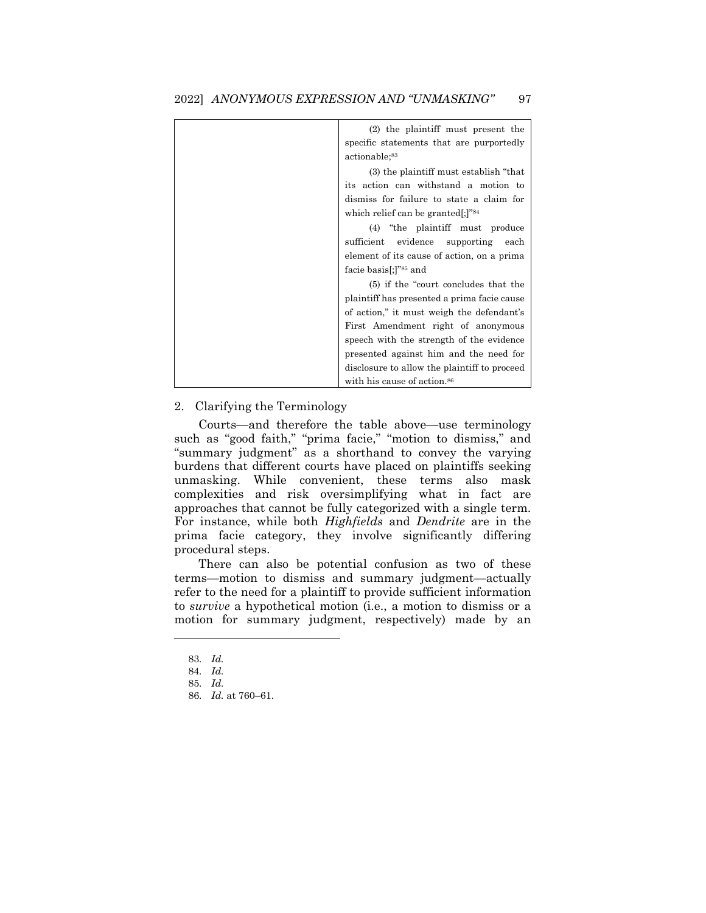| (2) the plaintiff must present the           |
|----------------------------------------------|
| specific statements that are purportedly     |
| actionable; <sup>83</sup>                    |
| (3) the plaintiff must establish "that       |
| its action can withstand a motion to         |
| dismiss for failure to state a claim for     |
| which relief can be granted[;]" $84$         |
| (4) "the plaintiff must produce              |
| sufficient<br>evidence supporting each       |
| element of its cause of action, on a prima   |
| facie basis[;]" <sup>85</sup> and            |
| (5) if the "court concludes that the         |
| plaintiff has presented a prima facie cause  |
| of action," it must weigh the defendant's    |
| First Amendment right of anonymous           |
| speech with the strength of the evidence     |
| presented against him and the need for       |
| disclosure to allow the plaintiff to proceed |
| with his cause of action. <sup>86</sup>      |

# 2. Clarifying the Terminology

Courts—and therefore the table above—use terminology such as "good faith," "prima facie," "motion to dismiss," and "summary judgment" as a shorthand to convey the varying burdens that different courts have placed on plaintiffs seeking unmasking. While convenient, these terms also mask complexities and risk oversimplifying what in fact are approaches that cannot be fully categorized with a single term. For instance, while both *Highfields* and *Dendrite* are in the prima facie category, they involve significantly differing procedural steps.

There can also be potential confusion as two of these terms—motion to dismiss and summary judgment—actually refer to the need for a plaintiff to provide sufficient information to *survive* a hypothetical motion (i.e., a motion to dismiss or a motion for summary judgment, respectively) made by an

<sup>83</sup>*. Id.*

<sup>84</sup>*. Id.*

<sup>85</sup>*. Id.*

<sup>86</sup>*. Id.* at 760–61.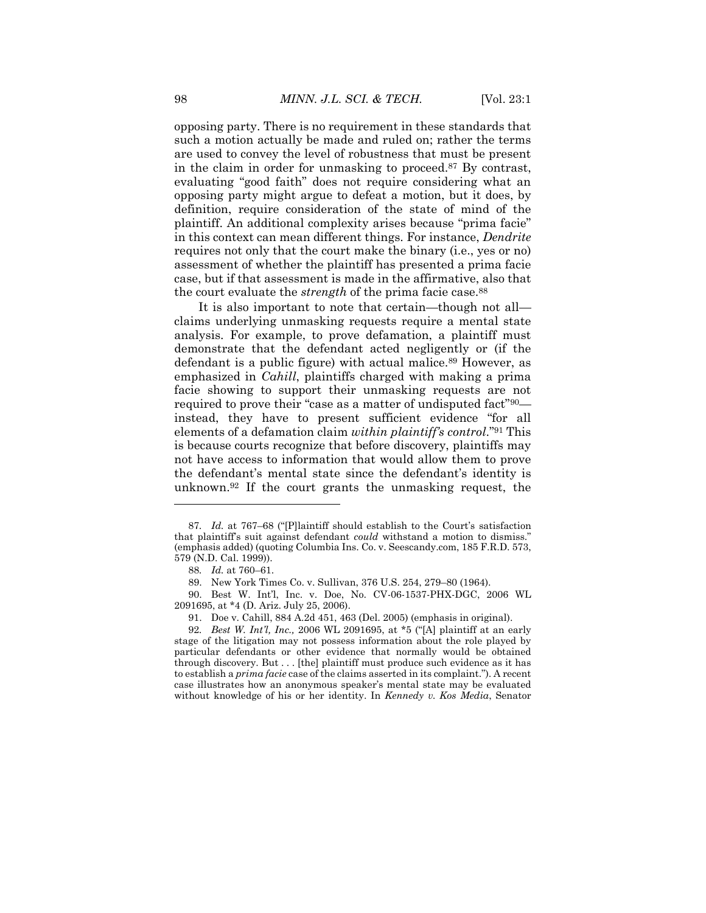opposing party. There is no requirement in these standards that such a motion actually be made and ruled on; rather the terms are used to convey the level of robustness that must be present in the claim in order for unmasking to proceed.<sup>87</sup> By contrast, evaluating "good faith" does not require considering what an opposing party might argue to defeat a motion, but it does, by definition, require consideration of the state of mind of the plaintiff. An additional complexity arises because "prima facie" in this context can mean different things. For instance, *Dendrite* requires not only that the court make the binary (i.e., yes or no) assessment of whether the plaintiff has presented a prima facie case, but if that assessment is made in the affirmative, also that the court evaluate the *strength* of the prima facie case.<sup>88</sup>

It is also important to note that certain—though not all claims underlying unmasking requests require a mental state analysis. For example, to prove defamation, a plaintiff must demonstrate that the defendant acted negligently or (if the defendant is a public figure) with actual malice.<sup>89</sup> However, as emphasized in *Cahill*, plaintiffs charged with making a prima facie showing to support their unmasking requests are not required to prove their "case as a matter of undisputed fact"90 instead, they have to present sufficient evidence "for all elements of a defamation claim *within plaintiff's control*."<sup>91</sup> This is because courts recognize that before discovery, plaintiffs may not have access to information that would allow them to prove the defendant's mental state since the defendant's identity is unknown.<sup>92</sup> If the court grants the unmasking request, the

<sup>87</sup>*. Id.* at 767–68 ("[P]laintiff should establish to the Court's satisfaction that plaintiff's suit against defendant *could* withstand a motion to dismiss." (emphasis added) (quoting Columbia Ins. Co. v. Seescandy.com, 185 F.R.D. 573, 579 (N.D. Cal. 1999)).

<sup>88</sup>*. Id.* at 760–61.

<sup>89.</sup> New York Times Co. v. Sullivan, 376 U.S. 254, 279–80 (1964).

<sup>90.</sup> Best W. Int'l, Inc. v. Doe, No. CV-06-1537-PHX-DGC, 2006 WL 2091695, at \*4 (D. Ariz. July 25, 2006).

<sup>91.</sup> Doe v. Cahill, 884 A.2d 451, 463 (Del. 2005) (emphasis in original).

<sup>92</sup>*. Best W. Int'l, Inc.,* 2006 WL 2091695, at \*5 ("[A] plaintiff at an early stage of the litigation may not possess information about the role played by particular defendants or other evidence that normally would be obtained through discovery. But . . . [the] plaintiff must produce such evidence as it has to establish a *prima facie* case of the claims asserted in its complaint."). A recent case illustrates how an anonymous speaker's mental state may be evaluated without knowledge of his or her identity. In *Kennedy v. Kos Media*, Senator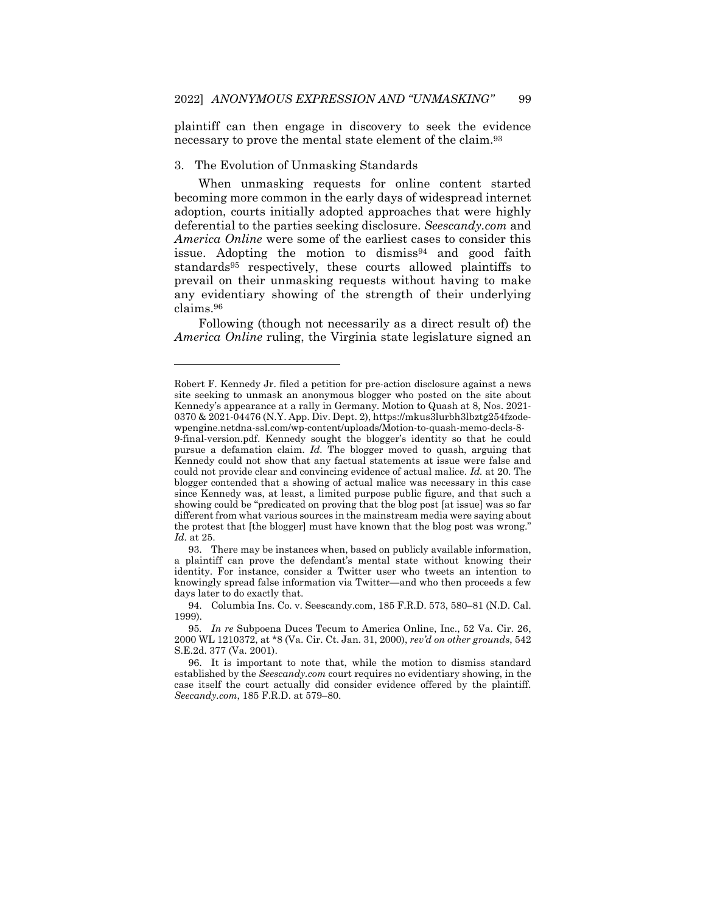plaintiff can then engage in discovery to seek the evidence necessary to prove the mental state element of the claim.<sup>93</sup>

# 3. The Evolution of Unmasking Standards

 $\overline{\phantom{a}}$ 

When unmasking requests for online content started becoming more common in the early days of widespread internet adoption, courts initially adopted approaches that were highly deferential to the parties seeking disclosure. *Seescandy.com* and *America Online* were some of the earliest cases to consider this issue. Adopting the motion to dismiss<sup>94</sup> and good faith standards<sup>95</sup> respectively, these courts allowed plaintiffs to prevail on their unmasking requests without having to make any evidentiary showing of the strength of their underlying claims.<sup>96</sup>

Following (though not necessarily as a direct result of) the *America Online* ruling, the Virginia state legislature signed an

Robert F. Kennedy Jr. filed a petition for pre-action disclosure against a news site seeking to unmask an anonymous blogger who posted on the site about Kennedy's appearance at a rally in Germany. Motion to Quash at 8, Nos. 2021- 0370 & 2021-04476 (N.Y. App. Div. Dept. 2), https://mkus3lurbh3lbztg254fzodewpengine.netdna-ssl.com/wp-content/uploads/Motion-to-quash-memo-decls-8-

<sup>9-</sup>final-version.pdf. Kennedy sought the blogger's identity so that he could pursue a defamation claim. *Id.* The blogger moved to quash, arguing that Kennedy could not show that any factual statements at issue were false and could not provide clear and convincing evidence of actual malice. *Id.* at 20. The blogger contended that a showing of actual malice was necessary in this case since Kennedy was, at least, a limited purpose public figure, and that such a showing could be "predicated on proving that the blog post [at issue] was so far different from what various sources in the mainstream media were saying about the protest that [the blogger] must have known that the blog post was wrong." *Id.* at 25.

<sup>93.</sup> There may be instances when, based on publicly available information, a plaintiff can prove the defendant's mental state without knowing their identity. For instance, consider a Twitter user who tweets an intention to knowingly spread false information via Twitter—and who then proceeds a few days later to do exactly that.

<sup>94.</sup> Columbia Ins. Co. v. Seescandy.com, 185 F.R.D. 573, 580–81 (N.D. Cal. 1999).

<sup>95</sup>*. In re* Subpoena Duces Tecum to America Online, Inc., 52 Va. Cir. 26, 2000 WL 1210372, at \*8 (Va. Cir. Ct. Jan. 31, 2000), *rev'd on other grounds*, 542 S.E.2d. 377 (Va. 2001).

<sup>96.</sup> It is important to note that, while the motion to dismiss standard established by the *Seescandy.com* court requires no evidentiary showing, in the case itself the court actually did consider evidence offered by the plaintiff. *Seecandy.com*, 185 F.R.D. at 579–80.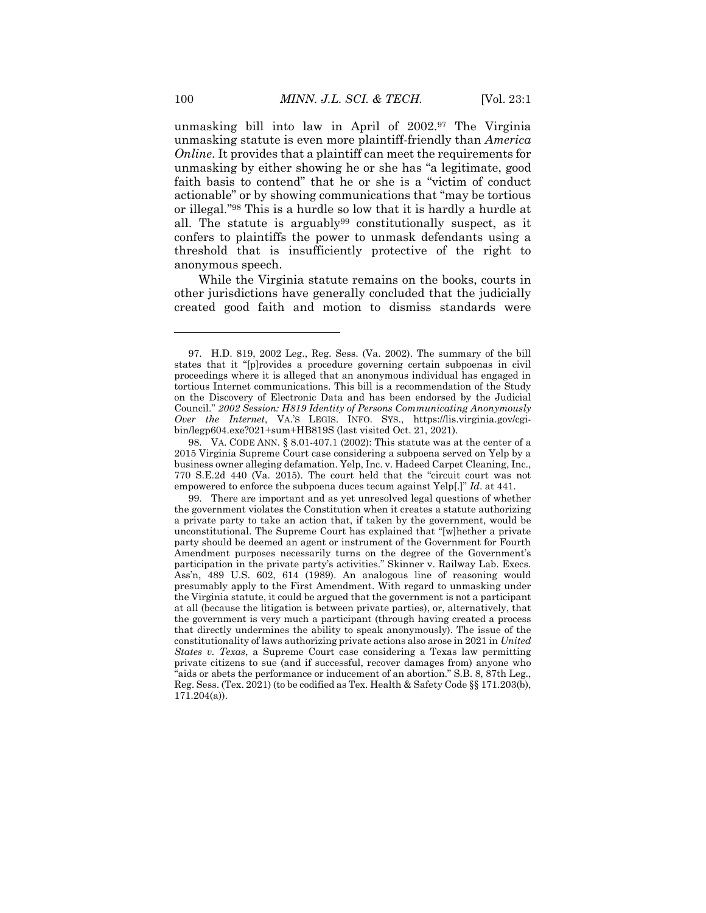unmasking bill into law in April of 2002.<sup>97</sup> The Virginia unmasking statute is even more plaintiff-friendly than *America Online*. It provides that a plaintiff can meet the requirements for unmasking by either showing he or she has "a legitimate, good faith basis to contend" that he or she is a "victim of conduct actionable" or by showing communications that "may be tortious or illegal."<sup>98</sup> This is a hurdle so low that it is hardly a hurdle at all. The statute is arguably<sup>99</sup> constitutionally suspect, as it confers to plaintiffs the power to unmask defendants using a threshold that is insufficiently protective of the right to anonymous speech.

While the Virginia statute remains on the books, courts in other jurisdictions have generally concluded that the judicially created good faith and motion to dismiss standards were

98. VA. CODE ANN. § 8.01-407.1 (2002): This statute was at the center of a 2015 Virginia Supreme Court case considering a subpoena served on Yelp by a business owner alleging defamation. Yelp, Inc. v. Hadeed Carpet Cleaning, Inc., 770 S.E.2d 440 (Va. 2015). The court held that the "circuit court was not empowered to enforce the subpoena duces tecum against Yelp[.]" *Id*. at 441.

99. There are important and as yet unresolved legal questions of whether the government violates the Constitution when it creates a statute authorizing a private party to take an action that, if taken by the government, would be unconstitutional. The Supreme Court has explained that "[w]hether a private party should be deemed an agent or instrument of the Government for Fourth Amendment purposes necessarily turns on the degree of the Government's participation in the private party's activities." Skinner v. Railway Lab. Execs. Ass'n, 489 U.S. 602, 614 (1989). An analogous line of reasoning would presumably apply to the First Amendment. With regard to unmasking under the Virginia statute, it could be argued that the government is not a participant at all (because the litigation is between private parties), or, alternatively, that the government is very much a participant (through having created a process that directly undermines the ability to speak anonymously). The issue of the constitutionality of laws authorizing private actions also arose in 2021 in *United States v. Texas*, a Supreme Court case considering a Texas law permitting private citizens to sue (and if successful, recover damages from) anyone who "aids or abets the performance or inducement of an abortion." S.B. 8, 87th Leg., Reg. Sess. (Tex. 2021) (to be codified as Tex. Health & Safety Code §§ 171.203(b), 171.204(a)).

<sup>97.</sup> H.D. 819, 2002 Leg., Reg. Sess. (Va. 2002). The summary of the bill states that it "[p]rovides a procedure governing certain subpoenas in civil proceedings where it is alleged that an anonymous individual has engaged in tortious Internet communications. This bill is a recommendation of the Study on the Discovery of Electronic Data and has been endorsed by the Judicial Council." *2002 Session: H819 Identity of Persons Communicating Anonymously Over the Internet*, VA.'S LEGIS. INFO. SYS., https://lis.virginia.gov/cgibin/legp604.exe?021+sum+HB819S (last visited Oct. 21, 2021).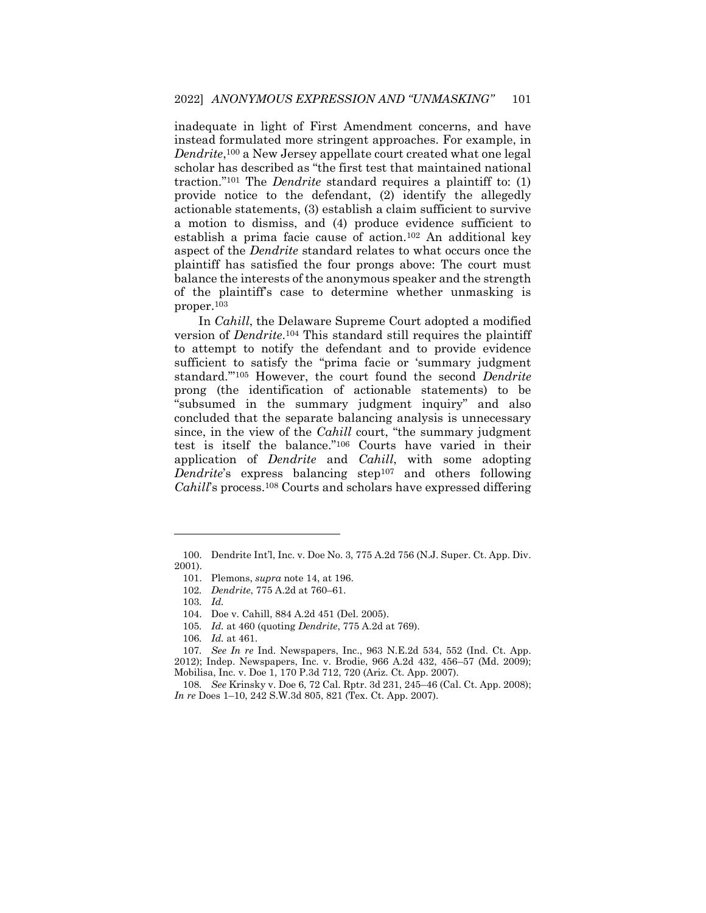inadequate in light of First Amendment concerns, and have instead formulated more stringent approaches. For example, in *Dendrite*, <sup>100</sup> a New Jersey appellate court created what one legal scholar has described as "the first test that maintained national traction."<sup>101</sup> The *Dendrite* standard requires a plaintiff to: (1) provide notice to the defendant, (2) identify the allegedly actionable statements, (3) establish a claim sufficient to survive a motion to dismiss, and (4) produce evidence sufficient to establish a prima facie cause of action.<sup>102</sup> An additional key aspect of the *Dendrite* standard relates to what occurs once the plaintiff has satisfied the four prongs above: The court must balance the interests of the anonymous speaker and the strength of the plaintiff's case to determine whether unmasking is proper.<sup>103</sup>

In *Cahill*, the Delaware Supreme Court adopted a modified version of *Dendrite*. <sup>104</sup> This standard still requires the plaintiff to attempt to notify the defendant and to provide evidence sufficient to satisfy the "prima facie or 'summary judgment standard.'"<sup>105</sup> However, the court found the second *Dendrite* prong (the identification of actionable statements) to be "subsumed in the summary judgment inquiry" and also concluded that the separate balancing analysis is unnecessary since, in the view of the *Cahill* court, "the summary judgment test is itself the balance."<sup>106</sup> Courts have varied in their application of *Dendrite* and *Cahill*, with some adopting *Dendrite*'s express balancing step<sup>107</sup> and others following *Cahill*'s process.<sup>108</sup> Courts and scholars have expressed differing

<sup>100.</sup> Dendrite Int'l, Inc. v. Doe No. 3, 775 A.2d 756 (N.J. Super. Ct. App. Div. 2001).

<sup>101.</sup> Plemons, *supra* note 14, at 196.

<sup>102</sup>*. Dendrite*, 775 A.2d at 760–61.

<sup>103</sup>*. Id.*

<sup>104.</sup> Doe v. Cahill, 884 A.2d 451 (Del. 2005).

<sup>105</sup>*. Id.* at 460 (quoting *Dendrite*, 775 A.2d at 769).

<sup>106</sup>*. Id.* at 461.

<sup>107</sup>*. See In re* Ind. Newspapers, Inc., 963 N.E.2d 534, 552 (Ind. Ct. App. 2012); Indep. Newspapers, Inc. v. Brodie, 966 A.2d 432, 456–57 (Md. 2009); Mobilisa, Inc. v. Doe 1, 170 P.3d 712, 720 (Ariz. Ct. App. 2007).

<sup>108</sup>*. See* Krinsky v. Doe 6, 72 Cal. Rptr. 3d 231, 245–46 (Cal. Ct. App. 2008); *In re* Does 1–10, 242 S.W.3d 805, 821 (Tex. Ct. App. 2007).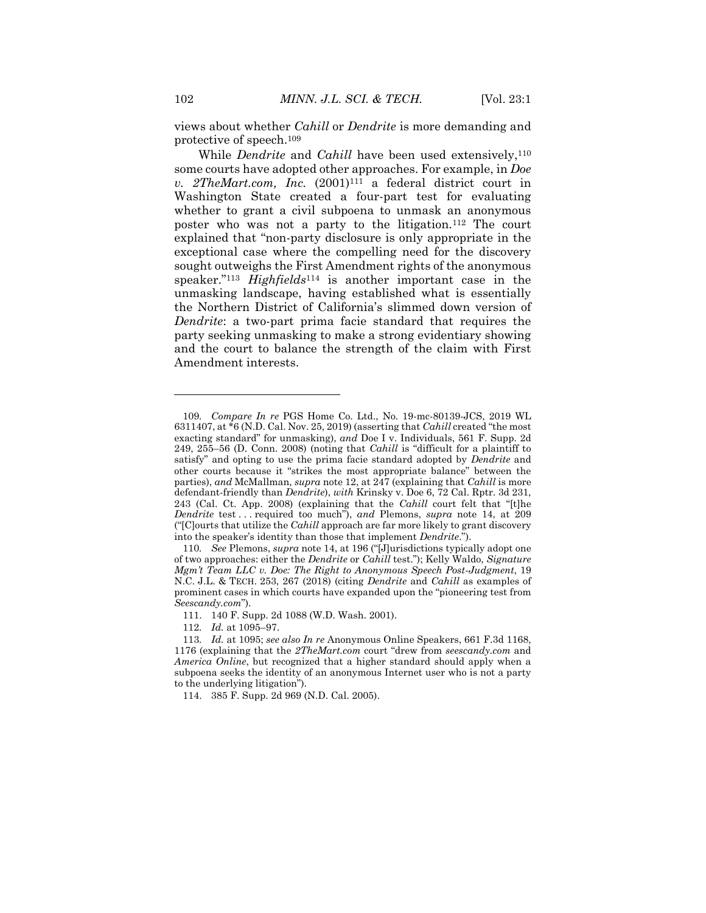views about whether *Cahill* or *Dendrite* is more demanding and protective of speech.<sup>109</sup>

While *Dendrite* and *Cahill* have been used extensively,<sup>110</sup> some courts have adopted other approaches. For example, in *Doe v. 2TheMart.com, Inc.* (2001)<sup>111</sup> a federal district court in Washington State created a four-part test for evaluating whether to grant a civil subpoena to unmask an anonymous poster who was not a party to the litigation.<sup>112</sup> The court explained that "non-party disclosure is only appropriate in the exceptional case where the compelling need for the discovery sought outweighs the First Amendment rights of the anonymous speaker."<sup>113</sup> *Highfields*<sup>114</sup> is another important case in the unmasking landscape, having established what is essentially the Northern District of California's slimmed down version of *Dendrite*: a two-part prima facie standard that requires the party seeking unmasking to make a strong evidentiary showing and the court to balance the strength of the claim with First Amendment interests.

<sup>109</sup>*. Compare In re* PGS Home Co. Ltd., No. 19-mc-80139-JCS, 2019 WL 6311407, at \*6 (N.D. Cal. Nov. 25, 2019) (asserting that *Cahill* created "the most exacting standard" for unmasking), *and* Doe I v. Individuals, 561 F. Supp. 2d 249, 255–56 (D. Conn. 2008) (noting that *Cahill* is "difficult for a plaintiff to satisfy" and opting to use the prima facie standard adopted by *Dendrite* and other courts because it "strikes the most appropriate balance" between the parties), *and* McMallman, *supra* note 12, at 247 (explaining that *Cahill* is more defendant-friendly than *Dendrite*), *with* Krinsky v. Doe 6, 72 Cal. Rptr. 3d 231, 243 (Cal. Ct. App. 2008) (explaining that the *Cahill* court felt that "[t]he *Dendrite* test . . . required too much"), *and* Plemons, *supra* note 14, at 209 ("[C]ourts that utilize the *Cahill* approach are far more likely to grant discovery into the speaker's identity than those that implement *Dendrite*.").

<sup>110</sup>*. See* Plemons, *supra* note 14, at 196 ("[J]urisdictions typically adopt one of two approaches: either the *Dendrite* or *Cahill* test."); Kelly Waldo, *Signature Mgm't Team LLC v. Doe: The Right to Anonymous Speech Post-Judgment*, 19 N.C. J.L. & TECH. 253, 267 (2018) (citing *Dendrite* and *Cahill* as examples of prominent cases in which courts have expanded upon the "pioneering test from *Seescandy.com*").

<sup>111.</sup> 140 F. Supp. 2d 1088 (W.D. Wash. 2001).

<sup>112</sup>*. Id.* at 1095–97.

<sup>113</sup>*. Id.* at 1095; *see also In re* Anonymous Online Speakers, 661 F.3d 1168, 1176 (explaining that the *2TheMart.com* court "drew from *seescandy.com* and *America Online*, but recognized that a higher standard should apply when a subpoena seeks the identity of an anonymous Internet user who is not a party to the underlying litigation").

<sup>114.</sup> 385 F. Supp. 2d 969 (N.D. Cal. 2005).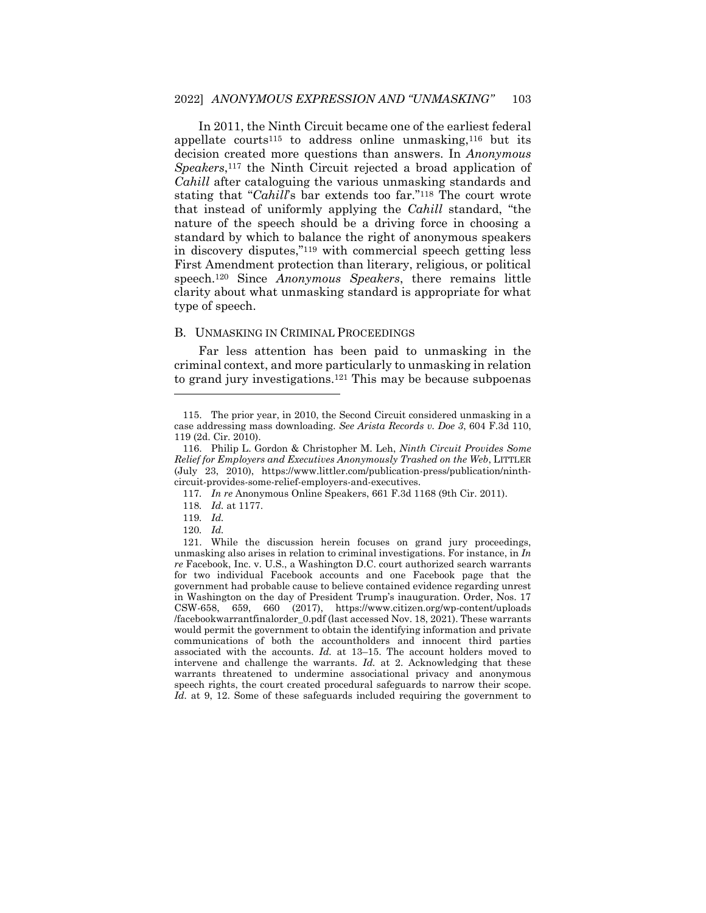In 2011, the Ninth Circuit became one of the earliest federal appellate courts<sup>115</sup> to address online unmasking,<sup>116</sup> but its decision created more questions than answers. In *Anonymous Speakers*, <sup>117</sup> the Ninth Circuit rejected a broad application of *Cahill* after cataloguing the various unmasking standards and stating that "*Cahill*'s bar extends too far."<sup>118</sup> The court wrote that instead of uniformly applying the *Cahill* standard, "the nature of the speech should be a driving force in choosing a standard by which to balance the right of anonymous speakers in discovery disputes,"<sup>119</sup> with commercial speech getting less First Amendment protection than literary, religious, or political speech.<sup>120</sup> Since *Anonymous Speakers*, there remains little clarity about what unmasking standard is appropriate for what type of speech.

#### B. UNMASKING IN CRIMINAL PROCEEDINGS

Far less attention has been paid to unmasking in the criminal context, and more particularly to unmasking in relation to grand jury investigations.<sup>121</sup> This may be because subpoenas

<sup>115.</sup> The prior year, in 2010, the Second Circuit considered unmasking in a case addressing mass downloading. *See Arista Records v. Doe 3*, 604 F.3d 110, 119 (2d. Cir. 2010).

<sup>116.</sup> Philip L. Gordon & Christopher M. Leh, *Ninth Circuit Provides Some Relief for Employers and Executives Anonymously Trashed on the Web*, LITTLER (July 23, 2010), https://www.littler.com/publication-press/publication/ninthcircuit-provides-some-relief-employers-and-executives.

<sup>117</sup>*. In re* Anonymous Online Speakers, 661 F.3d 1168 (9th Cir. 2011).

<sup>118</sup>*. Id.* at 1177.

<sup>119</sup>*. Id.*

<sup>120</sup>*. Id.*

<sup>121.</sup> While the discussion herein focuses on grand jury proceedings, unmasking also arises in relation to criminal investigations. For instance, in *In re* Facebook, Inc. v. U.S., a Washington D.C. court authorized search warrants for two individual Facebook accounts and one Facebook page that the government had probable cause to believe contained evidence regarding unrest in Washington on the day of President Trump's inauguration. Order, Nos. 17 CSW-658, 659, 660 (2017), https://www.citizen.org/wp-content/uploads /facebookwarrantfinalorder\_0.pdf (last accessed Nov. 18, 2021). These warrants would permit the government to obtain the identifying information and private communications of both the accountholders and innocent third parties associated with the accounts. *Id.* at 13–15. The account holders moved to intervene and challenge the warrants. *Id.* at 2. Acknowledging that these warrants threatened to undermine associational privacy and anonymous speech rights, the court created procedural safeguards to narrow their scope. *Id.* at 9, 12. Some of these safeguards included requiring the government to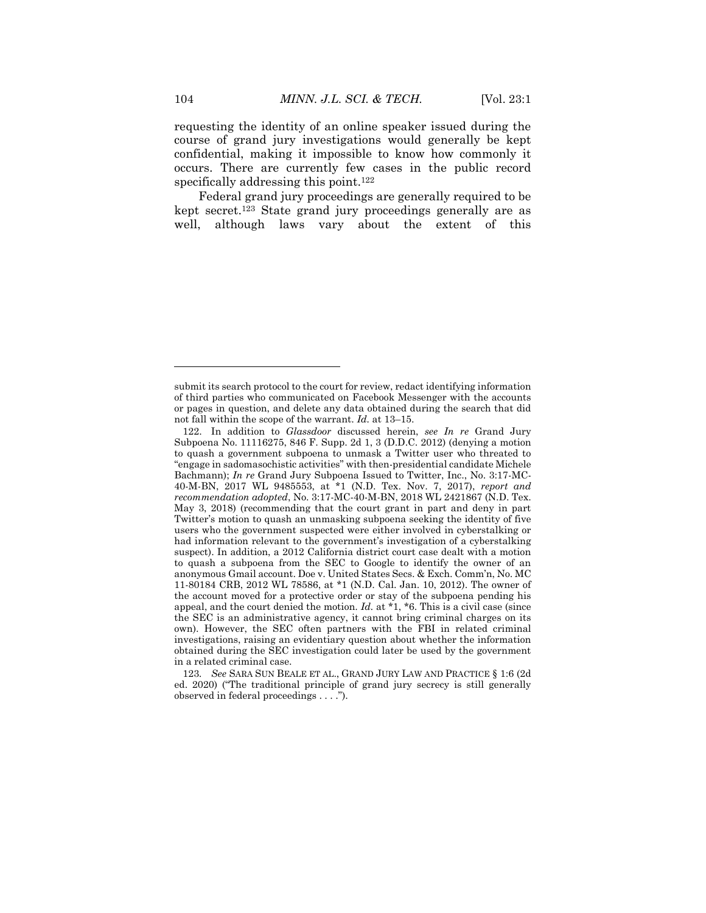requesting the identity of an online speaker issued during the course of grand jury investigations would generally be kept confidential, making it impossible to know how commonly it occurs. There are currently few cases in the public record specifically addressing this point.<sup>122</sup>

Federal grand jury proceedings are generally required to be kept secret.<sup>123</sup> State grand jury proceedings generally are as well, although laws vary about the extent of this

123*. See* SARA SUN BEALE ET AL., GRAND JURY LAW AND PRACTICE § 1:6 (2d ed. 2020) ("The traditional principle of grand jury secrecy is still generally observed in federal proceedings . . . .").

submit its search protocol to the court for review, redact identifying information of third parties who communicated on Facebook Messenger with the accounts or pages in question, and delete any data obtained during the search that did not fall within the scope of the warrant. *Id.* at 13–15.

<sup>122.</sup> In addition to *Glassdoor* discussed herein, *see In re* Grand Jury Subpoena No. 11116275, 846 F. Supp. 2d 1, 3 (D.D.C. 2012) (denying a motion to quash a government subpoena to unmask a Twitter user who threated to "engage in sadomasochistic activities" with then-presidential candidate Michele Bachmann); *In re* Grand Jury Subpoena Issued to Twitter, Inc., No. 3:17-MC-40-M-BN, 2017 WL 9485553, at \*1 (N.D. Tex. Nov. 7, 2017), *report and recommendation adopted*, No. 3:17-MC-40-M-BN, 2018 WL 2421867 (N.D. Tex. May 3, 2018) (recommending that the court grant in part and deny in part Twitter's motion to quash an unmasking subpoena seeking the identity of five users who the government suspected were either involved in cyberstalking or had information relevant to the government's investigation of a cyberstalking suspect). In addition, a 2012 California district court case dealt with a motion to quash a subpoena from the SEC to Google to identify the owner of an anonymous Gmail account. Doe v. United States Secs. & Exch. Comm'n, No. MC 11-80184 CRB, 2012 WL 78586, at \*1 (N.D. Cal. Jan. 10, 2012). The owner of the account moved for a protective order or stay of the subpoena pending his appeal, and the court denied the motion. *Id.* at \*1, \*6. This is a civil case (since the SEC is an administrative agency, it cannot bring criminal charges on its own). However, the SEC often partners with the FBI in related criminal investigations, raising an evidentiary question about whether the information obtained during the SEC investigation could later be used by the government in a related criminal case.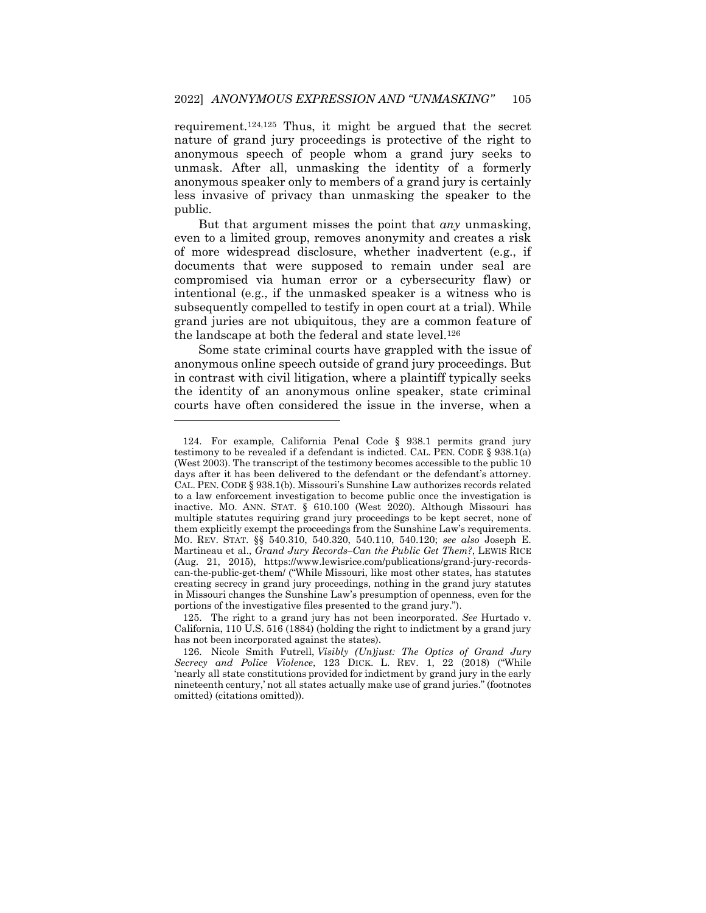requirement.124,125 Thus, it might be argued that the secret nature of grand jury proceedings is protective of the right to anonymous speech of people whom a grand jury seeks to unmask. After all, unmasking the identity of a formerly anonymous speaker only to members of a grand jury is certainly less invasive of privacy than unmasking the speaker to the public.

But that argument misses the point that *any* unmasking, even to a limited group, removes anonymity and creates a risk of more widespread disclosure, whether inadvertent (e.g., if documents that were supposed to remain under seal are compromised via human error or a cybersecurity flaw) or intentional (e.g., if the unmasked speaker is a witness who is subsequently compelled to testify in open court at a trial). While grand juries are not ubiquitous, they are a common feature of the landscape at both the federal and state level.<sup>126</sup>

Some state criminal courts have grappled with the issue of anonymous online speech outside of grand jury proceedings. But in contrast with civil litigation, where a plaintiff typically seeks the identity of an anonymous online speaker, state criminal courts have often considered the issue in the inverse, when a

<sup>124.</sup> For example, California Penal Code § 938.1 permits grand jury testimony to be revealed if a defendant is indicted. CAL. PEN. CODE § 938.1(a) (West 2003). The transcript of the testimony becomes accessible to the public 10 days after it has been delivered to the defendant or the defendant's attorney. CAL. PEN. CODE § 938.1(b). Missouri's Sunshine Law authorizes records related to a law enforcement investigation to become public once the investigation is inactive. MO. ANN. STAT. § 610.100 (West 2020). Although Missouri has multiple statutes requiring grand jury proceedings to be kept secret, none of them explicitly exempt the proceedings from the Sunshine Law's requirements. MO. REV. STAT. §§ 540.310, 540.320, 540.110, 540.120; *see also* Joseph E. Martineau et al., *Grand Jury Records–Can the Public Get Them?*, LEWIS RICE (Aug. 21, 2015), https://www.lewisrice.com/publications/grand-jury-recordscan-the-public-get-them/ ("While Missouri, like most other states, has statutes creating secrecy in grand jury proceedings, nothing in the grand jury statutes in Missouri changes the Sunshine Law's presumption of openness, even for the portions of the investigative files presented to the grand jury.").

<sup>125.</sup> The right to a grand jury has not been incorporated. *See* Hurtado v. California, 110 U.S. 516 (1884) (holding the right to indictment by a grand jury has not been incorporated against the states).

<sup>126.</sup> Nicole Smith Futrell, *Visibly (Un)just: The Optics of Grand Jury Secrecy and Police Violence*, 123 DICK. L. REV. 1, 22 (2018) ("While 'nearly all state constitutions provided for indictment by grand jury in the early nineteenth century,' not all states actually make use of grand juries." (footnotes omitted) (citations omitted)).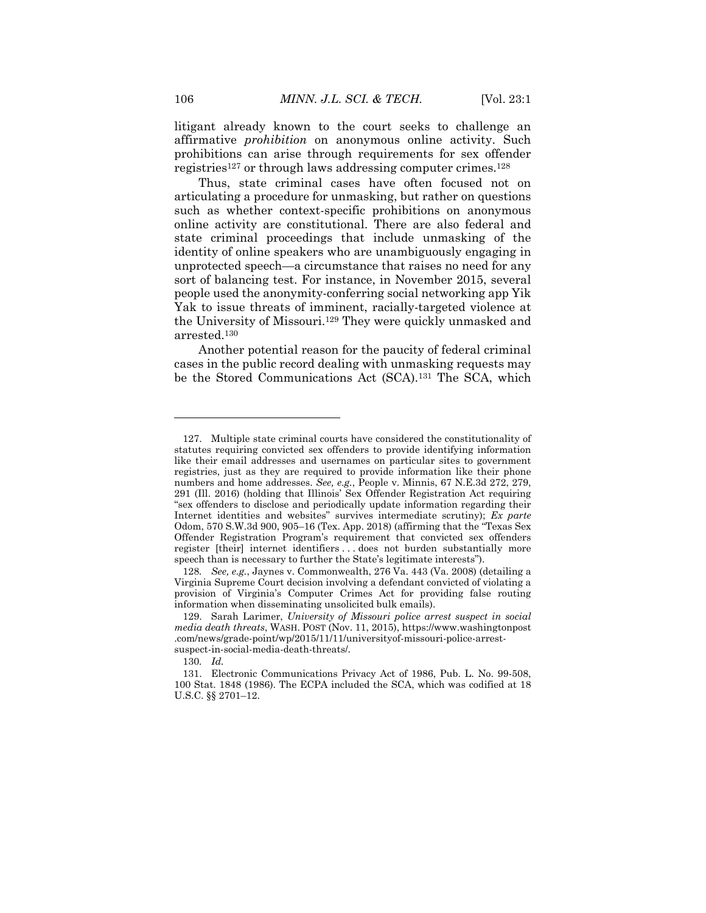litigant already known to the court seeks to challenge an affirmative *prohibition* on anonymous online activity. Such prohibitions can arise through requirements for sex offender registries<sup>127</sup> or through laws addressing computer crimes.<sup>128</sup>

Thus, state criminal cases have often focused not on articulating a procedure for unmasking, but rather on questions such as whether context-specific prohibitions on anonymous online activity are constitutional. There are also federal and state criminal proceedings that include unmasking of the identity of online speakers who are unambiguously engaging in unprotected speech—a circumstance that raises no need for any sort of balancing test. For instance, in November 2015, several people used the anonymity-conferring social networking app Yik Yak to issue threats of imminent, racially-targeted violence at the University of Missouri.<sup>129</sup> They were quickly unmasked and arrested.<sup>130</sup>

Another potential reason for the paucity of federal criminal cases in the public record dealing with unmasking requests may be the Stored Communications Act (SCA).<sup>131</sup> The SCA, which

<sup>127.</sup> Multiple state criminal courts have considered the constitutionality of statutes requiring convicted sex offenders to provide identifying information like their email addresses and usernames on particular sites to government registries, just as they are required to provide information like their phone numbers and home addresses. *See, e.g.*, People v. Minnis, 67 N.E.3d 272, 279, 291 (Ill. 2016) (holding that Illinois' Sex Offender Registration Act requiring "sex offenders to disclose and periodically update information regarding their Internet identities and websites" survives intermediate scrutiny); *Ex parte* Odom, 570 S.W.3d 900, 905–16 (Tex. App. 2018) (affirming that the "Texas Sex Offender Registration Program's requirement that convicted sex offenders register [their] internet identifiers . . . does not burden substantially more speech than is necessary to further the State's legitimate interests").

<sup>128</sup>*. See, e.g.*, Jaynes v. Commonwealth, 276 Va. 443 (Va. 2008) (detailing a Virginia Supreme Court decision involving a defendant convicted of violating a provision of Virginia's Computer Crimes Act for providing false routing information when disseminating unsolicited bulk emails).

<sup>129.</sup> Sarah Larimer, *University of Missouri police arrest suspect in social media death threats*, WASH. POST (Nov. 11, 2015), https://www.washingtonpost .com/news/grade-point/wp/2015/11/11/universityof-missouri-police-arrestsuspect-in-social-media-death-threats/.

<sup>130</sup>*. Id.*

<sup>131.</sup> Electronic Communications Privacy Act of 1986, Pub. L. No. 99-508, 100 Stat. 1848 (1986). The ECPA included the SCA, which was codified at 18 U.S.C. §§ 2701–12.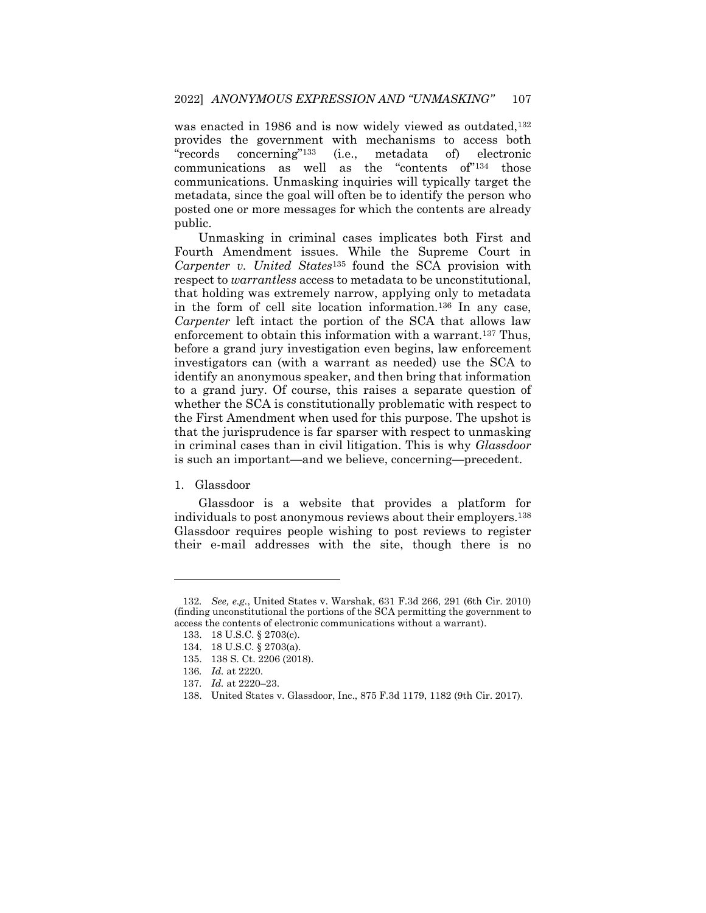was enacted in 1986 and is now widely viewed as outdated,<sup>132</sup> provides the government with mechanisms to access both "records concerning"<sup>133</sup> (i.e., metadata of) electronic communications as well as the "contents of"<sup>134</sup> those communications. Unmasking inquiries will typically target the metadata, since the goal will often be to identify the person who posted one or more messages for which the contents are already public.

Unmasking in criminal cases implicates both First and Fourth Amendment issues. While the Supreme Court in *Carpenter v. United States*<sup>135</sup> found the SCA provision with respect to *warrantless* access to metadata to be unconstitutional, that holding was extremely narrow, applying only to metadata in the form of cell site location information.<sup>136</sup> In any case, *Carpenter* left intact the portion of the SCA that allows law enforcement to obtain this information with a warrant.<sup>137</sup> Thus, before a grand jury investigation even begins, law enforcement investigators can (with a warrant as needed) use the SCA to identify an anonymous speaker, and then bring that information to a grand jury. Of course, this raises a separate question of whether the SCA is constitutionally problematic with respect to the First Amendment when used for this purpose. The upshot is that the jurisprudence is far sparser with respect to unmasking in criminal cases than in civil litigation. This is why *Glassdoor* is such an important—and we believe, concerning—precedent.

1. Glassdoor

 $\overline{\phantom{a}}$ 

Glassdoor is a website that provides a platform for individuals to post anonymous reviews about their employers.<sup>138</sup> Glassdoor requires people wishing to post reviews to register their e-mail addresses with the site, though there is no

<sup>132</sup>*. See, e.g.*, United States v. Warshak, 631 F.3d 266, 291 (6th Cir. 2010) (finding unconstitutional the portions of the SCA permitting the government to access the contents of electronic communications without a warrant).

<sup>133.</sup> 18 U.S.C. § 2703(c).

<sup>134.</sup> 18 U.S.C. § 2703(a).

<sup>135.</sup> 138 S. Ct. 2206 (2018).

<sup>136</sup>*. Id.* at 2220.

<sup>137</sup>*. Id.* at 2220–23.

<sup>138.</sup> United States v. Glassdoor, Inc., 875 F.3d 1179, 1182 (9th Cir. 2017).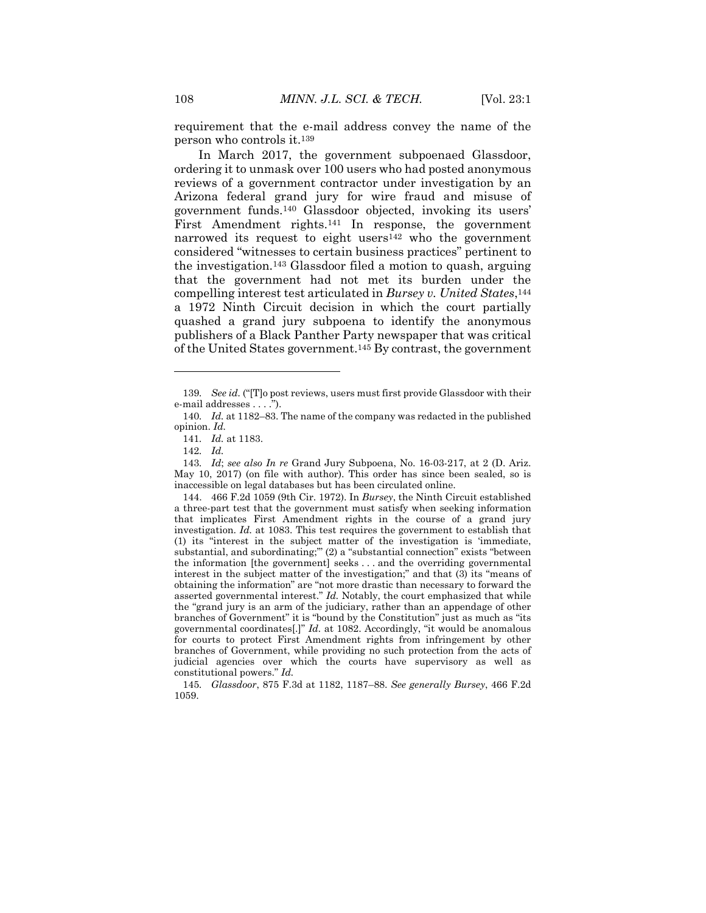requirement that the e-mail address convey the name of the person who controls it.<sup>139</sup>

In March 2017, the government subpoenaed Glassdoor, ordering it to unmask over 100 users who had posted anonymous reviews of a government contractor under investigation by an Arizona federal grand jury for wire fraud and misuse of government funds.<sup>140</sup> Glassdoor objected, invoking its users' First Amendment rights.<sup>141</sup> In response, the government narrowed its request to eight users<sup>142</sup> who the government considered "witnesses to certain business practices" pertinent to the investigation.<sup>143</sup> Glassdoor filed a motion to quash, arguing that the government had not met its burden under the compelling interest test articulated in *Bursey v. United States*, 144 a 1972 Ninth Circuit decision in which the court partially quashed a grand jury subpoena to identify the anonymous publishers of a Black Panther Party newspaper that was critical of the United States government.<sup>145</sup> By contrast, the government

 $\overline{\phantom{a}}$ 

143*. Id*; *see also In re* Grand Jury Subpoena, No. 16-03-217, at 2 (D. Ariz. May 10, 2017) (on file with author). This order has since been sealed, so is inaccessible on legal databases but has been circulated online.

144. 466 F.2d 1059 (9th Cir. 1972). In *Bursey*, the Ninth Circuit established a three-part test that the government must satisfy when seeking information that implicates First Amendment rights in the course of a grand jury investigation. *Id.* at 1083. This test requires the government to establish that (1) its "interest in the subject matter of the investigation is 'immediate, substantial, and subordinating;'" (2) a "substantial connection" exists "between the information [the government] seeks . . . and the overriding governmental interest in the subject matter of the investigation;" and that (3) its "means of obtaining the information" are "not more drastic than necessary to forward the asserted governmental interest." *Id.* Notably, the court emphasized that while the "grand jury is an arm of the judiciary, rather than an appendage of other branches of Government" it is "bound by the Constitution" just as much as "its governmental coordinates[.]" *Id.* at 1082. Accordingly, "it would be anomalous for courts to protect First Amendment rights from infringement by other branches of Government, while providing no such protection from the acts of judicial agencies over which the courts have supervisory as well as constitutional powers." *Id.*

145*. Glassdoor*, 875 F.3d at 1182, 1187–88. *See generally Bursey*, 466 F.2d 1059.

<sup>139</sup>*. See id.* ("[T]o post reviews, users must first provide Glassdoor with their e-mail addresses . . . .").

<sup>140</sup>*. Id.* at 1182–83. The name of the company was redacted in the published opinion. *Id.*

<sup>141</sup>*. Id.* at 1183.

<sup>142</sup>*. Id.*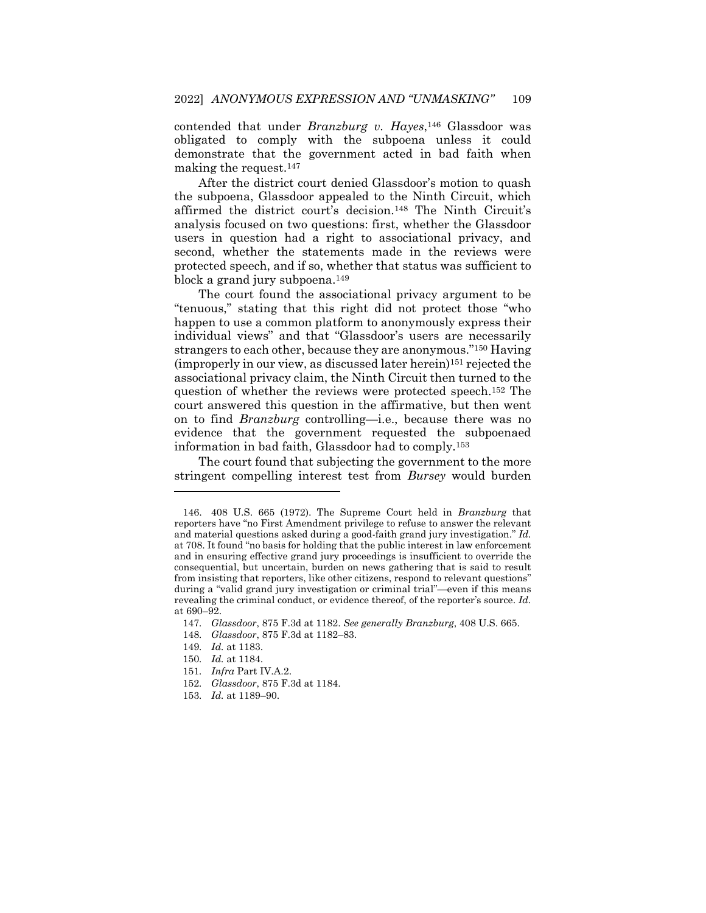contended that under *Branzburg v. Hayes*, <sup>146</sup> Glassdoor was obligated to comply with the subpoena unless it could demonstrate that the government acted in bad faith when making the request.<sup>147</sup>

After the district court denied Glassdoor's motion to quash the subpoena, Glassdoor appealed to the Ninth Circuit, which affirmed the district court's decision.<sup>148</sup> The Ninth Circuit's analysis focused on two questions: first, whether the Glassdoor users in question had a right to associational privacy, and second, whether the statements made in the reviews were protected speech, and if so, whether that status was sufficient to block a grand jury subpoena.<sup>149</sup>

The court found the associational privacy argument to be "tenuous," stating that this right did not protect those "who happen to use a common platform to anonymously express their individual views" and that "Glassdoor's users are necessarily strangers to each other, because they are anonymous."<sup>150</sup> Having (improperly in our view, as discussed later herein)<sup>151</sup> rejected the associational privacy claim, the Ninth Circuit then turned to the question of whether the reviews were protected speech.<sup>152</sup> The court answered this question in the affirmative, but then went on to find *Branzburg* controlling—i.e., because there was no evidence that the government requested the subpoenaed information in bad faith, Glassdoor had to comply.<sup>153</sup>

The court found that subjecting the government to the more stringent compelling interest test from *Bursey* would burden

- 150*. Id.* at 1184.
- 151*. Infra* Part IV.A.2.
- 152*. Glassdoor*, 875 F.3d at 1184.
- 153*. Id.* at 1189–90.

<sup>146.</sup> 408 U.S. 665 (1972). The Supreme Court held in *Branzburg* that reporters have "no First Amendment privilege to refuse to answer the relevant and material questions asked during a good-faith grand jury investigation." *Id.* at 708. It found "no basis for holding that the public interest in law enforcement and in ensuring effective grand jury proceedings is insufficient to override the consequential, but uncertain, burden on news gathering that is said to result from insisting that reporters, like other citizens, respond to relevant questions" during a "valid grand jury investigation or criminal trial"—even if this means revealing the criminal conduct, or evidence thereof, of the reporter's source. *Id.* at 690–92.

<sup>147</sup>*. Glassdoor*, 875 F.3d at 1182. *See generally Branzburg*, 408 U.S. 665.

<sup>148</sup>*. Glassdoor*, 875 F.3d at 1182–83.

<sup>149</sup>*. Id.* at 1183.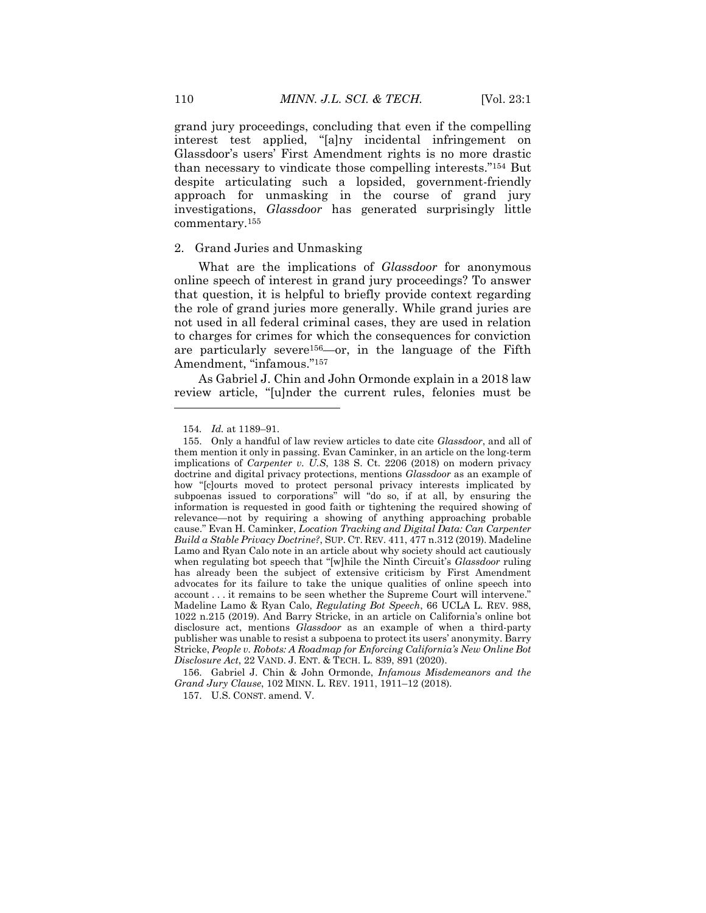grand jury proceedings, concluding that even if the compelling interest test applied, "[a]ny incidental infringement on Glassdoor's users' First Amendment rights is no more drastic than necessary to vindicate those compelling interests."<sup>154</sup> But despite articulating such a lopsided, government-friendly approach for unmasking in the course of grand jury investigations, *Glassdoor* has generated surprisingly little commentary.<sup>155</sup>

#### 2. Grand Juries and Unmasking

What are the implications of *Glassdoor* for anonymous online speech of interest in grand jury proceedings? To answer that question, it is helpful to briefly provide context regarding the role of grand juries more generally. While grand juries are not used in all federal criminal cases, they are used in relation to charges for crimes for which the consequences for conviction are particularly severe156—or, in the language of the Fifth Amendment, "infamous."<sup>157</sup>

As Gabriel J. Chin and John Ormonde explain in a 2018 law review article, "[u]nder the current rules, felonies must be

 $\overline{\phantom{a}}$ 

156. Gabriel J. Chin & John Ormonde, *Infamous Misdemeanors and the Grand Jury Clause*, 102 MINN. L. REV. 1911, 1911–12 (2018).

157. U.S. CONST. amend. V.

<sup>154</sup>*. Id.* at 1189–91.

<sup>155.</sup> Only a handful of law review articles to date cite *Glassdoor*, and all of them mention it only in passing. Evan Caminker, in an article on the long-term implications of *Carpenter v. U.S*, 138 S. Ct. 2206 (2018) on modern privacy doctrine and digital privacy protections, mentions *Glassdoor* as an example of how "[c]ourts moved to protect personal privacy interests implicated by subpoenas issued to corporations" will "do so, if at all, by ensuring the information is requested in good faith or tightening the required showing of relevance—not by requiring a showing of anything approaching probable cause." Evan H. Caminker, *Location Tracking and Digital Data: Can Carpenter Build a Stable Privacy Doctrine?*, SUP. CT. REV. 411, 477 n.312 (2019). Madeline Lamo and Ryan Calo note in an article about why society should act cautiously when regulating bot speech that "[w]hile the Ninth Circuit's *Glassdoor* ruling has already been the subject of extensive criticism by First Amendment advocates for its failure to take the unique qualities of online speech into account . . . it remains to be seen whether the Supreme Court will intervene." Madeline Lamo & Ryan Calo, *Regulating Bot Speech*, 66 UCLA L. REV. 988, 1022 n.215 (2019). And Barry Stricke, in an article on California's online bot disclosure act, mentions *Glassdoor* as an example of when a third-party publisher was unable to resist a subpoena to protect its users' anonymity. Barry Stricke, *People v. Robots: A Roadmap for Enforcing California's New Online Bot Disclosure Act*, 22 VAND. J. ENT. & TECH. L. 839, 891 (2020).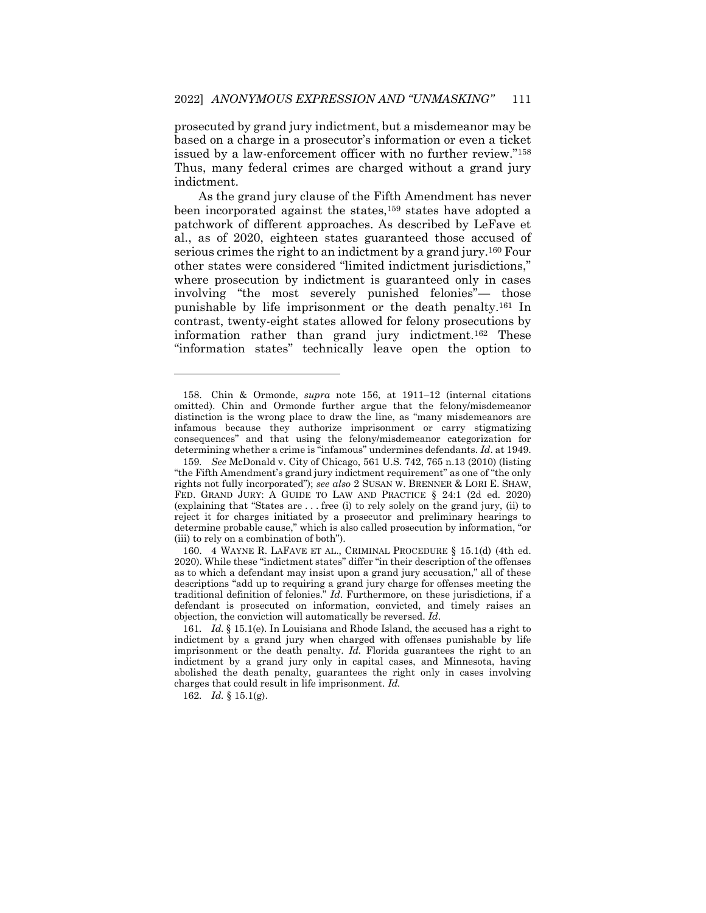prosecuted by grand jury indictment, but a misdemeanor may be based on a charge in a prosecutor's information or even a ticket issued by a law-enforcement officer with no further review."<sup>158</sup> Thus, many federal crimes are charged without a grand jury indictment.

As the grand jury clause of the Fifth Amendment has never been incorporated against the states,<sup>159</sup> states have adopted a patchwork of different approaches. As described by LeFave et al., as of 2020, eighteen states guaranteed those accused of serious crimes the right to an indictment by a grand jury.<sup>160</sup> Four other states were considered "limited indictment jurisdictions," where prosecution by indictment is guaranteed only in cases involving "the most severely punished felonies"— those punishable by life imprisonment or the death penalty.<sup>161</sup> In contrast, twenty-eight states allowed for felony prosecutions by information rather than grand jury indictment.<sup>162</sup> These "information states" technically leave open the option to

<sup>158.</sup> Chin & Ormonde, *supra* note 156, at 1911–12 (internal citations omitted). Chin and Ormonde further argue that the felony/misdemeanor distinction is the wrong place to draw the line, as "many misdemeanors are infamous because they authorize imprisonment or carry stigmatizing consequences" and that using the felony/misdemeanor categorization for determining whether a crime is "infamous" undermines defendants. *Id*. at 1949.

<sup>159</sup>*. See* McDonald v. City of Chicago, 561 U.S. 742, 765 n.13 (2010) (listing "the Fifth Amendment's grand jury indictment requirement" as one of "the only rights not fully incorporated"); *see also* 2 SUSAN W. BRENNER & LORI E. SHAW, FED. GRAND JURY: A GUIDE TO LAW AND PRACTICE § 24:1 (2d ed. 2020) (explaining that "States are . . . free (i) to rely solely on the grand jury, (ii) to reject it for charges initiated by a prosecutor and preliminary hearings to determine probable cause," which is also called prosecution by information, "or (iii) to rely on a combination of both").

<sup>160.</sup> 4 WAYNE R. LAFAVE ET AL., CRIMINAL PROCEDURE § 15.1(d) (4th ed. 2020). While these "indictment states" differ "in their description of the offenses as to which a defendant may insist upon a grand jury accusation," all of these descriptions "add up to requiring a grand jury charge for offenses meeting the traditional definition of felonies." *Id*. Furthermore, on these jurisdictions, if a defendant is prosecuted on information, convicted, and timely raises an objection, the conviction will automatically be reversed. *Id*.

<sup>161</sup>*. Id.* § 15.1(e). In Louisiana and Rhode Island, the accused has a right to indictment by a grand jury when charged with offenses punishable by life imprisonment or the death penalty. *Id.* Florida guarantees the right to an indictment by a grand jury only in capital cases, and Minnesota, having abolished the death penalty, guarantees the right only in cases involving charges that could result in life imprisonment. *Id.*

<sup>162</sup>*. Id.* § 15.1(g).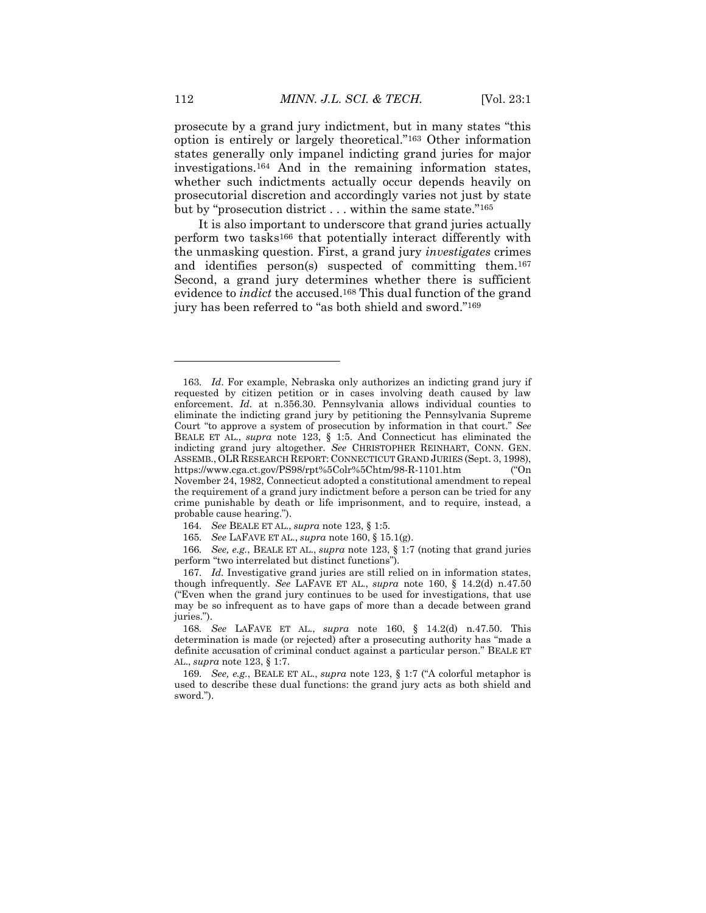prosecute by a grand jury indictment, but in many states "this option is entirely or largely theoretical."<sup>163</sup> Other information states generally only impanel indicting grand juries for major investigations.<sup>164</sup> And in the remaining information states, whether such indictments actually occur depends heavily on prosecutorial discretion and accordingly varies not just by state but by "prosecution district . . . within the same state."<sup>165</sup>

It is also important to underscore that grand juries actually perform two tasks<sup>166</sup> that potentially interact differently with the unmasking question. First, a grand jury *investigates* crimes and identifies person(s) suspected of committing them.<sup>167</sup> Second, a grand jury determines whether there is sufficient evidence to *indict* the accused.<sup>168</sup> This dual function of the grand jury has been referred to "as both shield and sword."<sup>169</sup>

<sup>163</sup>*. Id*. For example, Nebraska only authorizes an indicting grand jury if requested by citizen petition or in cases involving death caused by law enforcement. *Id.* at n.356.30. Pennsylvania allows individual counties to eliminate the indicting grand jury by petitioning the Pennsylvania Supreme Court "to approve a system of prosecution by information in that court." *See*  BEALE ET AL., *supra* note 123, § 1:5. And Connecticut has eliminated the indicting grand jury altogether. *See* CHRISTOPHER REINHART, CONN. GEN. ASSEMB., OLR RESEARCH REPORT: CONNECTICUT GRAND JURIES (Sept. 3, 1998), https://www.cga.ct.gov/PS98/rpt%5Colr%5Chtm/98-R-1101.htm ("On November 24, 1982, Connecticut adopted a constitutional amendment to repeal the requirement of a grand jury indictment before a person can be tried for any crime punishable by death or life imprisonment, and to require, instead, a probable cause hearing.").

<sup>164</sup>*. See* BEALE ET AL., *supra* note 123, § 1:5.

<sup>165</sup>*. See* LAFAVE ET AL., *supra* note 160, § 15.1(g).

<sup>166</sup>*. See, e.g.*, BEALE ET AL., *supra* note 123, § 1:7 (noting that grand juries perform "two interrelated but distinct functions").

<sup>167</sup>*. Id.* Investigative grand juries are still relied on in information states, though infrequently. *See* LAFAVE ET AL., *supra* note 160, § 14.2(d) n.47.50 ("Even when the grand jury continues to be used for investigations, that use may be so infrequent as to have gaps of more than a decade between grand juries.").

<sup>168</sup>*. See* LAFAVE ET AL., *supra* note 160, § 14.2(d) n.47.50. This determination is made (or rejected) after a prosecuting authority has "made a definite accusation of criminal conduct against a particular person." BEALE ET AL., *supra* note 123, § 1:7.

<sup>169</sup>*. See, e.g.*, BEALE ET AL., *supra* note 123, § 1:7 ("A colorful metaphor is used to describe these dual functions: the grand jury acts as both shield and sword.").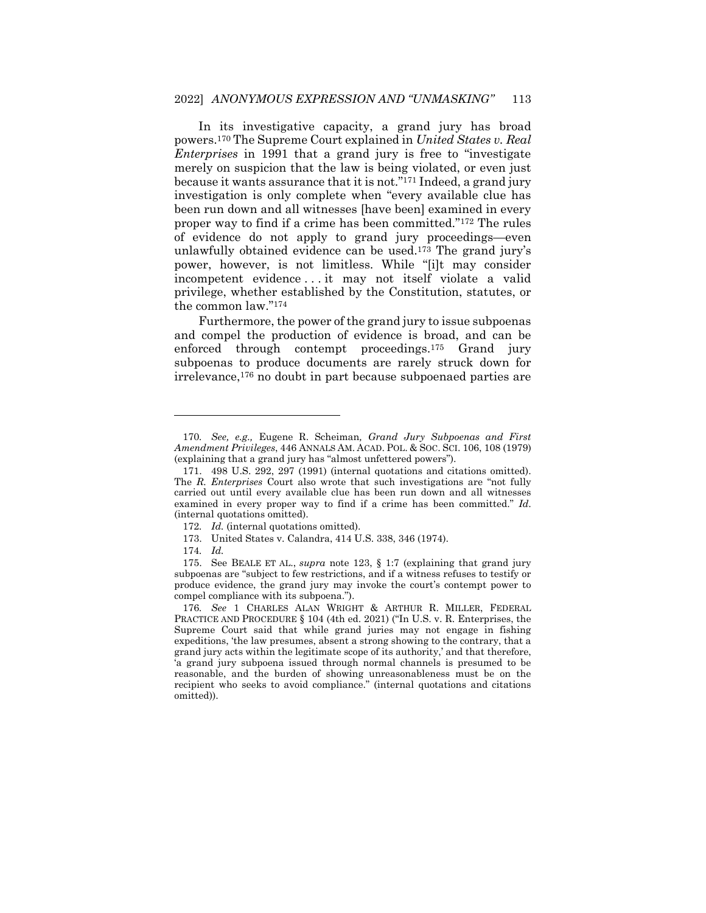In its investigative capacity, a grand jury has broad powers.<sup>170</sup> The Supreme Court explained in *United States v. Real Enterprises* in 1991 that a grand jury is free to "investigate merely on suspicion that the law is being violated, or even just because it wants assurance that it is not."<sup>171</sup> Indeed, a grand jury investigation is only complete when "every available clue has been run down and all witnesses [have been] examined in every proper way to find if a crime has been committed."<sup>172</sup> The rules of evidence do not apply to grand jury proceedings—even unlawfully obtained evidence can be used.<sup>173</sup> The grand jury's power, however, is not limitless. While "[i]t may consider incompetent evidence . . . it may not itself violate a valid privilege, whether established by the Constitution, statutes, or the common law."<sup>174</sup>

Furthermore, the power of the grand jury to issue subpoenas and compel the production of evidence is broad, and can be enforced through contempt proceedings.<sup>175</sup> Grand jury subpoenas to produce documents are rarely struck down for irrelevance,<sup>176</sup> no doubt in part because subpoenaed parties are

<sup>170</sup>*. See, e.g.,* Eugene R. Scheiman*, Grand Jury Subpoenas and First Amendment Privileges*, 446 ANNALS AM. ACAD. POL. & SOC. SCI. 106, 108 (1979) (explaining that a grand jury has "almost unfettered powers").

<sup>171.</sup> 498 U.S. 292, 297 (1991) (internal quotations and citations omitted). The *R. Enterprises* Court also wrote that such investigations are "not fully carried out until every available clue has been run down and all witnesses examined in every proper way to find if a crime has been committed." *Id*. (internal quotations omitted).

<sup>172</sup>*. Id.* (internal quotations omitted).

<sup>173.</sup> United States v. Calandra, 414 U.S. 338, 346 (1974).

<sup>174</sup>*. Id.*

<sup>175.</sup> See BEALE ET AL., *supra* note 123, § 1:7 (explaining that grand jury subpoenas are "subject to few restrictions, and if a witness refuses to testify or produce evidence, the grand jury may invoke the court's contempt power to compel compliance with its subpoena.").

<sup>176</sup>*. See* 1 CHARLES ALAN WRIGHT & ARTHUR R. MILLER, FEDERAL PRACTICE AND PROCEDURE § 104 (4th ed. 2021) ("In U.S. v. R. Enterprises, the Supreme Court said that while grand juries may not engage in fishing expeditions, 'the law presumes, absent a strong showing to the contrary, that a grand jury acts within the legitimate scope of its authority,' and that therefore, 'a grand jury subpoena issued through normal channels is presumed to be reasonable, and the burden of showing unreasonableness must be on the recipient who seeks to avoid compliance." (internal quotations and citations omitted)).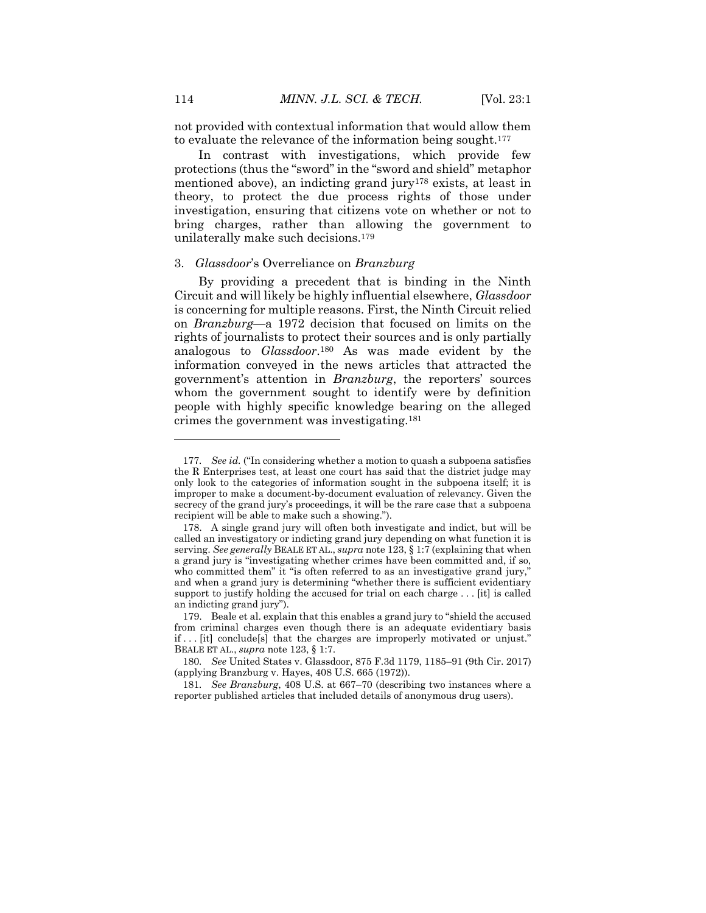not provided with contextual information that would allow them to evaluate the relevance of the information being sought.<sup>177</sup>

In contrast with investigations, which provide few protections (thus the "sword" in the "sword and shield" metaphor mentioned above), an indicting grand jury<sup>178</sup> exists, at least in theory, to protect the due process rights of those under investigation, ensuring that citizens vote on whether or not to bring charges, rather than allowing the government to unilaterally make such decisions.<sup>179</sup>

#### 3. *Glassdoor*'s Overreliance on *Branzburg*

By providing a precedent that is binding in the Ninth Circuit and will likely be highly influential elsewhere, *Glassdoor* is concerning for multiple reasons. First, the Ninth Circuit relied on *Branzburg*—a 1972 decision that focused on limits on the rights of journalists to protect their sources and is only partially analogous to *Glassdoor*. <sup>180</sup> As was made evident by the information conveyed in the news articles that attracted the government's attention in *Branzburg*, the reporters' sources whom the government sought to identify were by definition people with highly specific knowledge bearing on the alleged crimes the government was investigating.<sup>181</sup>

<sup>177</sup>*. See id.* ("In considering whether a motion to quash a subpoena satisfies the R Enterprises test, at least one court has said that the district judge may only look to the categories of information sought in the subpoena itself; it is improper to make a document-by-document evaluation of relevancy. Given the secrecy of the grand jury's proceedings, it will be the rare case that a subpoena recipient will be able to make such a showing.").

<sup>178.</sup> A single grand jury will often both investigate and indict, but will be called an investigatory or indicting grand jury depending on what function it is serving. *See generally* BEALE ET AL., *supra* note 123, § 1:7 (explaining that when a grand jury is "investigating whether crimes have been committed and, if so, who committed them" it "is often referred to as an investigative grand jury," and when a grand jury is determining "whether there is sufficient evidentiary support to justify holding the accused for trial on each charge . . . [it] is called an indicting grand jury").

<sup>179.</sup> Beale et al. explain that this enables a grand jury to "shield the accused from criminal charges even though there is an adequate evidentiary basis if ... [it] conclude[s] that the charges are improperly motivated or unjust.' BEALE ET AL., *supra* note 123, § 1:7.

<sup>180</sup>*. See* United States v. Glassdoor, 875 F.3d 1179, 1185–91 (9th Cir. 2017) (applying Branzburg v. Hayes, 408 U.S. 665 (1972)).

<sup>181</sup>*. See Branzburg*, 408 U.S. at 667–70 (describing two instances where a reporter published articles that included details of anonymous drug users).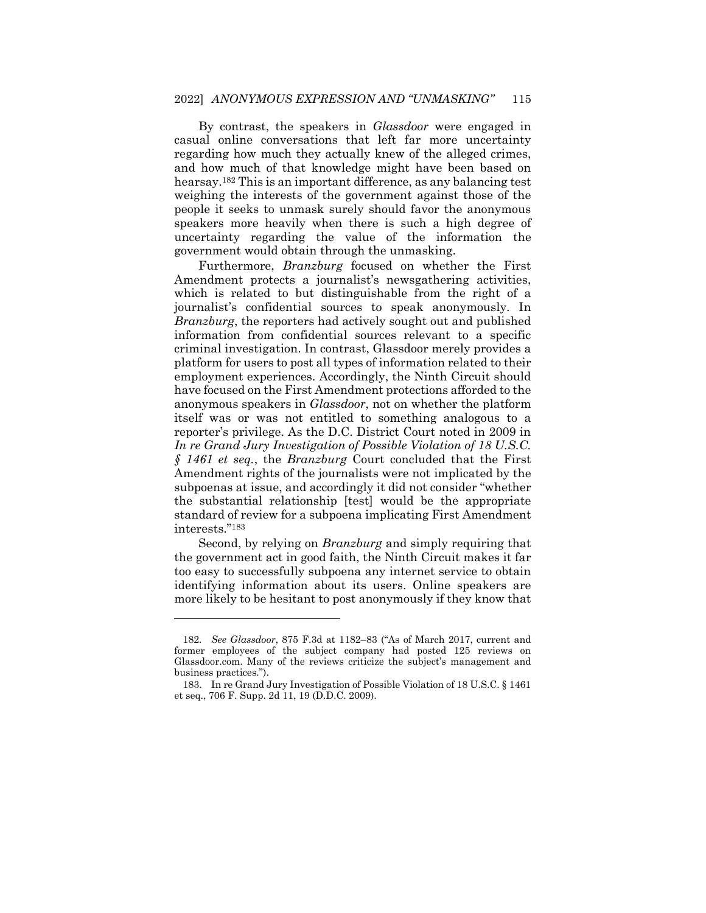By contrast, the speakers in *Glassdoor* were engaged in casual online conversations that left far more uncertainty regarding how much they actually knew of the alleged crimes, and how much of that knowledge might have been based on hearsay.<sup>182</sup> This is an important difference, as any balancing test weighing the interests of the government against those of the people it seeks to unmask surely should favor the anonymous speakers more heavily when there is such a high degree of uncertainty regarding the value of the information the government would obtain through the unmasking.

Furthermore, *Branzburg* focused on whether the First Amendment protects a journalist's newsgathering activities, which is related to but distinguishable from the right of a journalist's confidential sources to speak anonymously. In *Branzburg*, the reporters had actively sought out and published information from confidential sources relevant to a specific criminal investigation. In contrast, Glassdoor merely provides a platform for users to post all types of information related to their employment experiences. Accordingly, the Ninth Circuit should have focused on the First Amendment protections afforded to the anonymous speakers in *Glassdoor*, not on whether the platform itself was or was not entitled to something analogous to a reporter's privilege. As the D.C. District Court noted in 2009 in *In re Grand Jury Investigation of Possible Violation of 18 U.S.C. § 1461 et seq.*, the *Branzburg* Court concluded that the First Amendment rights of the journalists were not implicated by the subpoenas at issue, and accordingly it did not consider "whether the substantial relationship [test] would be the appropriate standard of review for a subpoena implicating First Amendment interests."<sup>183</sup>

Second, by relying on *Branzburg* and simply requiring that the government act in good faith, the Ninth Circuit makes it far too easy to successfully subpoena any internet service to obtain identifying information about its users. Online speakers are more likely to be hesitant to post anonymously if they know that

<sup>182</sup>*. See Glassdoor*, 875 F.3d at 1182–83 ("As of March 2017, current and former employees of the subject company had posted 125 reviews on Glassdoor.com. Many of the reviews criticize the subject's management and business practices.").

<sup>183.</sup> In re Grand Jury Investigation of Possible Violation of 18 U.S.C. § 1461 et seq., 706 F. Supp. 2d 11, 19 (D.D.C. 2009).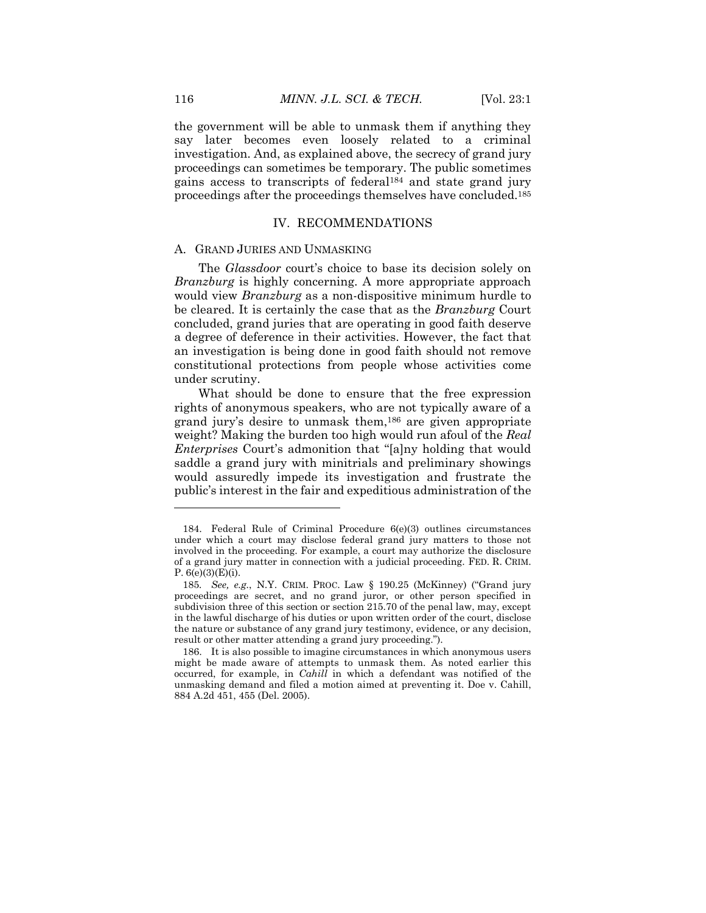the government will be able to unmask them if anything they say later becomes even loosely related to a criminal investigation. And, as explained above, the secrecy of grand jury proceedings can sometimes be temporary. The public sometimes gains access to transcripts of federal<sup>184</sup> and state grand jury proceedings after the proceedings themselves have concluded.<sup>185</sup>

#### IV. RECOMMENDATIONS

#### A. GRAND JURIES AND UNMASKING

The *Glassdoor* court's choice to base its decision solely on *Branzburg* is highly concerning. A more appropriate approach would view *Branzburg* as a non-dispositive minimum hurdle to be cleared. It is certainly the case that as the *Branzburg* Court concluded, grand juries that are operating in good faith deserve a degree of deference in their activities. However, the fact that an investigation is being done in good faith should not remove constitutional protections from people whose activities come under scrutiny.

What should be done to ensure that the free expression rights of anonymous speakers, who are not typically aware of a grand jury's desire to unmask them,<sup>186</sup> are given appropriate weight? Making the burden too high would run afoul of the *Real Enterprises* Court's admonition that "[a]ny holding that would saddle a grand jury with minitrials and preliminary showings would assuredly impede its investigation and frustrate the public's interest in the fair and expeditious administration of the

<sup>184.</sup> Federal Rule of Criminal Procedure 6(e)(3) outlines circumstances under which a court may disclose federal grand jury matters to those not involved in the proceeding. For example, a court may authorize the disclosure of a grand jury matter in connection with a judicial proceeding. FED. R. CRIM. P.  $6(e)(3)(E)(i)$ .

<sup>185</sup>*. See, e.g.*, N.Y. CRIM. PROC. Law § 190.25 (McKinney) ("Grand jury proceedings are secret, and no grand juror, or other person specified in subdivision three of this section or section 215.70 of the penal law, may, except in the lawful discharge of his duties or upon written order of the court, disclose the nature or substance of any grand jury testimony, evidence, or any decision, result or other matter attending a grand jury proceeding.").

<sup>186.</sup> It is also possible to imagine circumstances in which anonymous users might be made aware of attempts to unmask them. As noted earlier this occurred, for example, in *Cahill* in which a defendant was notified of the unmasking demand and filed a motion aimed at preventing it. Doe v. Cahill, 884 A.2d 451, 455 (Del. 2005).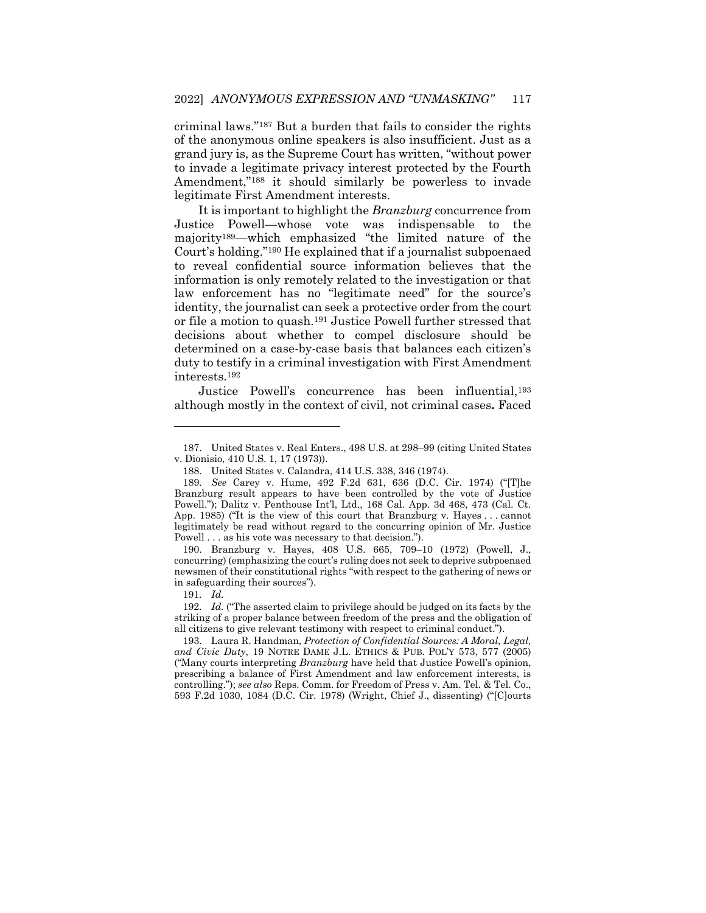criminal laws."<sup>187</sup> But a burden that fails to consider the rights of the anonymous online speakers is also insufficient. Just as a grand jury is, as the Supreme Court has written, "without power to invade a legitimate privacy interest protected by the Fourth Amendment,"<sup>188</sup> it should similarly be powerless to invade legitimate First Amendment interests.

It is important to highlight the *Branzburg* concurrence from Justice Powell—whose vote was indispensable to the majority189—which emphasized "the limited nature of the Court's holding."<sup>190</sup> He explained that if a journalist subpoenaed to reveal confidential source information believes that the information is only remotely related to the investigation or that law enforcement has no "legitimate need" for the source's identity, the journalist can seek a protective order from the court or file a motion to quash.<sup>191</sup> Justice Powell further stressed that decisions about whether to compel disclosure should be determined on a case-by-case basis that balances each citizen's duty to testify in a criminal investigation with First Amendment interests.<sup>192</sup>

Justice Powell's concurrence has been influential,<sup>193</sup> although mostly in the context of civil, not criminal cases**.** Faced

190. Branzburg v. Hayes, 408 U.S. 665, 709–10 (1972) (Powell, J., concurring) (emphasizing the court's ruling does not seek to deprive subpoenaed newsmen of their constitutional rights "with respect to the gathering of news or in safeguarding their sources").

<sup>187.</sup> United States v. Real Enters., 498 U.S. at 298–99 (citing United States v. Dionisio, 410 U.S. 1, 17 (1973)).

<sup>188.</sup> United States v. Calandra, 414 U.S. 338, 346 (1974).

<sup>189</sup>*. See* Carey v. Hume, 492 F.2d 631, 636 (D.C. Cir. 1974) ("[T]he Branzburg result appears to have been controlled by the vote of Justice Powell."); Dalitz v. Penthouse Int'l, Ltd., 168 Cal. App. 3d 468, 473 (Cal. Ct. App. 1985) ("It is the view of this court that Branzburg v. Hayes . . . cannot legitimately be read without regard to the concurring opinion of Mr. Justice Powell . . . as his vote was necessary to that decision.").

<sup>191</sup>*. Id.*

<sup>192</sup>*. Id.* ("The asserted claim to privilege should be judged on its facts by the striking of a proper balance between freedom of the press and the obligation of all citizens to give relevant testimony with respect to criminal conduct.").

<sup>193.</sup> Laura R. Handman, *Protection of Confidential Sources: A Moral, Legal, and Civic Duty*, 19 NOTRE DAME J.L. ETHICS & PUB. POL'Y 573, 577 (2005) ("Many courts interpreting *Branzburg* have held that Justice Powell's opinion, prescribing a balance of First Amendment and law enforcement interests, is controlling."); *see also* Reps. Comm. for Freedom of Press v. Am. Tel. & Tel. Co., 593 F.2d 1030, 1084 (D.C. Cir. 1978) (Wright, Chief J., dissenting) ("[C]ourts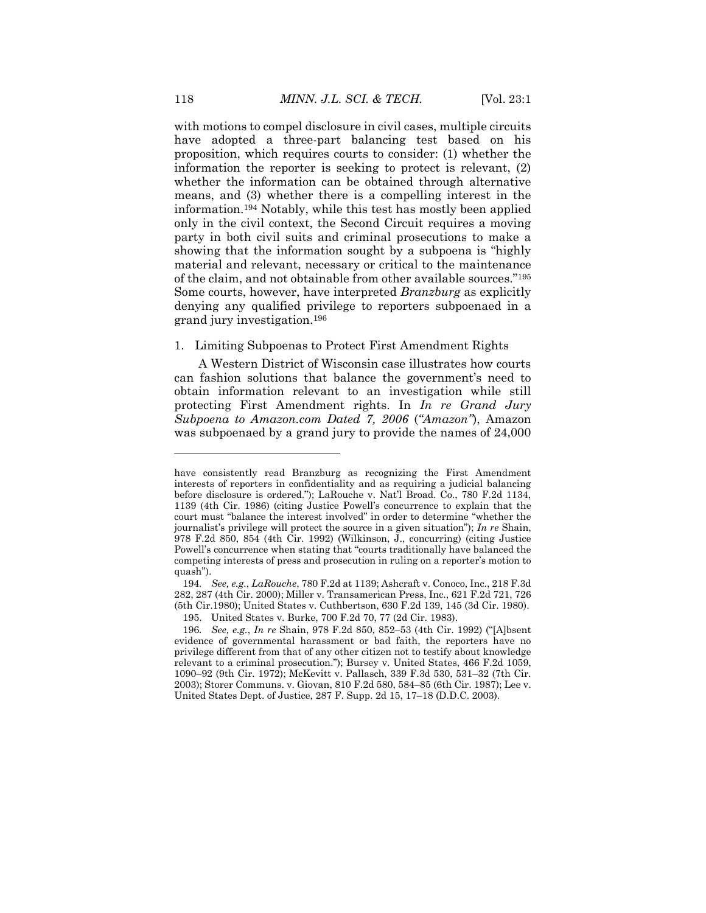with motions to compel disclosure in civil cases, multiple circuits have adopted a three-part balancing test based on his proposition, which requires courts to consider: (1) whether the information the reporter is seeking to protect is relevant, (2) whether the information can be obtained through alternative means, and (3) whether there is a compelling interest in the information.<sup>194</sup> Notably, while this test has mostly been applied only in the civil context, the Second Circuit requires a moving party in both civil suits and criminal prosecutions to make a showing that the information sought by a subpoena is "highly material and relevant, necessary or critical to the maintenance of the claim, and not obtainable from other available sources."<sup>195</sup> Some courts, however, have interpreted *Branzburg* as explicitly denying any qualified privilege to reporters subpoenaed in a grand jury investigation.<sup>196</sup>

## 1. Limiting Subpoenas to Protect First Amendment Rights

A Western District of Wisconsin case illustrates how courts can fashion solutions that balance the government's need to obtain information relevant to an investigation while still protecting First Amendment rights. In *In re Grand Jury Subpoena to Amazon.com Dated 7, 2006* (*"Amazon"*), Amazon was subpoenaed by a grand jury to provide the names of 24,000

have consistently read Branzburg as recognizing the First Amendment interests of reporters in confidentiality and as requiring a judicial balancing before disclosure is ordered."); LaRouche v. Nat'l Broad. Co., 780 F.2d 1134, 1139 (4th Cir. 1986) (citing Justice Powell's concurrence to explain that the court must "balance the interest involved" in order to determine "whether the journalist's privilege will protect the source in a given situation"); *In re* Shain, 978 F.2d 850, 854 (4th Cir. 1992) (Wilkinson, J., concurring) (citing Justice Powell's concurrence when stating that "courts traditionally have balanced the competing interests of press and prosecution in ruling on a reporter's motion to quash").

<sup>194</sup>*. See, e.g.*, *LaRouche*, 780 F.2d at 1139; Ashcraft v. Conoco, Inc., 218 F.3d 282, 287 (4th Cir. 2000); Miller v. Transamerican Press, Inc., 621 F.2d 721, 726 (5th Cir.1980); United States v. Cuthbertson, 630 F.2d 139, 145 (3d Cir. 1980).

<sup>195.</sup> United States v. Burke, 700 F.2d 70, 77 (2d Cir. 1983).

<sup>196</sup>*. See, e.g.*, *In re* Shain, 978 F.2d 850, 852–53 (4th Cir. 1992) ("[A]bsent evidence of governmental harassment or bad faith, the reporters have no privilege different from that of any other citizen not to testify about knowledge relevant to a criminal prosecution."); Bursey v. United States, 466 F.2d 1059, 1090–92 (9th Cir. 1972); McKevitt v. Pallasch, 339 F.3d 530, 531–32 (7th Cir. 2003); Storer Communs. v. Giovan, 810 F.2d 580, 584–85 (6th Cir. 1987); Lee v. United States Dept. of Justice, 287 F. Supp. 2d 15, 17–18 (D.D.C. 2003).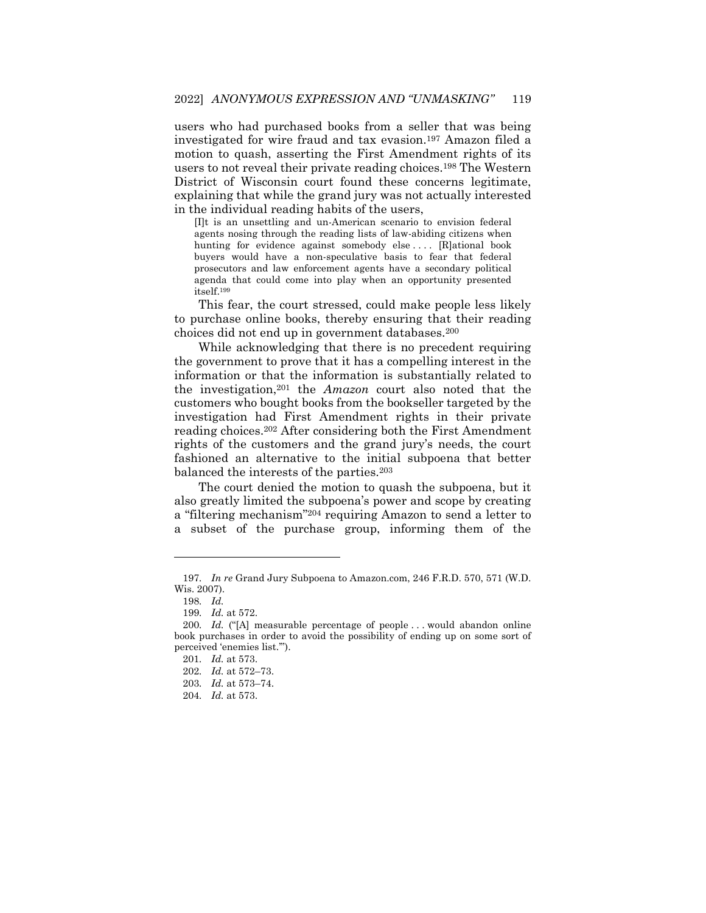users who had purchased books from a seller that was being investigated for wire fraud and tax evasion.<sup>197</sup> Amazon filed a motion to quash, asserting the First Amendment rights of its users to not reveal their private reading choices.<sup>198</sup> The Western District of Wisconsin court found these concerns legitimate, explaining that while the grand jury was not actually interested in the individual reading habits of the users,

[I]t is an unsettling and un-American scenario to envision federal agents nosing through the reading lists of law-abiding citizens when hunting for evidence against somebody else .... [R]ational book buyers would have a non-speculative basis to fear that federal prosecutors and law enforcement agents have a secondary political agenda that could come into play when an opportunity presented itself.<sup>199</sup>

This fear, the court stressed, could make people less likely to purchase online books, thereby ensuring that their reading choices did not end up in government databases.<sup>200</sup>

While acknowledging that there is no precedent requiring the government to prove that it has a compelling interest in the information or that the information is substantially related to the investigation,<sup>201</sup> the *Amazon* court also noted that the customers who bought books from the bookseller targeted by the investigation had First Amendment rights in their private reading choices.<sup>202</sup> After considering both the First Amendment rights of the customers and the grand jury's needs, the court fashioned an alternative to the initial subpoena that better balanced the interests of the parties.<sup>203</sup>

The court denied the motion to quash the subpoena, but it also greatly limited the subpoena's power and scope by creating a "filtering mechanism"<sup>204</sup> requiring Amazon to send a letter to a subset of the purchase group, informing them of the

<sup>197</sup>*. In re* Grand Jury Subpoena to Amazon.com, 246 F.R.D. 570, 571 (W.D. Wis. 2007).

<sup>198</sup>*. Id.*

<sup>199</sup>*. Id.* at 572.

<sup>200</sup>*. Id.* ("[A] measurable percentage of people . . . would abandon online book purchases in order to avoid the possibility of ending up on some sort of perceived 'enemies list.'").

<sup>201</sup>*. Id.* at 573.

<sup>202</sup>*. Id.* at 572–73.

<sup>203</sup>*. Id.* at 573–74.

<sup>204</sup>*. Id.* at 573.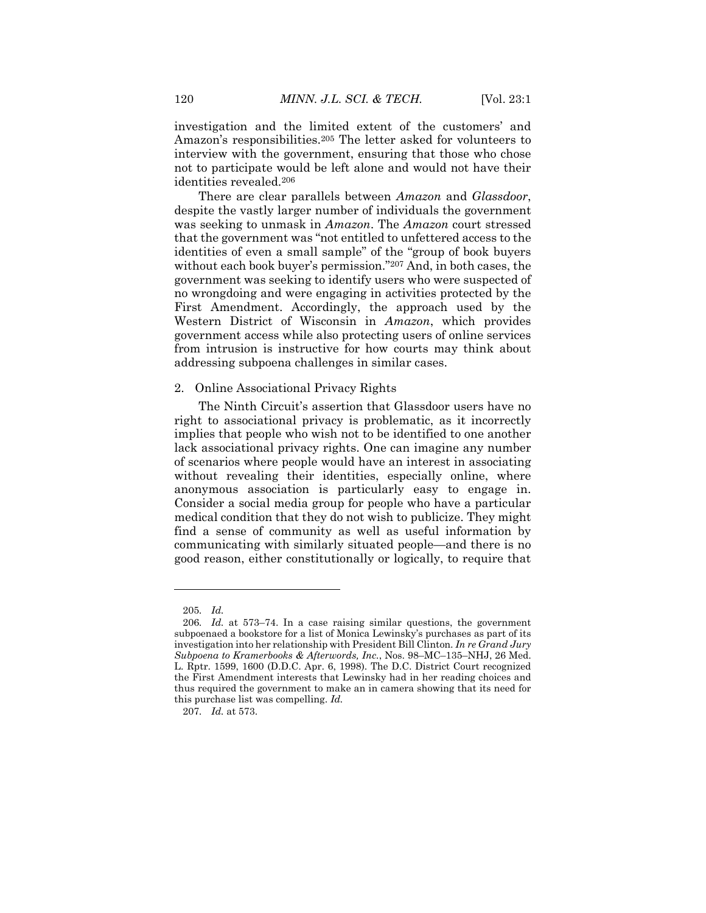investigation and the limited extent of the customers' and Amazon's responsibilities.<sup>205</sup> The letter asked for volunteers to interview with the government, ensuring that those who chose not to participate would be left alone and would not have their identities revealed.<sup>206</sup>

There are clear parallels between *Amazon* and *Glassdoor*, despite the vastly larger number of individuals the government was seeking to unmask in *Amazon*. The *Amazon* court stressed that the government was "not entitled to unfettered access to the identities of even a small sample" of the "group of book buyers without each book buyer's permission."<sup>207</sup> And, in both cases, the government was seeking to identify users who were suspected of no wrongdoing and were engaging in activities protected by the First Amendment. Accordingly, the approach used by the Western District of Wisconsin in *Amazon*, which provides government access while also protecting users of online services from intrusion is instructive for how courts may think about addressing subpoena challenges in similar cases.

# 2. Online Associational Privacy Rights

The Ninth Circuit's assertion that Glassdoor users have no right to associational privacy is problematic, as it incorrectly implies that people who wish not to be identified to one another lack associational privacy rights. One can imagine any number of scenarios where people would have an interest in associating without revealing their identities, especially online, where anonymous association is particularly easy to engage in. Consider a social media group for people who have a particular medical condition that they do not wish to publicize. They might find a sense of community as well as useful information by communicating with similarly situated people—and there is no good reason, either constitutionally or logically, to require that

<sup>205</sup>*. Id.*

<sup>206</sup>*. Id.* at 573–74. In a case raising similar questions, the government subpoenaed a bookstore for a list of Monica Lewinsky's purchases as part of its investigation into her relationship with President Bill Clinton. *In re Grand Jury Subpoena to Kramerbooks & Afterwords, Inc.*, Nos. 98–MC–135–NHJ, 26 Med. L. Rptr. 1599, 1600 (D.D.C. Apr. 6, 1998). The D.C. District Court recognized the First Amendment interests that Lewinsky had in her reading choices and thus required the government to make an in camera showing that its need for this purchase list was compelling. *Id.*

<sup>207</sup>*. Id.* at 573.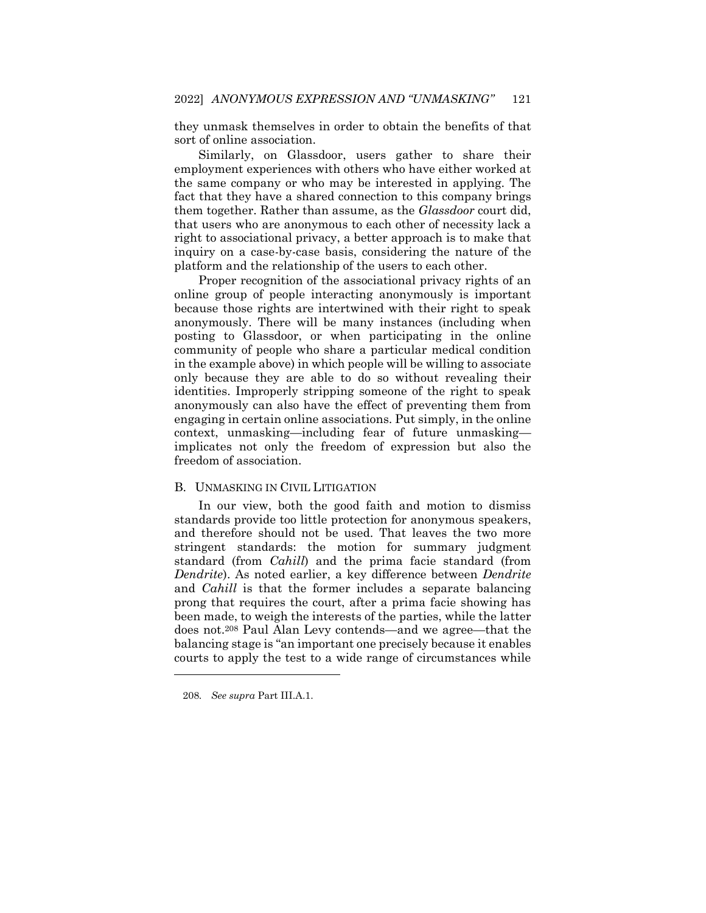they unmask themselves in order to obtain the benefits of that sort of online association.

Similarly, on Glassdoor, users gather to share their employment experiences with others who have either worked at the same company or who may be interested in applying. The fact that they have a shared connection to this company brings them together. Rather than assume, as the *Glassdoor* court did, that users who are anonymous to each other of necessity lack a right to associational privacy, a better approach is to make that inquiry on a case-by-case basis, considering the nature of the platform and the relationship of the users to each other.

Proper recognition of the associational privacy rights of an online group of people interacting anonymously is important because those rights are intertwined with their right to speak anonymously. There will be many instances (including when posting to Glassdoor, or when participating in the online community of people who share a particular medical condition in the example above) in which people will be willing to associate only because they are able to do so without revealing their identities. Improperly stripping someone of the right to speak anonymously can also have the effect of preventing them from engaging in certain online associations. Put simply, in the online context, unmasking—including fear of future unmasking implicates not only the freedom of expression but also the freedom of association.

#### B. UNMASKING IN CIVIL LITIGATION

In our view, both the good faith and motion to dismiss standards provide too little protection for anonymous speakers, and therefore should not be used. That leaves the two more stringent standards: the motion for summary judgment standard (from *Cahill*) and the prima facie standard (from *Dendrite*). As noted earlier, a key difference between *Dendrite* and *Cahill* is that the former includes a separate balancing prong that requires the court, after a prima facie showing has been made, to weigh the interests of the parties, while the latter does not.<sup>208</sup> Paul Alan Levy contends—and we agree—that the balancing stage is "an important one precisely because it enables courts to apply the test to a wide range of circumstances while

<sup>208</sup>*. See supra* Part III.A.1.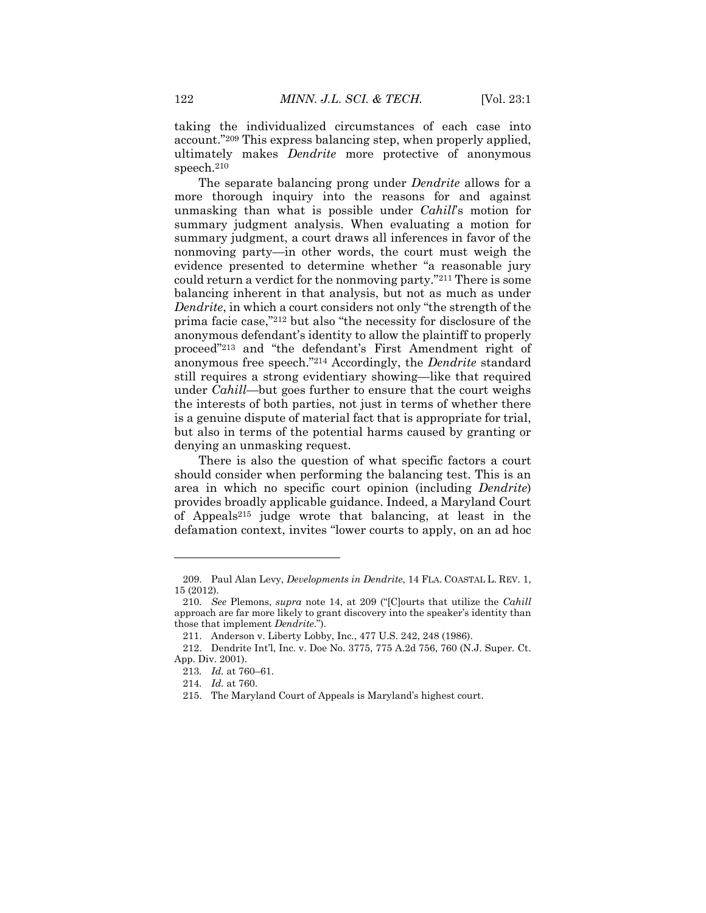taking the individualized circumstances of each case into account."<sup>209</sup> This express balancing step, when properly applied, ultimately makes *Dendrite* more protective of anonymous speech.<sup>210</sup>

The separate balancing prong under *Dendrite* allows for a more thorough inquiry into the reasons for and against unmasking than what is possible under *Cahill*'s motion for summary judgment analysis. When evaluating a motion for summary judgment, a court draws all inferences in favor of the nonmoving party—in other words, the court must weigh the evidence presented to determine whether "a reasonable jury could return a verdict for the nonmoving party."<sup>211</sup> There is some balancing inherent in that analysis, but not as much as under *Dendrite*, in which a court considers not only "the strength of the prima facie case,"<sup>212</sup> but also "the necessity for disclosure of the anonymous defendant's identity to allow the plaintiff to properly proceed"<sup>213</sup> and "the defendant's First Amendment right of anonymous free speech."<sup>214</sup> Accordingly, the *Dendrite* standard still requires a strong evidentiary showing—like that required under *Cahill*—but goes further to ensure that the court weighs the interests of both parties, not just in terms of whether there is a genuine dispute of material fact that is appropriate for trial, but also in terms of the potential harms caused by granting or denying an unmasking request.

There is also the question of what specific factors a court should consider when performing the balancing test. This is an area in which no specific court opinion (including *Dendrite*) provides broadly applicable guidance. Indeed, a Maryland Court of Appeals<sup>215</sup> judge wrote that balancing, at least in the defamation context, invites "lower courts to apply, on an ad hoc

<sup>209.</sup> Paul Alan Levy, *Developments in Dendrite*, 14 FLA. COASTAL L. REV. 1, 15 (2012).

<sup>210</sup>*. See* Plemons, *supra* note 14, at 209 ("[C]ourts that utilize the *Cahill* approach are far more likely to grant discovery into the speaker's identity than those that implement *Dendrite*.").

<sup>211.</sup> Anderson v. Liberty Lobby, Inc., 477 U.S. 242, 248 (1986).

<sup>212.</sup> Dendrite Int'l, Inc. v. Doe No. 3775, 775 A.2d 756, 760 (N.J. Super. Ct. App. Div. 2001).

<sup>213</sup>*. Id.* at 760–61.

<sup>214</sup>*. Id.* at 760.

<sup>215.</sup> The Maryland Court of Appeals is Maryland's highest court.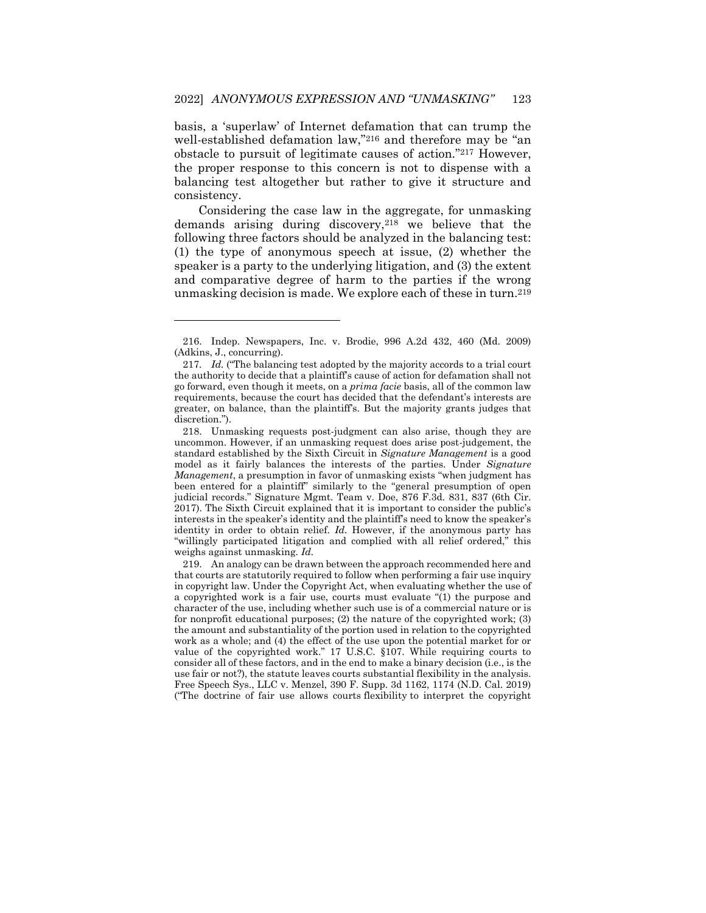basis, a 'superlaw' of Internet defamation that can trump the well-established defamation law,"<sup>216</sup> and therefore may be "an obstacle to pursuit of legitimate causes of action."<sup>217</sup> However, the proper response to this concern is not to dispense with a balancing test altogether but rather to give it structure and consistency.

Considering the case law in the aggregate, for unmasking demands arising during discovery,<sup>218</sup> we believe that the following three factors should be analyzed in the balancing test: (1) the type of anonymous speech at issue, (2) whether the speaker is a party to the underlying litigation, and (3) the extent and comparative degree of harm to the parties if the wrong unmasking decision is made. We explore each of these in turn.<sup>219</sup>

 $\overline{a}$ 

219. An analogy can be drawn between the approach recommended here and that courts are statutorily required to follow when performing a fair use inquiry in copyright law. Under the Copyright Act, when evaluating whether the use of a copyrighted work is a fair use, courts must evaluate "(1) the purpose and character of the use, including whether such use is of a commercial nature or is for nonprofit educational purposes; (2) the nature of the copyrighted work; (3) the amount and substantiality of the portion used in relation to the copyrighted work as a whole; and (4) the effect of the use upon the potential market for or value of the copyrighted work." 17 U.S.C. §107. While requiring courts to consider all of these factors, and in the end to make a binary decision (i.e., is the use fair or not?), the statute leaves courts substantial flexibility in the analysis. Free Speech Sys., LLC v. Menzel, 390 F. Supp. 3d 1162, 1174 (N.D. Cal. 2019) ("The doctrine of fair use allows courts flexibility to interpret the copyright

<sup>216.</sup> Indep. Newspapers, Inc. v. Brodie, 996 A.2d 432, 460 (Md. 2009) (Adkins, J., concurring).

<sup>217</sup>*. Id.* ("The balancing test adopted by the majority accords to a trial court the authority to decide that a plaintiff's cause of action for defamation shall not go forward, even though it meets, on a *prima facie* basis, all of the common law requirements, because the court has decided that the defendant's interests are greater, on balance, than the plaintiff's. But the majority grants judges that discretion.").

<sup>218.</sup> Unmasking requests post-judgment can also arise, though they are uncommon. However, if an unmasking request does arise post-judgement, the standard established by the Sixth Circuit in *Signature Management* is a good model as it fairly balances the interests of the parties. Under *Signature Management*, a presumption in favor of unmasking exists "when judgment has been entered for a plaintiff" similarly to the "general presumption of open judicial records." Signature Mgmt. Team v. Doe, 876 F.3d. 831, 837 (6th Cir. 2017). The Sixth Circuit explained that it is important to consider the public's interests in the speaker's identity and the plaintiff's need to know the speaker's identity in order to obtain relief. *Id.* However, if the anonymous party has "willingly participated litigation and complied with all relief ordered," this weighs against unmasking. *Id.*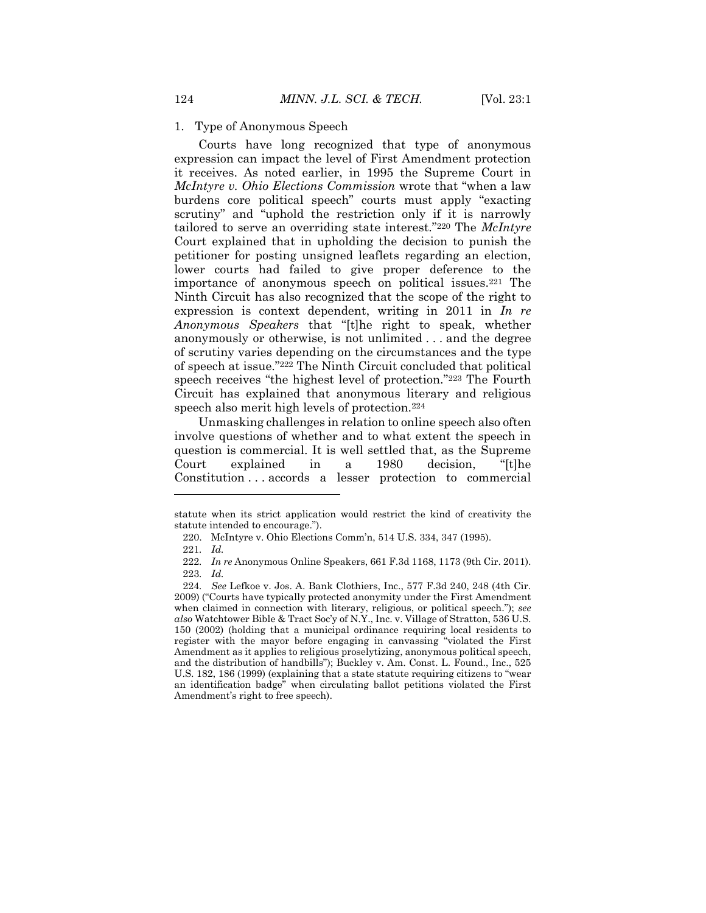#### 1. Type of Anonymous Speech

Courts have long recognized that type of anonymous expression can impact the level of First Amendment protection it receives. As noted earlier, in 1995 the Supreme Court in *McIntyre v. Ohio Elections Commission* wrote that "when a law burdens core political speech" courts must apply "exacting scrutiny" and "uphold the restriction only if it is narrowly tailored to serve an overriding state interest."<sup>220</sup> The *McIntyre*  Court explained that in upholding the decision to punish the petitioner for posting unsigned leaflets regarding an election, lower courts had failed to give proper deference to the importance of anonymous speech on political issues.<sup>221</sup> The Ninth Circuit has also recognized that the scope of the right to expression is context dependent, writing in 2011 in *In re Anonymous Speakers* that "[t]he right to speak, whether anonymously or otherwise, is not unlimited . . . and the degree of scrutiny varies depending on the circumstances and the type of speech at issue."<sup>222</sup> The Ninth Circuit concluded that political speech receives "the highest level of protection."<sup>223</sup> The Fourth Circuit has explained that anonymous literary and religious speech also merit high levels of protection.<sup>224</sup>

Unmasking challenges in relation to online speech also often involve questions of whether and to what extent the speech in question is commercial. It is well settled that, as the Supreme Court explained in a 1980 decision, "[t]he Constitution . . . accords a lesser protection to commercial

statute when its strict application would restrict the kind of creativity the statute intended to encourage.").

<sup>220.</sup> McIntyre v. Ohio Elections Comm'n, 514 U.S. 334, 347 (1995).

<sup>221</sup>*. Id.*

<sup>222</sup>*. In re* Anonymous Online Speakers, 661 F.3d 1168, 1173 (9th Cir. 2011). 223*. Id.*

<sup>224</sup>*. See* Lefkoe v. Jos. A. Bank Clothiers, Inc., 577 F.3d 240, 248 (4th Cir. 2009) ("Courts have typically protected anonymity under the First Amendment when claimed in connection with literary, religious, or political speech."); *see also* Watchtower Bible & Tract Soc'y of N.Y., Inc. v. Village of Stratton, 536 U.S. 150 (2002) (holding that a municipal ordinance requiring local residents to register with the mayor before engaging in canvassing "violated the First Amendment as it applies to religious proselytizing, anonymous political speech, and the distribution of handbills"); Buckley v. Am. Const. L. Found., Inc., 525 U.S. 182, 186 (1999) (explaining that a state statute requiring citizens to "wear an identification badge" when circulating ballot petitions violated the First Amendment's right to free speech).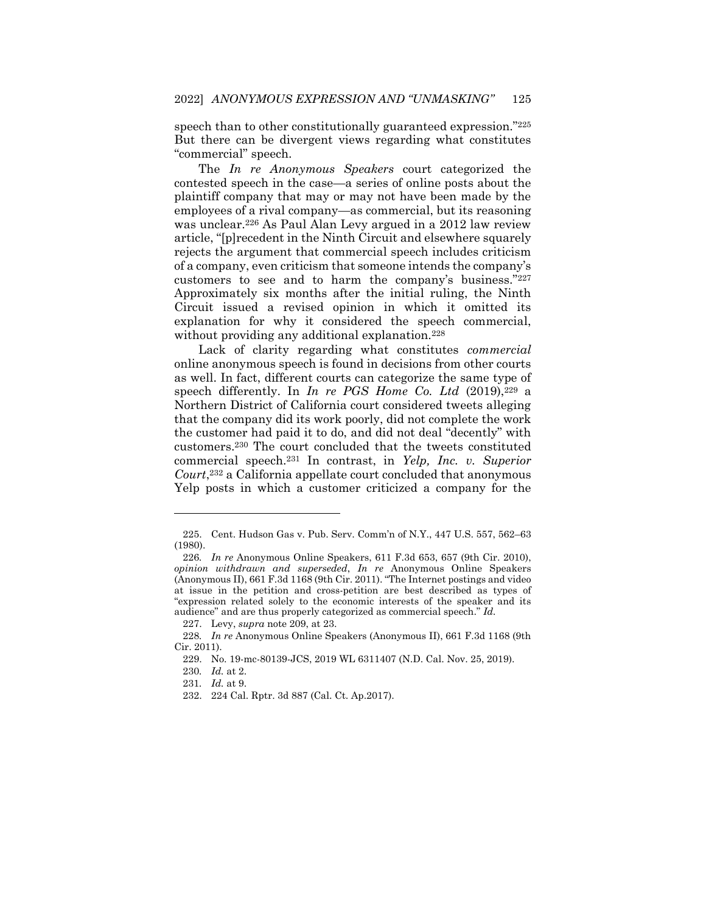speech than to other constitutionally guaranteed expression."<sup>225</sup> But there can be divergent views regarding what constitutes "commercial" speech.

The *In re Anonymous Speakers* court categorized the contested speech in the case—a series of online posts about the plaintiff company that may or may not have been made by the employees of a rival company—as commercial, but its reasoning was unclear.<sup>226</sup> As Paul Alan Levy argued in a 2012 law review article, "[p]recedent in the Ninth Circuit and elsewhere squarely rejects the argument that commercial speech includes criticism of a company, even criticism that someone intends the company's customers to see and to harm the company's business."<sup>227</sup> Approximately six months after the initial ruling, the Ninth Circuit issued a revised opinion in which it omitted its explanation for why it considered the speech commercial, without providing any additional explanation.<sup>228</sup>

Lack of clarity regarding what constitutes *commercial* online anonymous speech is found in decisions from other courts as well. In fact, different courts can categorize the same type of speech differently. In *In re PGS Home Co. Ltd* (2019),<sup>229</sup> a Northern District of California court considered tweets alleging that the company did its work poorly, did not complete the work the customer had paid it to do, and did not deal "decently" with customers.<sup>230</sup> The court concluded that the tweets constituted commercial speech.<sup>231</sup> In contrast, in *Yelp, Inc. v. Superior Court*, <sup>232</sup> a California appellate court concluded that anonymous Yelp posts in which a customer criticized a company for the

<sup>225.</sup> Cent. Hudson Gas v. Pub. Serv. Comm'n of N.Y., 447 U.S. 557, 562–63 (1980).

<sup>226</sup>*. In re* Anonymous Online Speakers, 611 F.3d 653, 657 (9th Cir. 2010), *opinion withdrawn and superseded*, *In re* Anonymous Online Speakers (Anonymous II), 661 F.3d 1168 (9th Cir. 2011). "The Internet postings and video at issue in the petition and cross-petition are best described as types of "expression related solely to the economic interests of the speaker and its audience" and are thus properly categorized as commercial speech." *Id.*

<sup>227.</sup> Levy, *supra* note 209, at 23.

<sup>228</sup>*. In re* Anonymous Online Speakers (Anonymous II), 661 F.3d 1168 (9th Cir. 2011).

<sup>229.</sup> No. 19-mc-80139-JCS, 2019 WL 6311407 (N.D. Cal. Nov. 25, 2019).

<sup>230</sup>*. Id.* at 2.

<sup>231</sup>*. Id.* at 9.

<sup>232.</sup> 224 Cal. Rptr. 3d 887 (Cal. Ct. Ap.2017).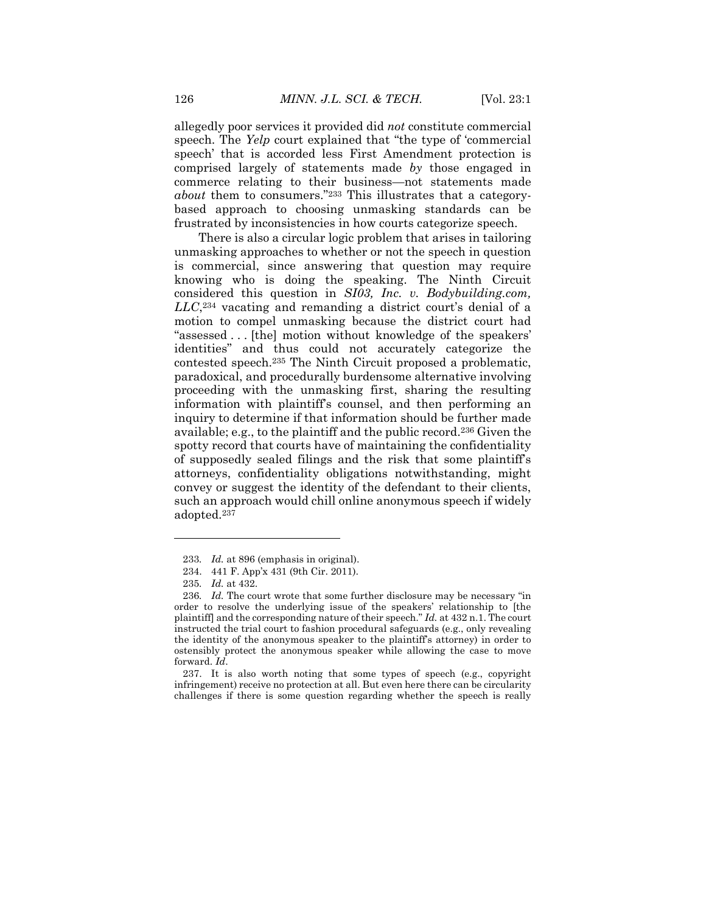allegedly poor services it provided did *not* constitute commercial speech. The *Yelp* court explained that "the type of 'commercial speech' that is accorded less First Amendment protection is comprised largely of statements made *by* those engaged in commerce relating to their business—not statements made *about* them to consumers."<sup>233</sup> This illustrates that a categorybased approach to choosing unmasking standards can be frustrated by inconsistencies in how courts categorize speech.

There is also a circular logic problem that arises in tailoring unmasking approaches to whether or not the speech in question is commercial, since answering that question may require knowing who is doing the speaking. The Ninth Circuit considered this question in *SI03, Inc. v. Bodybuilding.com, LLC*, <sup>234</sup> vacating and remanding a district court's denial of a motion to compel unmasking because the district court had "assessed . . . [the] motion without knowledge of the speakers' identities" and thus could not accurately categorize the contested speech.<sup>235</sup> The Ninth Circuit proposed a problematic, paradoxical, and procedurally burdensome alternative involving proceeding with the unmasking first, sharing the resulting information with plaintiff's counsel, and then performing an inquiry to determine if that information should be further made available; e.g., to the plaintiff and the public record.<sup>236</sup> Given the spotty record that courts have of maintaining the confidentiality of supposedly sealed filings and the risk that some plaintiff's attorneys, confidentiality obligations notwithstanding, might convey or suggest the identity of the defendant to their clients, such an approach would chill online anonymous speech if widely adopted.<sup>237</sup>

 $\overline{\phantom{a}}$ 

237. It is also worth noting that some types of speech (e.g., copyright infringement) receive no protection at all. But even here there can be circularity challenges if there is some question regarding whether the speech is really

<sup>233</sup>*. Id.* at 896 (emphasis in original).

<sup>234.</sup> 441 F. App'x 431 (9th Cir. 2011).

<sup>235</sup>*. Id.* at 432.

<sup>236</sup>*. Id.* The court wrote that some further disclosure may be necessary "in order to resolve the underlying issue of the speakers' relationship to [the plaintiff] and the corresponding nature of their speech." *Id.* at 432 n.1. The court instructed the trial court to fashion procedural safeguards (e.g., only revealing the identity of the anonymous speaker to the plaintiff's attorney) in order to ostensibly protect the anonymous speaker while allowing the case to move forward. *Id*.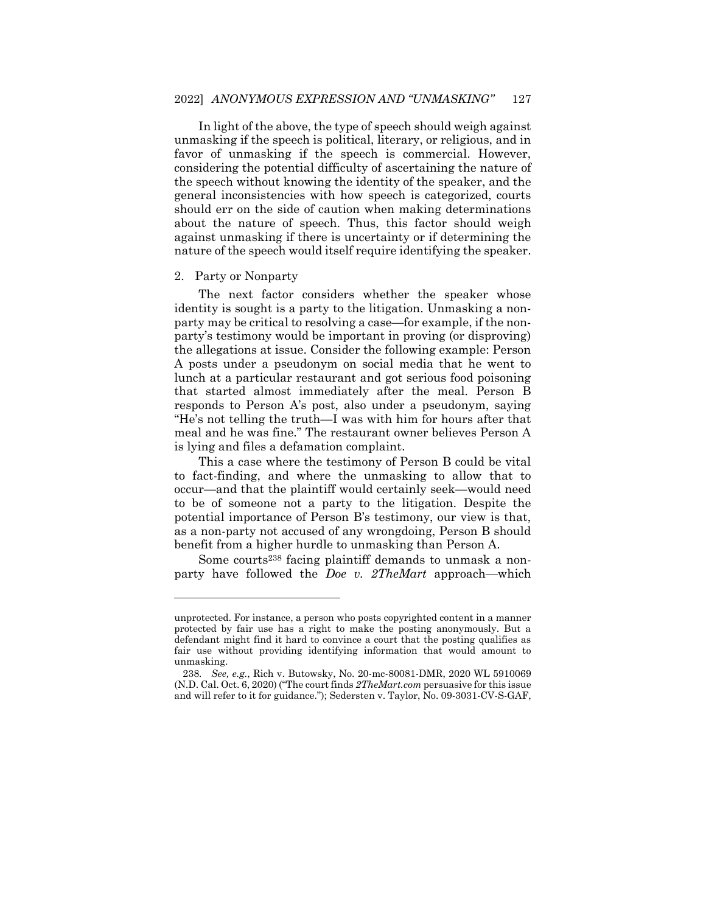In light of the above, the type of speech should weigh against unmasking if the speech is political, literary, or religious, and in favor of unmasking if the speech is commercial. However, considering the potential difficulty of ascertaining the nature of the speech without knowing the identity of the speaker, and the general inconsistencies with how speech is categorized, courts should err on the side of caution when making determinations about the nature of speech. Thus, this factor should weigh against unmasking if there is uncertainty or if determining the nature of the speech would itself require identifying the speaker.

#### 2. Party or Nonparty

 $\overline{a}$ 

The next factor considers whether the speaker whose identity is sought is a party to the litigation. Unmasking a nonparty may be critical to resolving a case—for example, if the nonparty's testimony would be important in proving (or disproving) the allegations at issue. Consider the following example: Person A posts under a pseudonym on social media that he went to lunch at a particular restaurant and got serious food poisoning that started almost immediately after the meal. Person B responds to Person A's post, also under a pseudonym, saying "He's not telling the truth—I was with him for hours after that meal and he was fine." The restaurant owner believes Person A is lying and files a defamation complaint.

This a case where the testimony of Person B could be vital to fact-finding, and where the unmasking to allow that to occur—and that the plaintiff would certainly seek—would need to be of someone not a party to the litigation. Despite the potential importance of Person B's testimony, our view is that, as a non-party not accused of any wrongdoing, Person B should benefit from a higher hurdle to unmasking than Person A.

Some courts<sup>238</sup> facing plaintiff demands to unmask a nonparty have followed the *Doe v. 2TheMart* approach—which

unprotected. For instance, a person who posts copyrighted content in a manner protected by fair use has a right to make the posting anonymously. But a defendant might find it hard to convince a court that the posting qualifies as fair use without providing identifying information that would amount to unmasking.

<sup>238</sup>*. See, e.g.*, Rich v. Butowsky, No. 20-mc-80081-DMR, 2020 WL 5910069 (N.D. Cal. Oct. 6, 2020) ("The court finds *2TheMart.com* persuasive for this issue and will refer to it for guidance."); Sedersten v. Taylor, No. 09-3031-CV-S-GAF,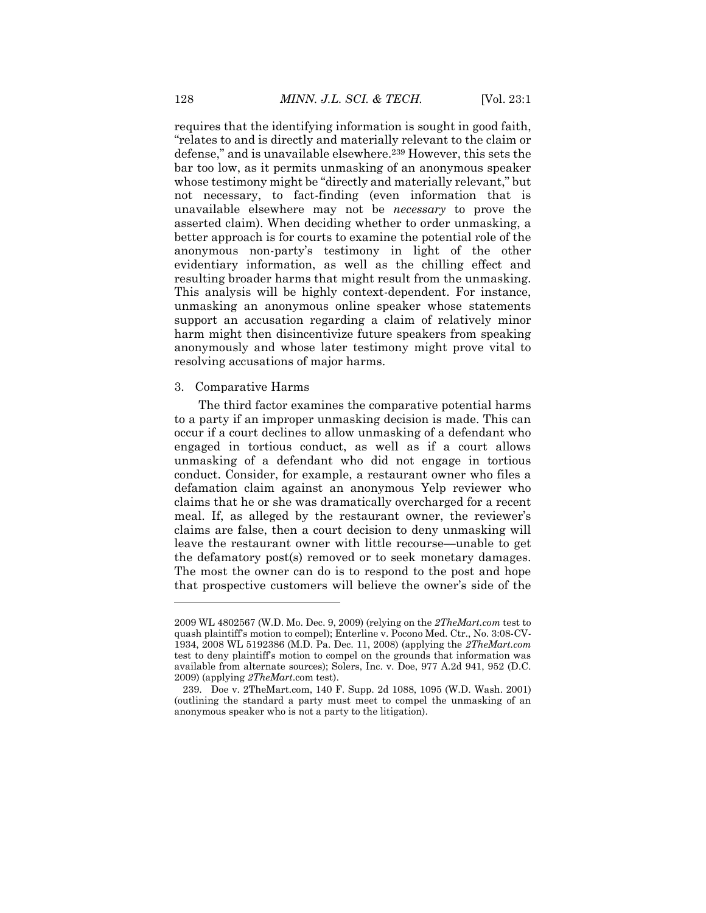requires that the identifying information is sought in good faith, "relates to and is directly and materially relevant to the claim or defense," and is unavailable elsewhere.<sup>239</sup> However, this sets the bar too low, as it permits unmasking of an anonymous speaker whose testimony might be "directly and materially relevant," but not necessary, to fact-finding (even information that is unavailable elsewhere may not be *necessary* to prove the asserted claim). When deciding whether to order unmasking, a better approach is for courts to examine the potential role of the anonymous non-party's testimony in light of the other evidentiary information, as well as the chilling effect and resulting broader harms that might result from the unmasking. This analysis will be highly context-dependent. For instance, unmasking an anonymous online speaker whose statements support an accusation regarding a claim of relatively minor harm might then disincentivize future speakers from speaking anonymously and whose later testimony might prove vital to resolving accusations of major harms.

## 3. Comparative Harms

 $\overline{a}$ 

The third factor examines the comparative potential harms to a party if an improper unmasking decision is made. This can occur if a court declines to allow unmasking of a defendant who engaged in tortious conduct, as well as if a court allows unmasking of a defendant who did not engage in tortious conduct. Consider, for example, a restaurant owner who files a defamation claim against an anonymous Yelp reviewer who claims that he or she was dramatically overcharged for a recent meal. If, as alleged by the restaurant owner, the reviewer's claims are false, then a court decision to deny unmasking will leave the restaurant owner with little recourse—unable to get the defamatory post(s) removed or to seek monetary damages. The most the owner can do is to respond to the post and hope that prospective customers will believe the owner's side of the

<sup>2009</sup> WL 4802567 (W.D. Mo. Dec. 9, 2009) (relying on the *2TheMart.com* test to quash plaintiff's motion to compel); Enterline v. Pocono Med. Ctr., No. 3:08-CV-1934, 2008 WL 5192386 (M.D. Pa. Dec. 11, 2008) (applying the *2TheMart.com*  test to deny plaintiff's motion to compel on the grounds that information was available from alternate sources); Solers, Inc. v. Doe, 977 A.2d 941, 952 (D.C. 2009) (applying *2TheMart*.com test).

<sup>239.</sup> Doe v. 2TheMart.com, 140 F. Supp. 2d 1088, 1095 (W.D. Wash. 2001) (outlining the standard a party must meet to compel the unmasking of an anonymous speaker who is not a party to the litigation).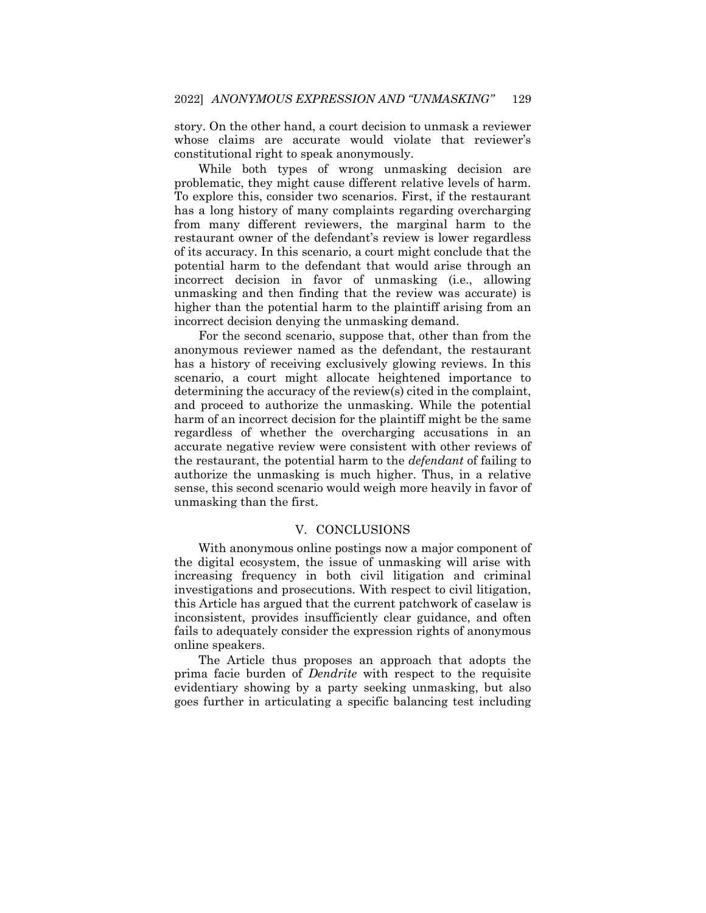story. On the other hand, a court decision to unmask a reviewer whose claims are accurate would violate that reviewer's constitutional right to speak anonymously.

While both types of wrong unmasking decision are problematic, they might cause different relative levels of harm. To explore this, consider two scenarios. First, if the restaurant has a long history of many complaints regarding overcharging from many different reviewers, the marginal harm to the restaurant owner of the defendant's review is lower regardless of its accuracy. In this scenario, a court might conclude that the potential harm to the defendant that would arise through an incorrect decision in favor of unmasking (i.e., allowing unmasking and then finding that the review was accurate) is higher than the potential harm to the plaintiff arising from an incorrect decision denying the unmasking demand.

For the second scenario, suppose that, other than from the anonymous reviewer named as the defendant, the restaurant has a history of receiving exclusively glowing reviews. In this scenario, a court might allocate heightened importance to determining the accuracy of the review(s) cited in the complaint, and proceed to authorize the unmasking. While the potential harm of an incorrect decision for the plaintiff might be the same regardless of whether the overcharging accusations in an accurate negative review were consistent with other reviews of the restaurant, the potential harm to the *defendant* of failing to authorize the unmasking is much higher. Thus, in a relative sense, this second scenario would weigh more heavily in favor of unmasking than the first.

# V. CONCLUSIONS

With anonymous online postings now a major component of the digital ecosystem, the issue of unmasking will arise with increasing frequency in both civil litigation and criminal investigations and prosecutions. With respect to civil litigation, this Article has argued that the current patchwork of caselaw is inconsistent, provides insufficiently clear guidance, and often fails to adequately consider the expression rights of anonymous online speakers.

The Article thus proposes an approach that adopts the prima facie burden of *Dendrite* with respect to the requisite evidentiary showing by a party seeking unmasking, but also goes further in articulating a specific balancing test including